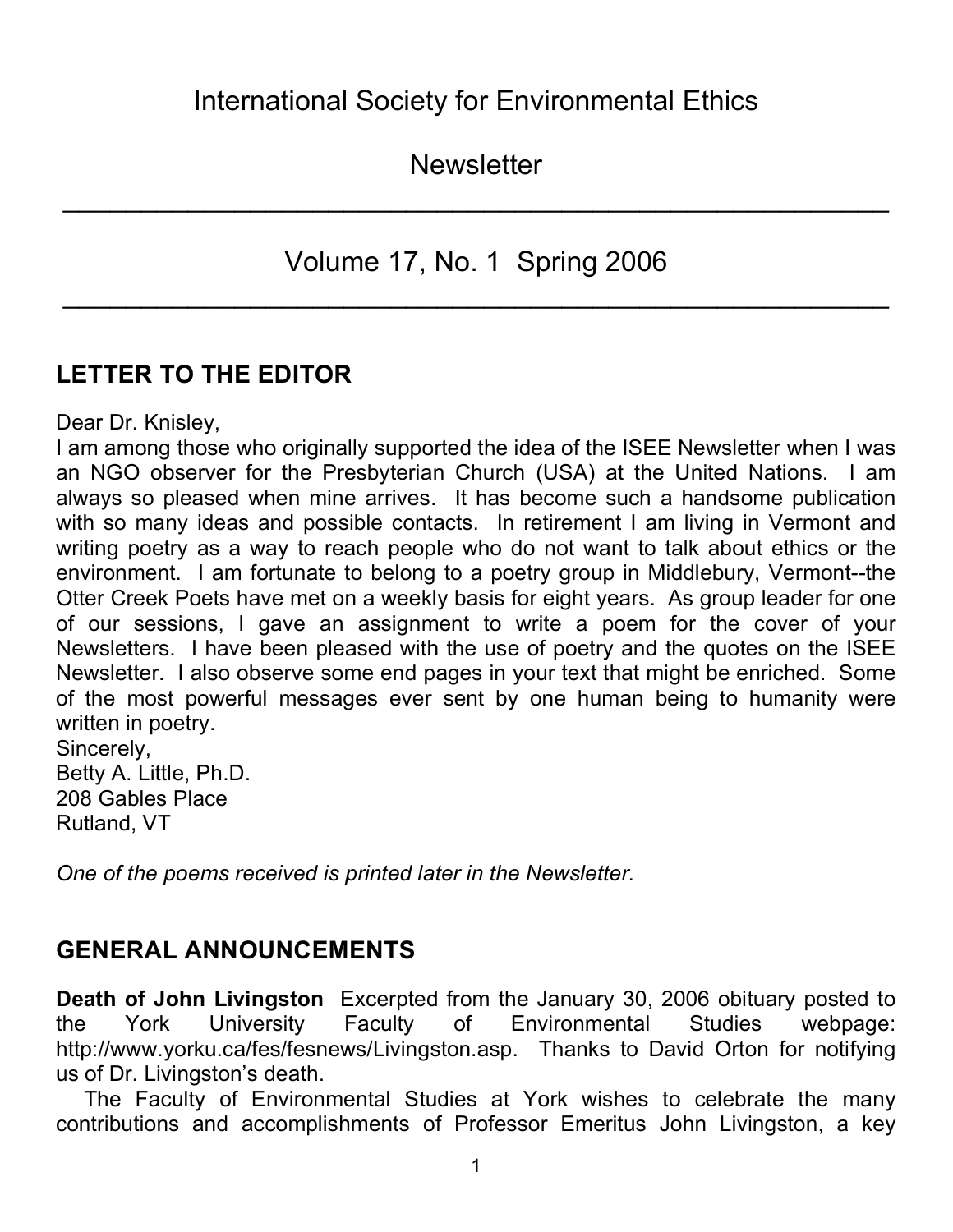**Newsletter** 

 $\mathcal{L}_\text{max}$  and  $\mathcal{L}_\text{max}$  and  $\mathcal{L}_\text{max}$  and  $\mathcal{L}_\text{max}$  and  $\mathcal{L}_\text{max}$  and  $\mathcal{L}_\text{max}$ 

Volume 17, No. 1 Spring 2006

 $\mathcal{L}_\text{max}$  and  $\mathcal{L}_\text{max}$  and  $\mathcal{L}_\text{max}$  and  $\mathcal{L}_\text{max}$  and  $\mathcal{L}_\text{max}$  and  $\mathcal{L}_\text{max}$ 

# **LETTER TO THE EDITOR**

Dear Dr. Knisley,

I am among those who originally supported the idea of the ISEE Newsletter when I was an NGO observer for the Presbyterian Church (USA) at the United Nations. I am always so pleased when mine arrives. It has become such a handsome publication with so many ideas and possible contacts. In retirement I am living in Vermont and writing poetry as a way to reach people who do not want to talk about ethics or the environment. I am fortunate to belong to a poetry group in Middlebury, Vermont--the Otter Creek Poets have met on a weekly basis for eight years. As group leader for one of our sessions, I gave an assignment to write a poem for the cover of your Newsletters. I have been pleased with the use of poetry and the quotes on the ISEE Newsletter. I also observe some end pages in your text that might be enriched. Some of the most powerful messages ever sent by one human being to humanity were written in poetry. Sincerely, Betty A. Little, Ph.D. 208 Gables Place

Rutland, VT

*One of the poems received is printed later in the Newsletter.*

## **GENERAL ANNOUNCEMENTS**

**Death of John Livingston** Excerpted from the January 30, 2006 obituary posted to the York University Faculty of Environmental Studies webpage: http://www.yorku.ca/fes/fesnews/Livingston.asp. Thanks to David Orton for notifying us of Dr. Livingston's death.

The Faculty of Environmental Studies at York wishes to celebrate the many contributions and accomplishments of Professor Emeritus John Livingston, a key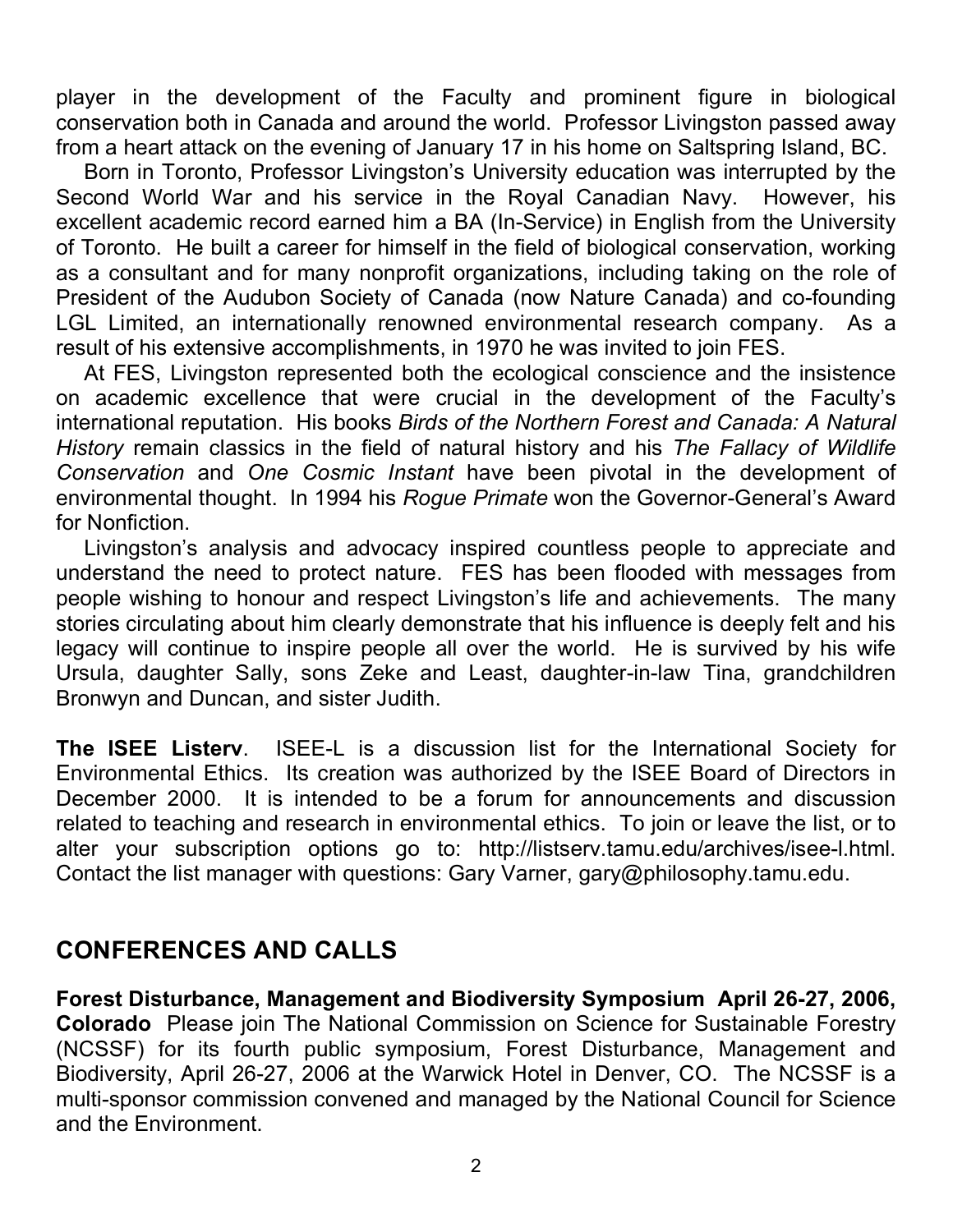player in the development of the Faculty and prominent figure in biological conservation both in Canada and around the world. Professor Livingston passed away from a heart attack on the evening of January 17 in his home on Saltspring Island, BC.

Born in Toronto, Professor Livingston's University education was interrupted by the Second World War and his service in the Royal Canadian Navy. However, his excellent academic record earned him a BA (In-Service) in English from the University of Toronto. He built a career for himself in the field of biological conservation, working as a consultant and for many nonprofit organizations, including taking on the role of President of the Audubon Society of Canada (now Nature Canada) and co-founding LGL Limited, an internationally renowned environmental research company. As a result of his extensive accomplishments, in 1970 he was invited to join FES.

At FES, Livingston represented both the ecological conscience and the insistence on academic excellence that were crucial in the development of the Faculty's international reputation. His books *Birds of the Northern Forest and Canada: A Natural History* remain classics in the field of natural history and his *The Fallacy of Wildlife Conservation* and *One Cosmic Instant* have been pivotal in the development of environmental thought. In 1994 his *Rogue Primate* won the Governor-General's Award for Nonfiction.

Livingston's analysis and advocacy inspired countless people to appreciate and understand the need to protect nature. FES has been flooded with messages from people wishing to honour and respect Livingston's life and achievements. The many stories circulating about him clearly demonstrate that his influence is deeply felt and his legacy will continue to inspire people all over the world. He is survived by his wife Ursula, daughter Sally, sons Zeke and Least, daughter-in-law Tina, grandchildren Bronwyn and Duncan, and sister Judith.

**The ISEE Listerv**. ISEE-L is a discussion list for the International Society for Environmental Ethics. Its creation was authorized by the ISEE Board of Directors in December 2000. It is intended to be a forum for announcements and discussion related to teaching and research in environmental ethics. To join or leave the list, or to alter your subscription options go to: http://listserv.tamu.edu/archives/isee-l.html. Contact the list manager with questions: Gary Varner, gary@philosophy.tamu.edu.

## **CONFERENCES AND CALLS**

**Forest Disturbance, Management and Biodiversity Symposium April 26-27, 2006, Colorado** Please join The National Commission on Science for Sustainable Forestry (NCSSF) for its fourth public symposium, Forest Disturbance, Management and Biodiversity, April 26-27, 2006 at the Warwick Hotel in Denver, CO. The NCSSF is a multi-sponsor commission convened and managed by the National Council for Science and the Environment.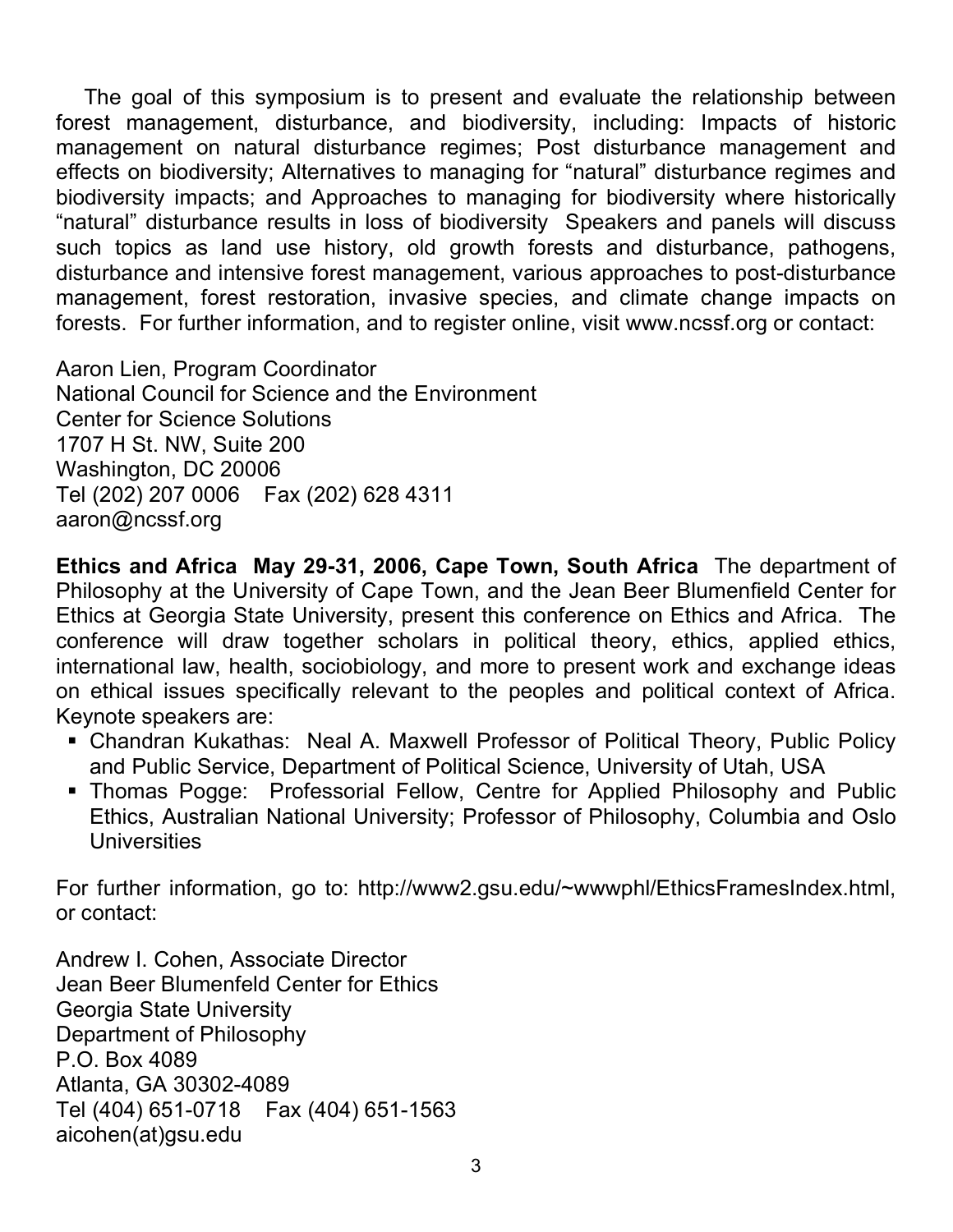The goal of this symposium is to present and evaluate the relationship between forest management, disturbance, and biodiversity, including: Impacts of historic management on natural disturbance regimes; Post disturbance management and effects on biodiversity; Alternatives to managing for "natural" disturbance regimes and biodiversity impacts; and Approaches to managing for biodiversity where historically "natural" disturbance results in loss of biodiversity Speakers and panels will discuss such topics as land use history, old growth forests and disturbance, pathogens, disturbance and intensive forest management, various approaches to post-disturbance management, forest restoration, invasive species, and climate change impacts on forests. For further information, and to register online, visit www.ncssf.org or contact:

Aaron Lien, Program Coordinator National Council for Science and the Environment Center for Science Solutions 1707 H St. NW, Suite 200 Washington, DC 20006 Tel (202) 207 0006 Fax (202) 628 4311 aaron@ncssf.org

**Ethics and Africa May 29-31, 2006, Cape Town, South Africa** The department of Philosophy at the University of Cape Town, and the Jean Beer Blumenfield Center for Ethics at Georgia State University, present this conference on Ethics and Africa. The conference will draw together scholars in political theory, ethics, applied ethics, international law, health, sociobiology, and more to present work and exchange ideas on ethical issues specifically relevant to the peoples and political context of Africa. Keynote speakers are:

- Chandran Kukathas: Neal A. Maxwell Professor of Political Theory, Public Policy and Public Service, Department of Political Science, University of Utah, USA
- Thomas Pogge: Professorial Fellow, Centre for Applied Philosophy and Public Ethics, Australian National University; Professor of Philosophy, Columbia and Oslo **Universities**

For further information, go to: http://www2.gsu.edu/~wwwphl/EthicsFramesIndex.html, or contact:

Andrew I. Cohen, Associate Director Jean Beer Blumenfeld Center for Ethics Georgia State University Department of Philosophy P.O. Box 4089 Atlanta, GA 30302-4089 Tel (404) 651-0718 Fax (404) 651-1563 aicohen(at)gsu.edu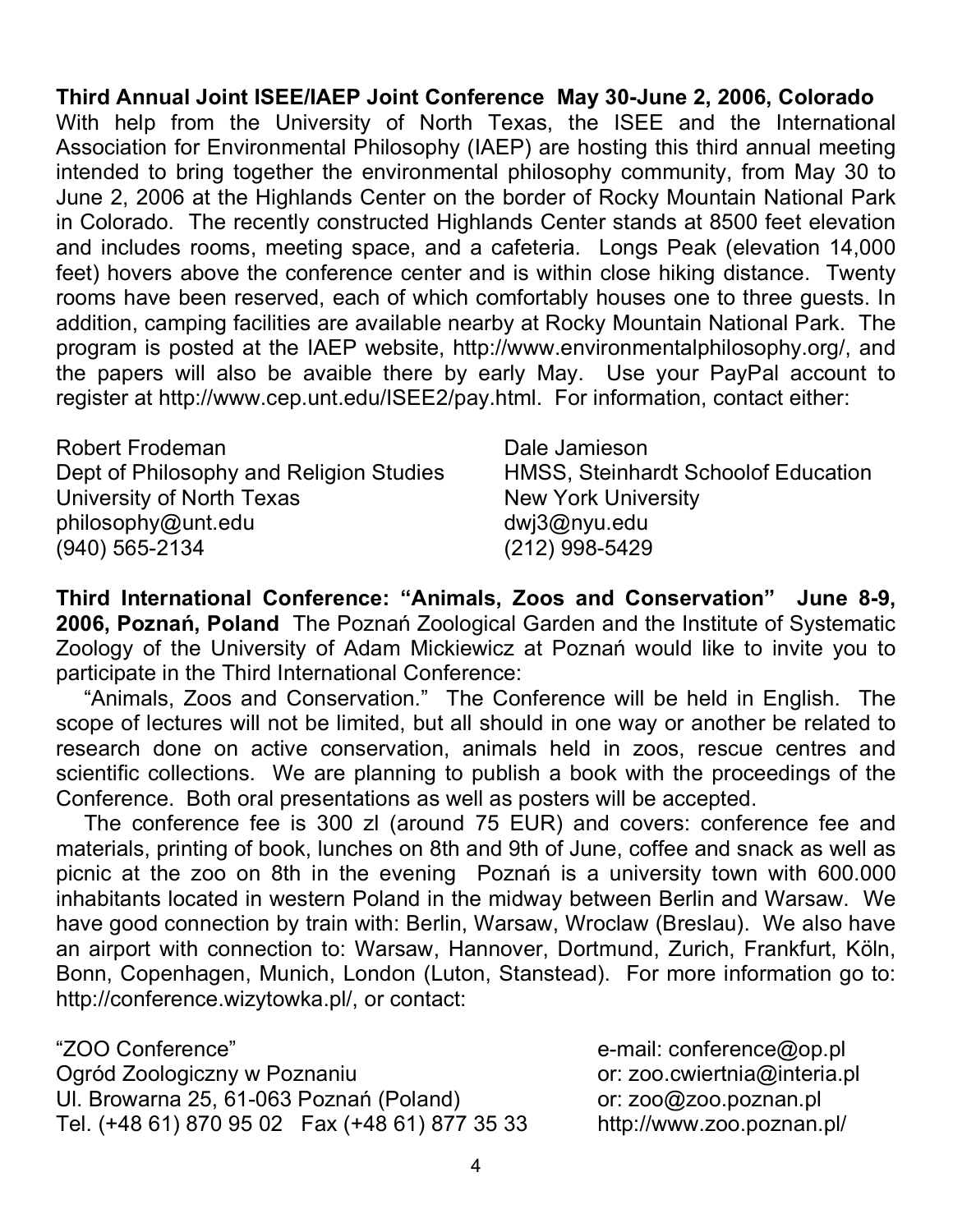**Third Annual Joint ISEE/IAEP Joint Conference May 30-June 2, 2006, Colorado** With help from the University of North Texas, the ISEE and the International Association for Environmental Philosophy (IAEP) are hosting this third annual meeting intended to bring together the environmental philosophy community, from May 30 to June 2, 2006 at the Highlands Center on the border of Rocky Mountain National Park in Colorado. The recently constructed Highlands Center stands at 8500 feet elevation and includes rooms, meeting space, and a cafeteria. Longs Peak (elevation 14,000 feet) hovers above the conference center and is within close hiking distance. Twenty rooms have been reserved, each of which comfortably houses one to three guests. In addition, camping facilities are available nearby at Rocky Mountain National Park. The program is posted at the IAEP website, http://www.environmentalphilosophy.org/, and the papers will also be avaible there by early May. Use your PayPal account to register at http://www.cep.unt.edu/ISEE2/pay.html. For information, contact either:

| Robert Frodeman                         | Dale Jamieson                       |
|-----------------------------------------|-------------------------------------|
| Dept of Philosophy and Religion Studies | HMSS, Steinhardt Schoolof Education |
| University of North Texas               | <b>New York University</b>          |
| philosophy@unt.edu                      | dwj3@nyu.edu                        |
| $(940)$ 565-2134                        | $(212)$ 998-5429                    |

**Third International Conference: "Animals, Zoos and Conservation" June 8-9, 2006, Poznań, Poland** The Poznań Zoological Garden and the Institute of Systematic Zoology of the University of Adam Mickiewicz at Poznań would like to invite you to participate in the Third International Conference:

"Animals, Zoos and Conservation." The Conference will be held in English. The scope of lectures will not be limited, but all should in one way or another be related to research done on active conservation, animals held in zoos, rescue centres and scientific collections. We are planning to publish a book with the proceedings of the Conference. Both oral presentations as well as posters will be accepted.

The conference fee is 300 zl (around 75 EUR) and covers: conference fee and materials, printing of book, lunches on 8th and 9th of June, coffee and snack as well as picnic at the zoo on 8th in the evening Poznań is a university town with 600.000 inhabitants located in western Poland in the midway between Berlin and Warsaw. We have good connection by train with: Berlin, Warsaw, Wroclaw (Breslau). We also have an airport with connection to: Warsaw, Hannover, Dortmund, Zurich, Frankfurt, Köln, Bonn, Copenhagen, Munich, London (Luton, Stanstead). For more information go to: http://conference.wizytowka.pl/, or contact:

"ZOO Conference" e-mail: conference@op.pl Ogród Zoologiczny w Poznaniu v vedenie poznanie or: zoo.cwiertnia@interia.pl UI. Browarna 25, 61-063 Poznań (Poland) or: zoo@zoo.poznan.pl Tel. (+48 61) 870 95 02 Fax (+48 61) 877 35 33 http://www.zoo.poznan.pl/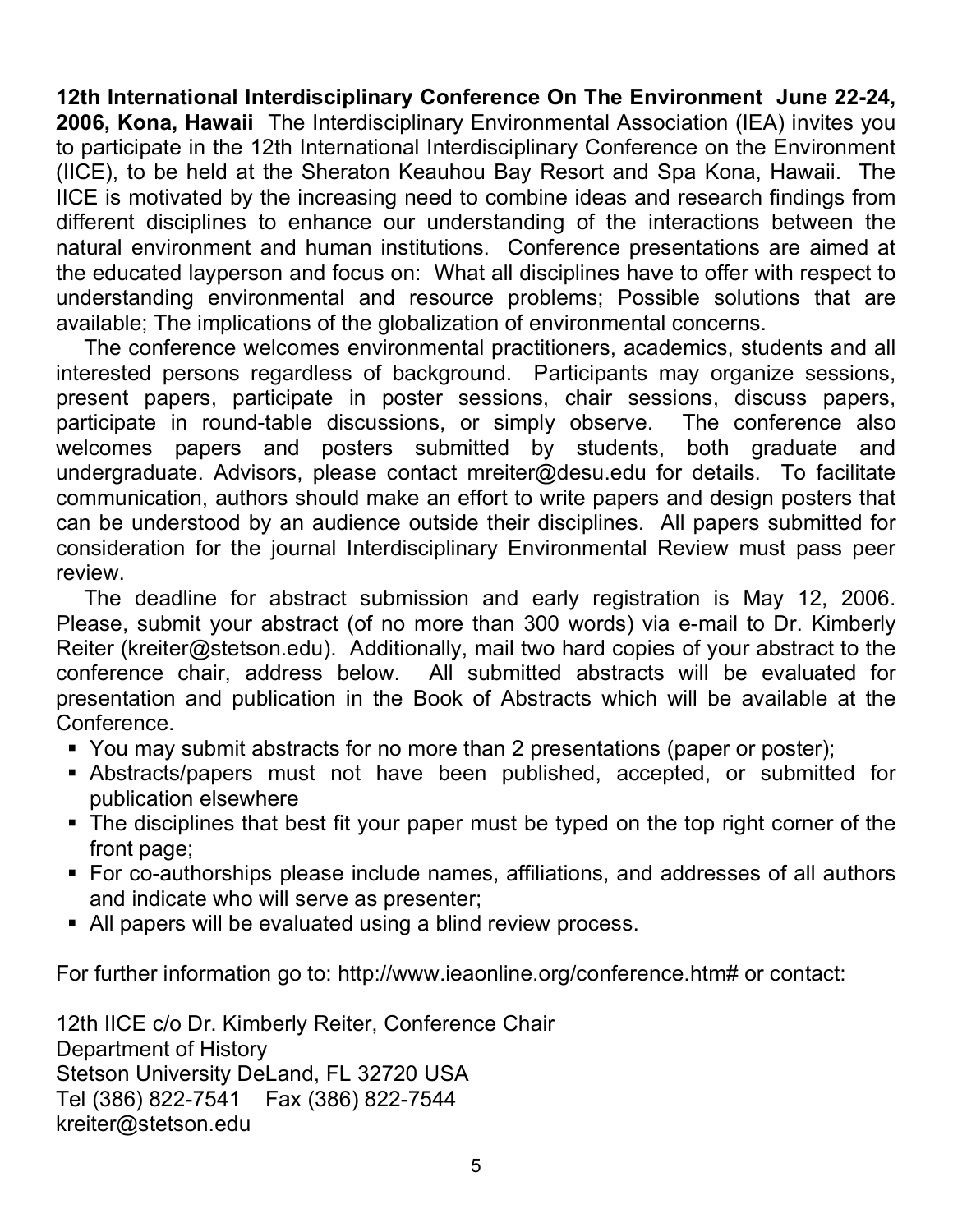**12th International Interdisciplinary Conference On The Environment June 22-24, 2006, Kona, Hawaii** The Interdisciplinary Environmental Association (IEA) invites you to participate in the 12th International Interdisciplinary Conference on the Environment (IICE), to be held at the Sheraton Keauhou Bay Resort and Spa Kona, Hawaii. The IICE is motivated by the increasing need to combine ideas and research findings from different disciplines to enhance our understanding of the interactions between the natural environment and human institutions. Conference presentations are aimed at the educated layperson and focus on: What all disciplines have to offer with respect to understanding environmental and resource problems; Possible solutions that are available; The implications of the globalization of environmental concerns.

The conference welcomes environmental practitioners, academics, students and all interested persons regardless of background. Participants may organize sessions, present papers, participate in poster sessions, chair sessions, discuss papers, participate in round-table discussions, or simply observe. The conference also welcomes papers and posters submitted by students, both graduate and undergraduate. Advisors, please contact mreiter@desu.edu for details. To facilitate communication, authors should make an effort to write papers and design posters that can be understood by an audience outside their disciplines. All papers submitted for consideration for the journal Interdisciplinary Environmental Review must pass peer review.

The deadline for abstract submission and early registration is May 12, 2006. Please, submit your abstract (of no more than 300 words) via e-mail to Dr. Kimberly Reiter (kreiter@stetson.edu). Additionally, mail two hard copies of your abstract to the conference chair, address below. All submitted abstracts will be evaluated for presentation and publication in the Book of Abstracts which will be available at the Conference.

- You may submit abstracts for no more than 2 presentations (paper or poster);
- Abstracts/papers must not have been published, accepted, or submitted for publication elsewhere
- The disciplines that best fit your paper must be typed on the top right corner of the front page;
- For co-authorships please include names, affiliations, and addresses of all authors and indicate who will serve as presenter;
- All papers will be evaluated using a blind review process.

For further information go to: http://www.ieaonline.org/conference.htm# or contact:

12th IICE c/o Dr. Kimberly Reiter, Conference Chair Department of History Stetson University DeLand, FL 32720 USA Tel (386) 822-7541 Fax (386) 822-7544 kreiter@stetson.edu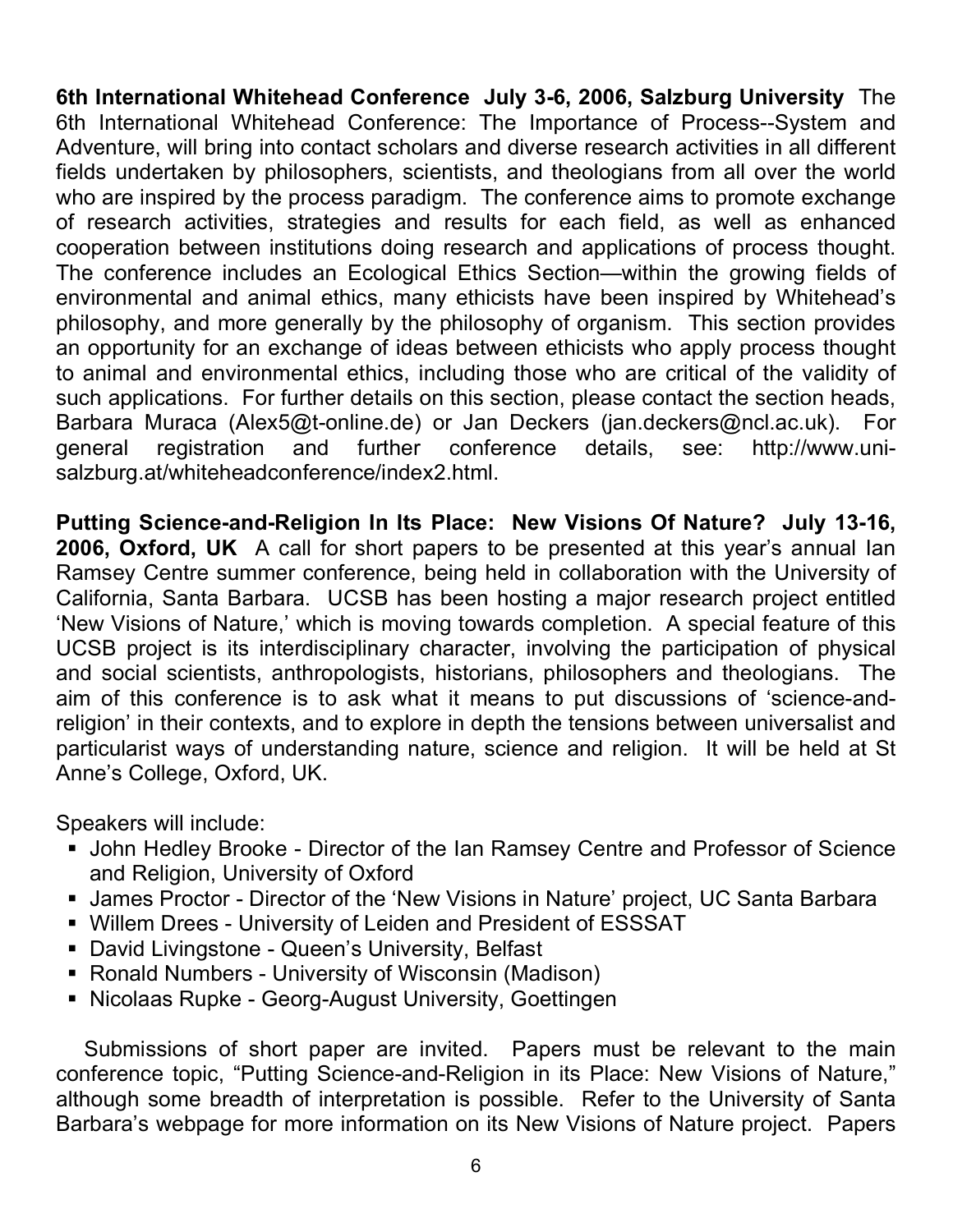**6th International Whitehead Conference July 3-6, 2006, Salzburg University** The 6th International Whitehead Conference: The Importance of Process--System and Adventure, will bring into contact scholars and diverse research activities in all different fields undertaken by philosophers, scientists, and theologians from all over the world who are inspired by the process paradigm. The conference aims to promote exchange of research activities, strategies and results for each field, as well as enhanced cooperation between institutions doing research and applications of process thought. The conference includes an Ecological Ethics Section—within the growing fields of environmental and animal ethics, many ethicists have been inspired by Whitehead's philosophy, and more generally by the philosophy of organism. This section provides an opportunity for an exchange of ideas between ethicists who apply process thought to animal and environmental ethics, including those who are critical of the validity of such applications. For further details on this section, please contact the section heads, Barbara Muraca (Alex5@t-online.de) or Jan Deckers (jan.deckers@ncl.ac.uk). For general registration and further conference details, see: http://www.unisalzburg.at/whiteheadconference/index2.html.

**Putting Science-and-Religion In Its Place: New Visions Of Nature? July 13-16, 2006, Oxford, UK** A call for short papers to be presented at this year's annual Ian Ramsey Centre summer conference, being held in collaboration with the University of California, Santa Barbara. UCSB has been hosting a major research project entitled 'New Visions of Nature,' which is moving towards completion. A special feature of this UCSB project is its interdisciplinary character, involving the participation of physical and social scientists, anthropologists, historians, philosophers and theologians. The aim of this conference is to ask what it means to put discussions of 'science-andreligion' in their contexts, and to explore in depth the tensions between universalist and particularist ways of understanding nature, science and religion. It will be held at St Anne's College, Oxford, UK.

Speakers will include:

- John Hedley Brooke Director of the Ian Ramsey Centre and Professor of Science and Religion, University of Oxford
- James Proctor Director of the 'New Visions in Nature' project, UC Santa Barbara
- Willem Drees University of Leiden and President of ESSSAT
- **-** David Livingstone Queen's University, Belfast
- Ronald Numbers University of Wisconsin (Madison)
- **Nicolaas Rupke Georg-August University, Goettingen**

Submissions of short paper are invited. Papers must be relevant to the main conference topic, "Putting Science-and-Religion in its Place: New Visions of Nature," although some breadth of interpretation is possible. Refer to the University of Santa Barbara's webpage for more information on its New Visions of Nature project. Papers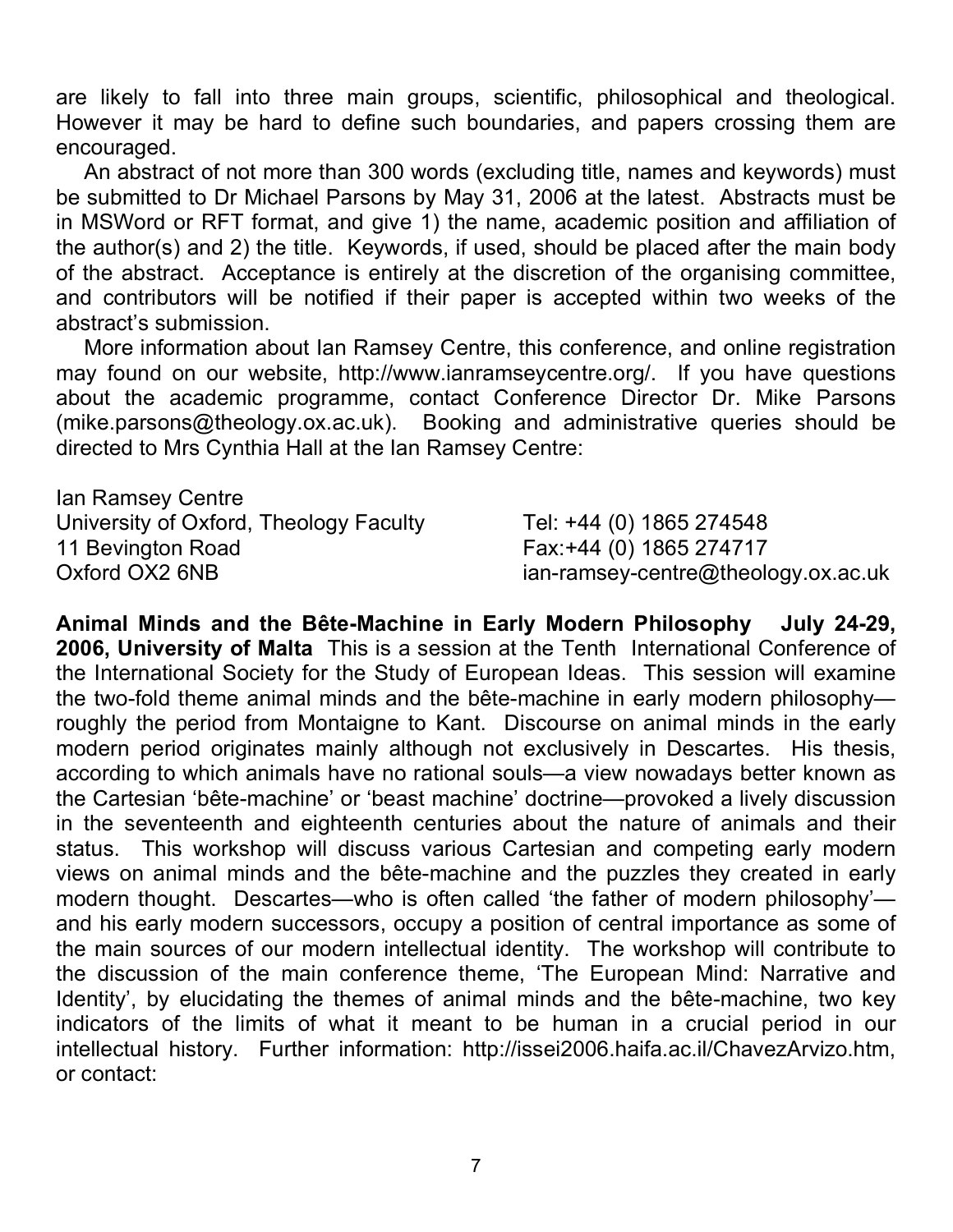are likely to fall into three main groups, scientific, philosophical and theological. However it may be hard to define such boundaries, and papers crossing them are encouraged.

An abstract of not more than 300 words (excluding title, names and keywords) must be submitted to Dr Michael Parsons by May 31, 2006 at the latest. Abstracts must be in MSWord or RFT format, and give 1) the name, academic position and affiliation of the author(s) and 2) the title. Keywords, if used, should be placed after the main body of the abstract. Acceptance is entirely at the discretion of the organising committee, and contributors will be notified if their paper is accepted within two weeks of the abstract's submission.

More information about Ian Ramsey Centre, this conference, and online registration may found on our website, http://www.ianramseycentre.org/. If you have questions about the academic programme, contact Conference Director Dr. Mike Parsons (mike.parsons@theology.ox.ac.uk). Booking and administrative queries should be directed to Mrs Cynthia Hall at the Ian Ramsey Centre:

| lan Ramsey Centre                      |                                     |
|----------------------------------------|-------------------------------------|
| University of Oxford, Theology Faculty | Tel: +44 (0) 1865 274548            |
| 11 Bevington Road                      | Fax: +44 (0) 1865 274717            |
| Oxford OX2 6NB                         | ian-ramsey-centre@theology.ox.ac.uk |

**Animal Minds and the Bête-Machine in Early Modern Philosophy July 24-29, 2006, University of Malta** This is a session at the Tenth International Conference of the International Society for the Study of European Ideas. This session will examine the two-fold theme animal minds and the bête-machine in early modern philosophy roughly the period from Montaigne to Kant. Discourse on animal minds in the early modern period originates mainly although not exclusively in Descartes. His thesis, according to which animals have no rational souls—a view nowadays better known as the Cartesian 'bête-machine' or 'beast machine' doctrine—provoked a lively discussion in the seventeenth and eighteenth centuries about the nature of animals and their status. This workshop will discuss various Cartesian and competing early modern views on animal minds and the bête-machine and the puzzles they created in early modern thought. Descartes—who is often called 'the father of modern philosophy' and his early modern successors, occupy a position of central importance as some of the main sources of our modern intellectual identity. The workshop will contribute to the discussion of the main conference theme, 'The European Mind: Narrative and Identity', by elucidating the themes of animal minds and the bête-machine, two key indicators of the limits of what it meant to be human in a crucial period in our intellectual history. Further information: http://issei2006.haifa.ac.il/ChavezArvizo.htm, or contact: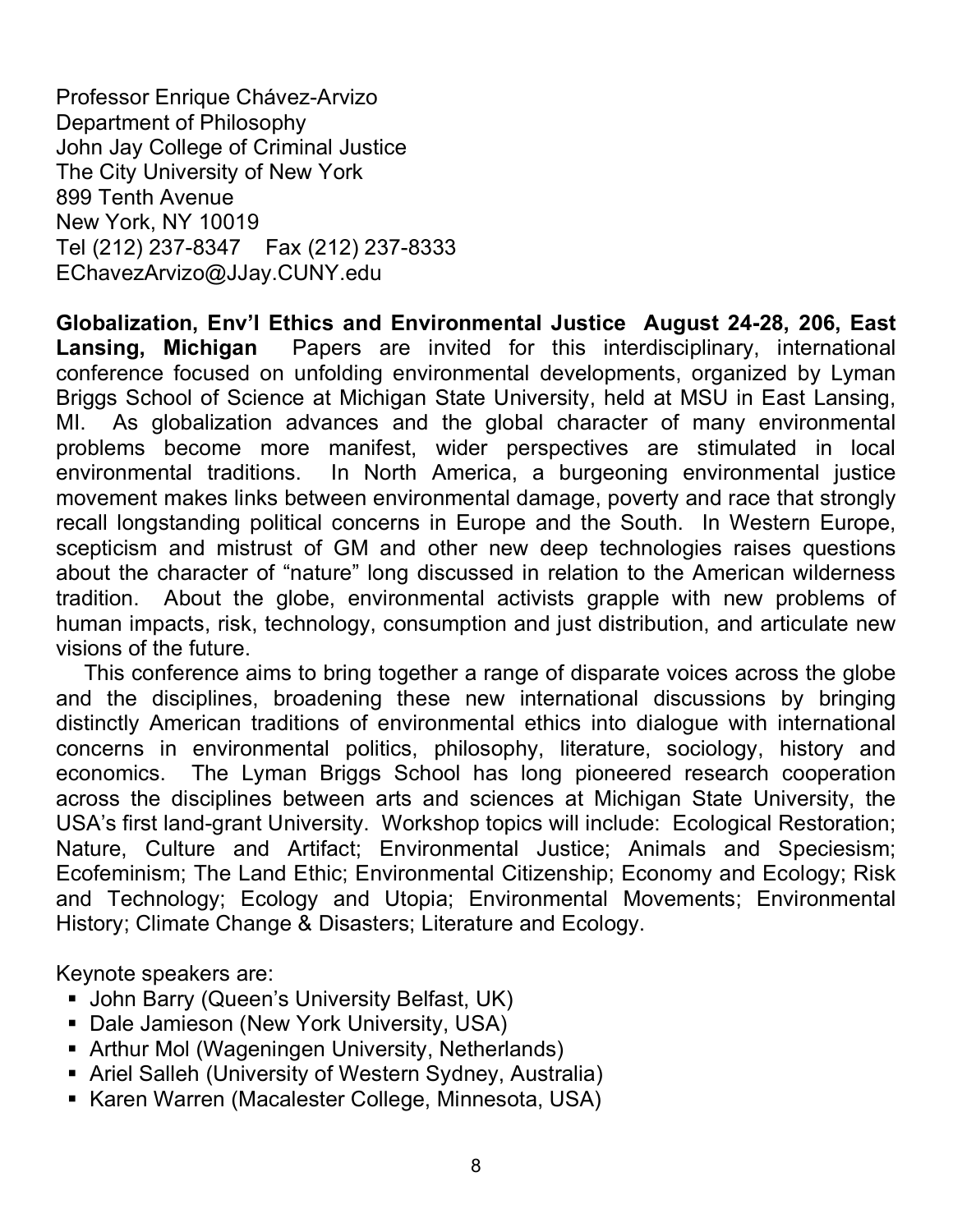Professor Enrique Chávez-Arvizo Department of Philosophy John Jay College of Criminal Justice The City University of New York 899 Tenth Avenue New York, NY 10019 Tel (212) 237-8347 Fax (212) 237-8333 EChavezArvizo@JJay.CUNY.edu

**Globalization, Env'l Ethics and Environmental Justice August 24-28, 206, East Lansing, Michigan** Papers are invited for this interdisciplinary, international conference focused on unfolding environmental developments, organized by Lyman Briggs School of Science at Michigan State University, held at MSU in East Lansing, MI. As globalization advances and the global character of many environmental problems become more manifest, wider perspectives are stimulated in local environmental traditions. In North America, a burgeoning environmental justice movement makes links between environmental damage, poverty and race that strongly recall longstanding political concerns in Europe and the South. In Western Europe, scepticism and mistrust of GM and other new deep technologies raises questions about the character of "nature" long discussed in relation to the American wilderness tradition. About the globe, environmental activists grapple with new problems of human impacts, risk, technology, consumption and just distribution, and articulate new visions of the future.

This conference aims to bring together a range of disparate voices across the globe and the disciplines, broadening these new international discussions by bringing distinctly American traditions of environmental ethics into dialogue with international concerns in environmental politics, philosophy, literature, sociology, history and economics. The Lyman Briggs School has long pioneered research cooperation across the disciplines between arts and sciences at Michigan State University, the USA's first land-grant University. Workshop topics will include: Ecological Restoration; Nature, Culture and Artifact; Environmental Justice; Animals and Speciesism; Ecofeminism; The Land Ethic; Environmental Citizenship; Economy and Ecology; Risk and Technology; Ecology and Utopia; Environmental Movements; Environmental History; Climate Change & Disasters; Literature and Ecology.

Keynote speakers are:

- **John Barry (Queen's University Belfast, UK)**
- **-** Dale Jamieson (New York University, USA)
- Arthur Mol (Wageningen University, Netherlands)
- Ariel Salleh (University of Western Sydney, Australia)
- Karen Warren (Macalester College, Minnesota, USA)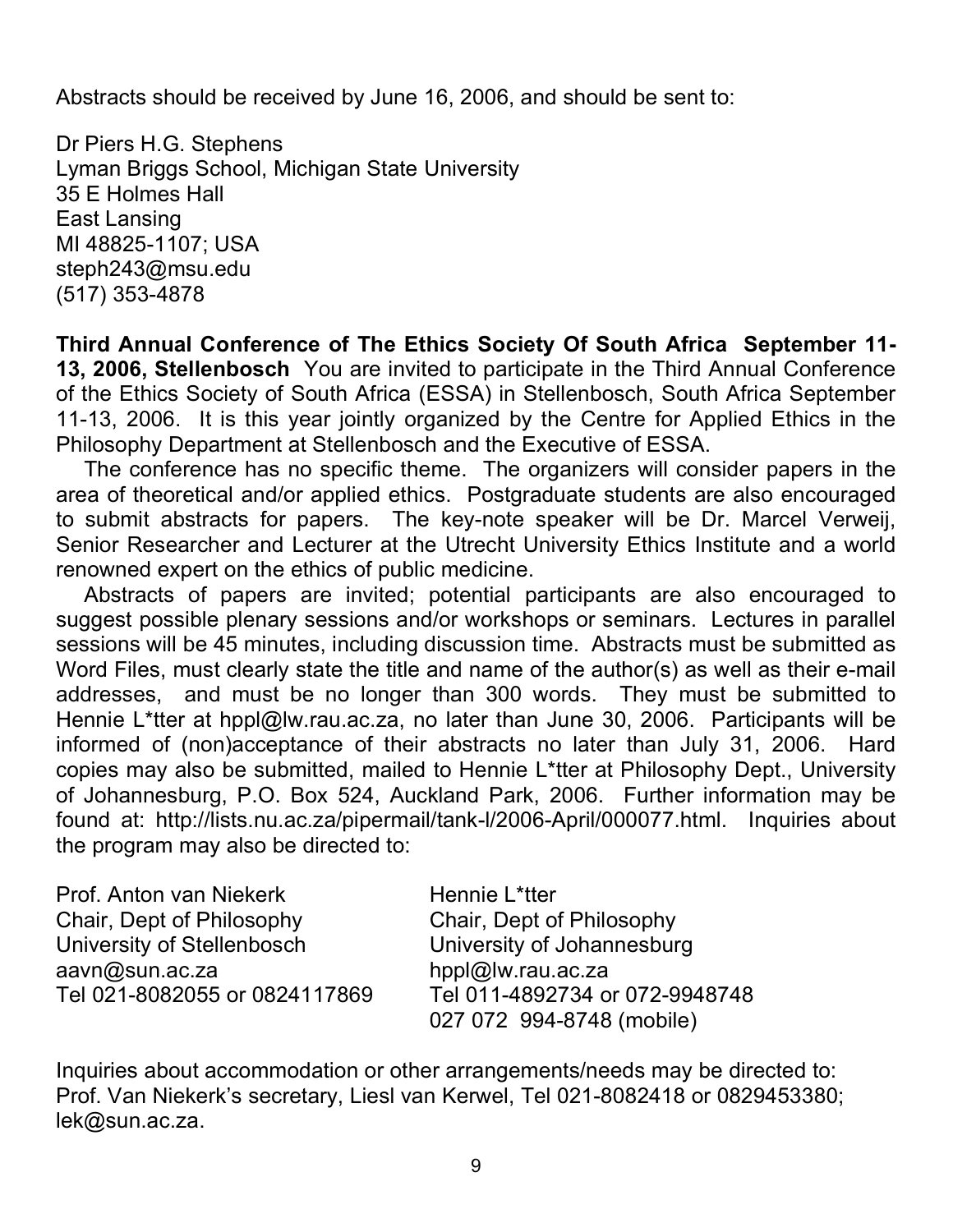Abstracts should be received by June 16, 2006, and should be sent to:

Dr Piers H.G. Stephens Lyman Briggs School, Michigan State University 35 E Holmes Hall East Lansing MI 48825-1107; USA steph243@msu.edu (517) 353-4878

**Third Annual Conference of The Ethics Society Of South Africa September 11- 13, 2006, Stellenbosch** You are invited to participate in the Third Annual Conference of the Ethics Society of South Africa (ESSA) in Stellenbosch, South Africa September 11-13, 2006. It is this year jointly organized by the Centre for Applied Ethics in the Philosophy Department at Stellenbosch and the Executive of ESSA.

The conference has no specific theme. The organizers will consider papers in the area of theoretical and/or applied ethics. Postgraduate students are also encouraged to submit abstracts for papers. The key-note speaker will be Dr. Marcel Verweij, Senior Researcher and Lecturer at the Utrecht University Ethics Institute and a world renowned expert on the ethics of public medicine.

Abstracts of papers are invited; potential participants are also encouraged to suggest possible plenary sessions and/or workshops or seminars. Lectures in parallel sessions will be 45 minutes, including discussion time. Abstracts must be submitted as Word Files, must clearly state the title and name of the author(s) as well as their e-mail addresses, and must be no longer than 300 words. They must be submitted to Hennie L\*tter at hppl@lw.rau.ac.za, no later than June 30, 2006. Participants will be informed of (non)acceptance of their abstracts no later than July 31, 2006. Hard copies may also be submitted, mailed to Hennie L\*tter at Philosophy Dept., University of Johannesburg, P.O. Box 524, Auckland Park, 2006. Further information may be found at: http://lists.nu.ac.za/pipermail/tank-l/2006-April/000077.html. Inquiries about the program may also be directed to:

| Prof. Anton van Niekerk       | Hennie L*tter                  |
|-------------------------------|--------------------------------|
| Chair, Dept of Philosophy     | Chair, Dept of Philosophy      |
| University of Stellenbosch    | University of Johannesburg     |
| aavn@sun.ac.za                | hppl@lw.rau.ac.za              |
| Tel 021-8082055 or 0824117869 | Tel 011-4892734 or 072-9948748 |
|                               | 027 072 994-8748 (mobile)      |

Inquiries about accommodation or other arrangements/needs may be directed to: Prof. Van Niekerk's secretary, Liesl van Kerwel, Tel 021-8082418 or 0829453380; lek@sun.ac.za.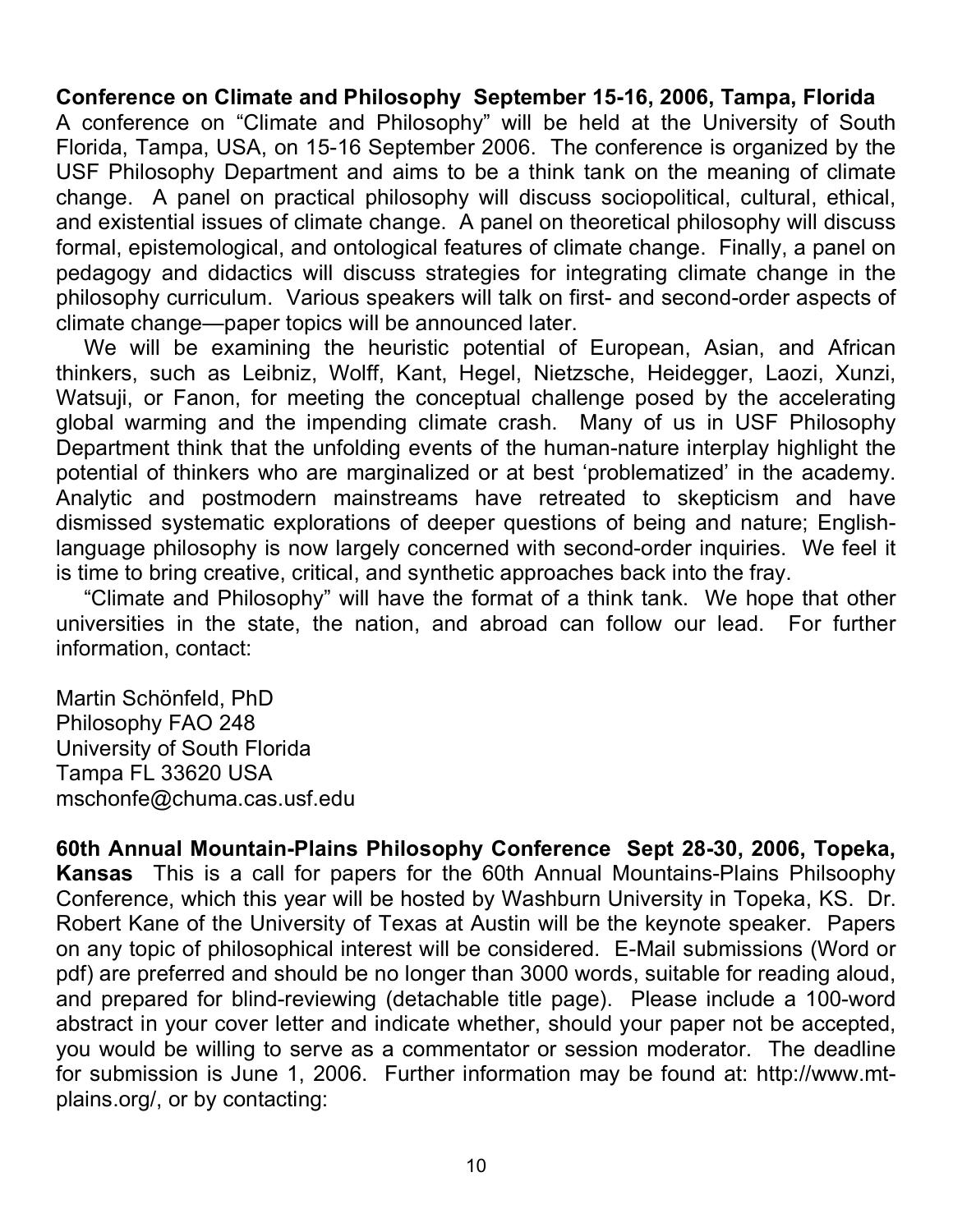**Conference on Climate and Philosophy September 15-16, 2006, Tampa, Florida** A conference on "Climate and Philosophy" will be held at the University of South Florida, Tampa, USA, on 15-16 September 2006. The conference is organized by the USF Philosophy Department and aims to be a think tank on the meaning of climate change. A panel on practical philosophy will discuss sociopolitical, cultural, ethical, and existential issues of climate change. A panel on theoretical philosophy will discuss formal, epistemological, and ontological features of climate change. Finally, a panel on pedagogy and didactics will discuss strategies for integrating climate change in the philosophy curriculum. Various speakers will talk on first- and second-order aspects of climate change—paper topics will be announced later.

We will be examining the heuristic potential of European, Asian, and African thinkers, such as Leibniz, Wolff, Kant, Hegel, Nietzsche, Heidegger, Laozi, Xunzi, Watsuji, or Fanon, for meeting the conceptual challenge posed by the accelerating global warming and the impending climate crash. Many of us in USF Philosophy Department think that the unfolding events of the human-nature interplay highlight the potential of thinkers who are marginalized or at best 'problematized' in the academy. Analytic and postmodern mainstreams have retreated to skepticism and have dismissed systematic explorations of deeper questions of being and nature; Englishlanguage philosophy is now largely concerned with second-order inquiries. We feel it is time to bring creative, critical, and synthetic approaches back into the fray.

"Climate and Philosophy" will have the format of a think tank. We hope that other universities in the state, the nation, and abroad can follow our lead. For further information, contact:

Martin Schönfeld, PhD Philosophy FAO 248 University of South Florida Tampa FL 33620 USA mschonfe@chuma.cas.usf.edu

**60th Annual Mountain-Plains Philosophy Conference Sept 28-30, 2006, Topeka, Kansas** This is a call for papers for the 60th Annual Mountains-Plains Philsoophy Conference, which this year will be hosted by Washburn University in Topeka, KS. Dr. Robert Kane of the University of Texas at Austin will be the keynote speaker. Papers on any topic of philosophical interest will be considered. E-Mail submissions (Word or pdf) are preferred and should be no longer than 3000 words, suitable for reading aloud, and prepared for blind-reviewing (detachable title page). Please include a 100-word abstract in your cover letter and indicate whether, should your paper not be accepted, you would be willing to serve as a commentator or session moderator. The deadline for submission is June 1, 2006. Further information may be found at: http://www.mtplains.org/, or by contacting: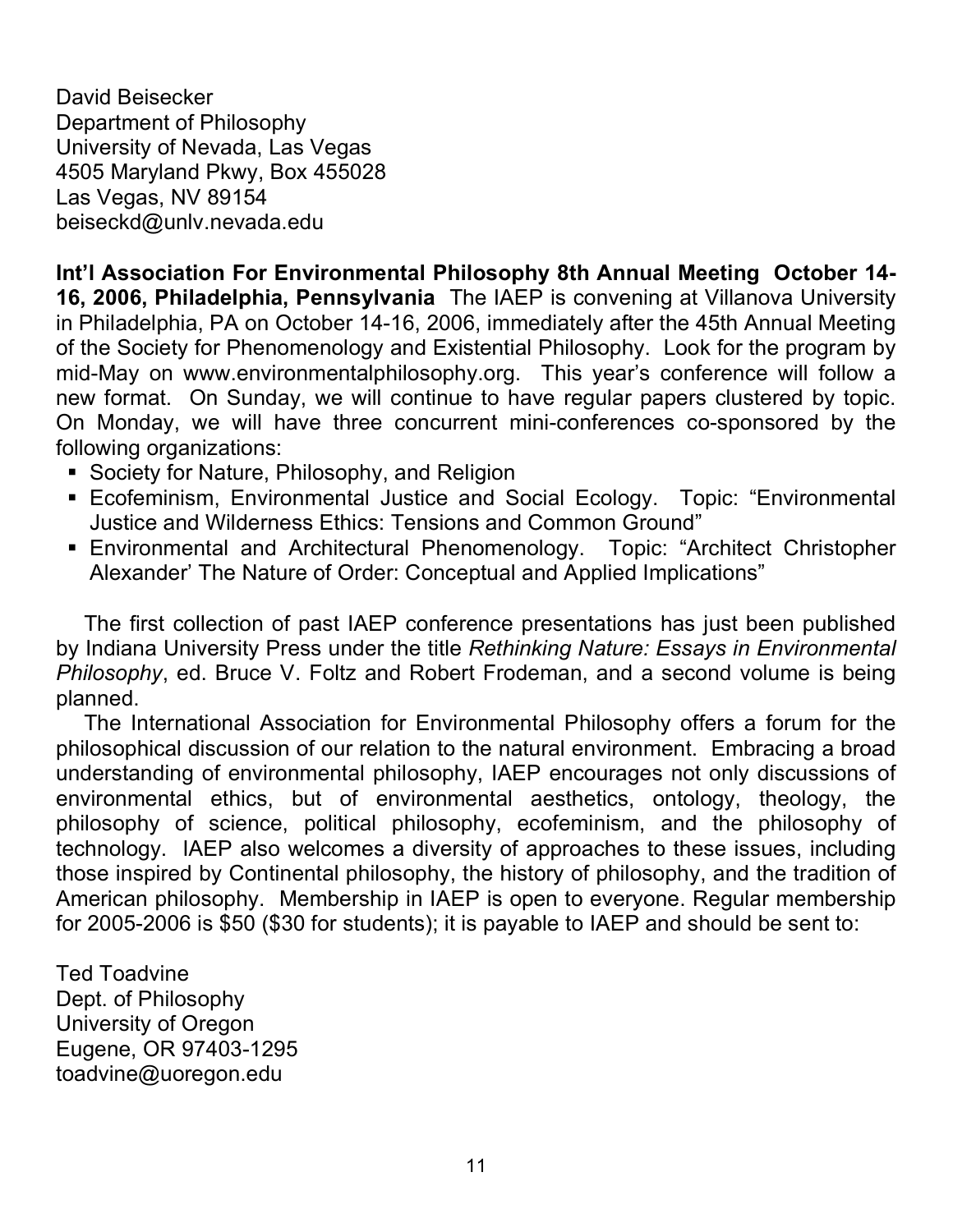David Beisecker Department of Philosophy University of Nevada, Las Vegas 4505 Maryland Pkwy, Box 455028 Las Vegas, NV 89154 beiseckd@unlv.nevada.edu

**Int'l Association For Environmental Philosophy 8th Annual Meeting October 14- 16, 2006, Philadelphia, Pennsylvania** The IAEP is convening at Villanova University in Philadelphia, PA on October 14-16, 2006, immediately after the 45th Annual Meeting of the Society for Phenomenology and Existential Philosophy. Look for the program by mid-May on www.environmentalphilosophy.org. This year's conference will follow a new format. On Sunday, we will continue to have regular papers clustered by topic. On Monday, we will have three concurrent mini-conferences co-sponsored by the following organizations:

- **Society for Nature, Philosophy, and Religion**
- Ecofeminism, Environmental Justice and Social Ecology. Topic: "Environmental Justice and Wilderness Ethics: Tensions and Common Ground"
- Environmental and Architectural Phenomenology. Topic: "Architect Christopher Alexander' The Nature of Order: Conceptual and Applied Implications"

The first collection of past IAEP conference presentations has just been published by Indiana University Press under the title *Rethinking Nature: Essays in Environmental Philosophy*, ed. Bruce V. Foltz and Robert Frodeman, and a second volume is being planned.

The International Association for Environmental Philosophy offers a forum for the philosophical discussion of our relation to the natural environment. Embracing a broad understanding of environmental philosophy, IAEP encourages not only discussions of environmental ethics, but of environmental aesthetics, ontology, theology, the philosophy of science, political philosophy, ecofeminism, and the philosophy of technology. IAEP also welcomes a diversity of approaches to these issues, including those inspired by Continental philosophy, the history of philosophy, and the tradition of American philosophy. Membership in IAEP is open to everyone. Regular membership for 2005-2006 is \$50 (\$30 for students); it is payable to IAEP and should be sent to:

Ted Toadvine Dept. of Philosophy University of Oregon Eugene, OR 97403-1295 toadvine@uoregon.edu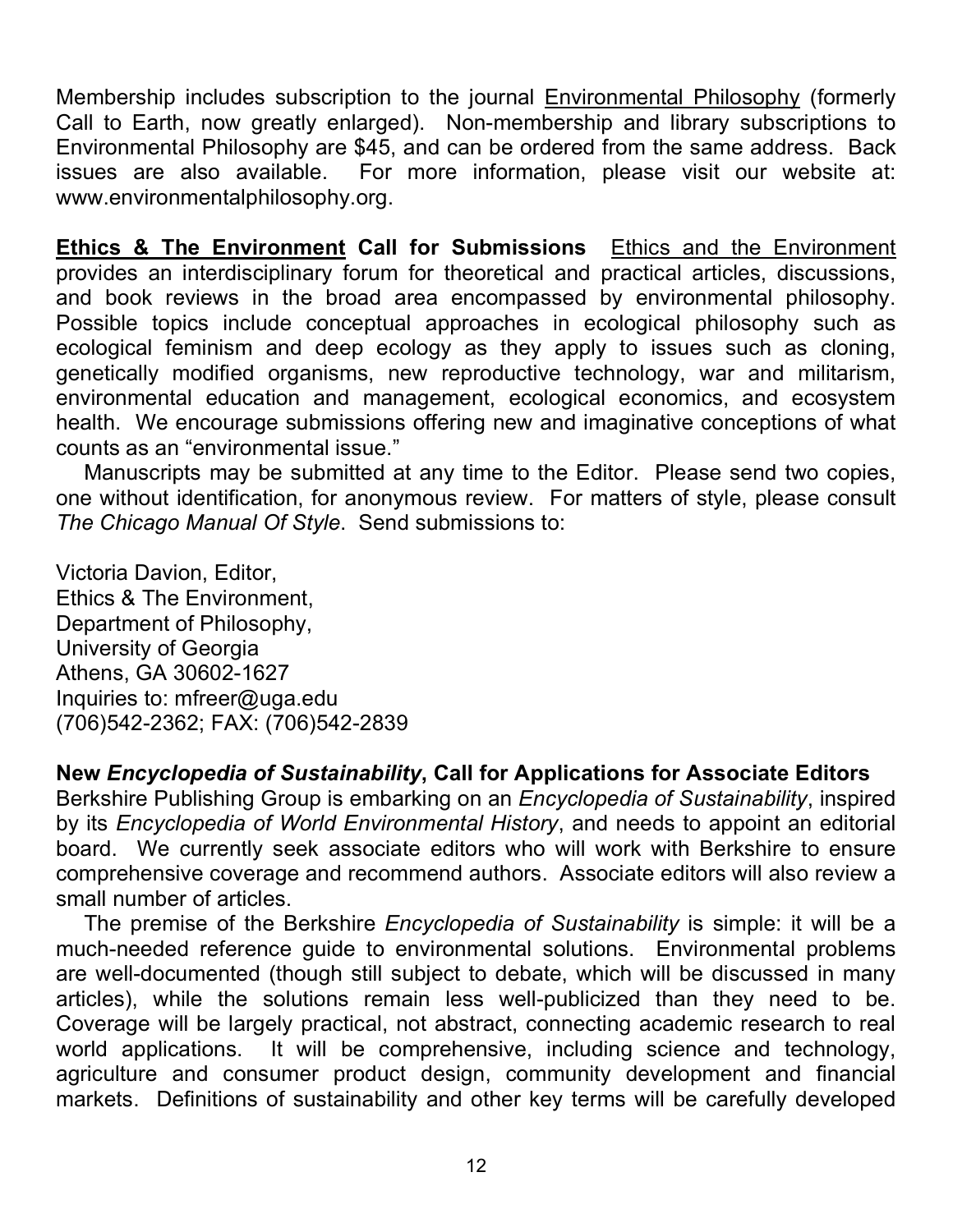Membership includes subscription to the journal **Environmental Philosophy** (formerly Call to Earth, now greatly enlarged). Non-membership and library subscriptions to Environmental Philosophy are \$45, and can be ordered from the same address. Back issues are also available. For more information, please visit our website at: www.environmentalphilosophy.org.

**Ethics & The Environment Call for Submissions** Ethics and the Environment provides an interdisciplinary forum for theoretical and practical articles, discussions, and book reviews in the broad area encompassed by environmental philosophy. Possible topics include conceptual approaches in ecological philosophy such as ecological feminism and deep ecology as they apply to issues such as cloning, genetically modified organisms, new reproductive technology, war and militarism, environmental education and management, ecological economics, and ecosystem health. We encourage submissions offering new and imaginative conceptions of what counts as an "environmental issue."

Manuscripts may be submitted at any time to the Editor. Please send two copies, one without identification, for anonymous review. For matters of style, please consult *The Chicago Manual Of Style*. Send submissions to:

Victoria Davion, Editor, Ethics & The Environment, Department of Philosophy, University of Georgia Athens, GA 30602-1627 Inquiries to: mfreer@uga.edu (706)542-2362; FAX: (706)542-2839

### **New** *Encyclopedia of Sustainability***, Call for Applications for Associate Editors**

Berkshire Publishing Group is embarking on an *Encyclopedia of Sustainability*, inspired by its *Encyclopedia of World Environmental History*, and needs to appoint an editorial board. We currently seek associate editors who will work with Berkshire to ensure comprehensive coverage and recommend authors. Associate editors will also review a small number of articles.

The premise of the Berkshire *Encyclopedia of Sustainability* is simple: it will be a much-needed reference guide to environmental solutions. Environmental problems are well-documented (though still subject to debate, which will be discussed in many articles), while the solutions remain less well-publicized than they need to be. Coverage will be largely practical, not abstract, connecting academic research to real world applications. It will be comprehensive, including science and technology, agriculture and consumer product design, community development and financial markets. Definitions of sustainability and other key terms will be carefully developed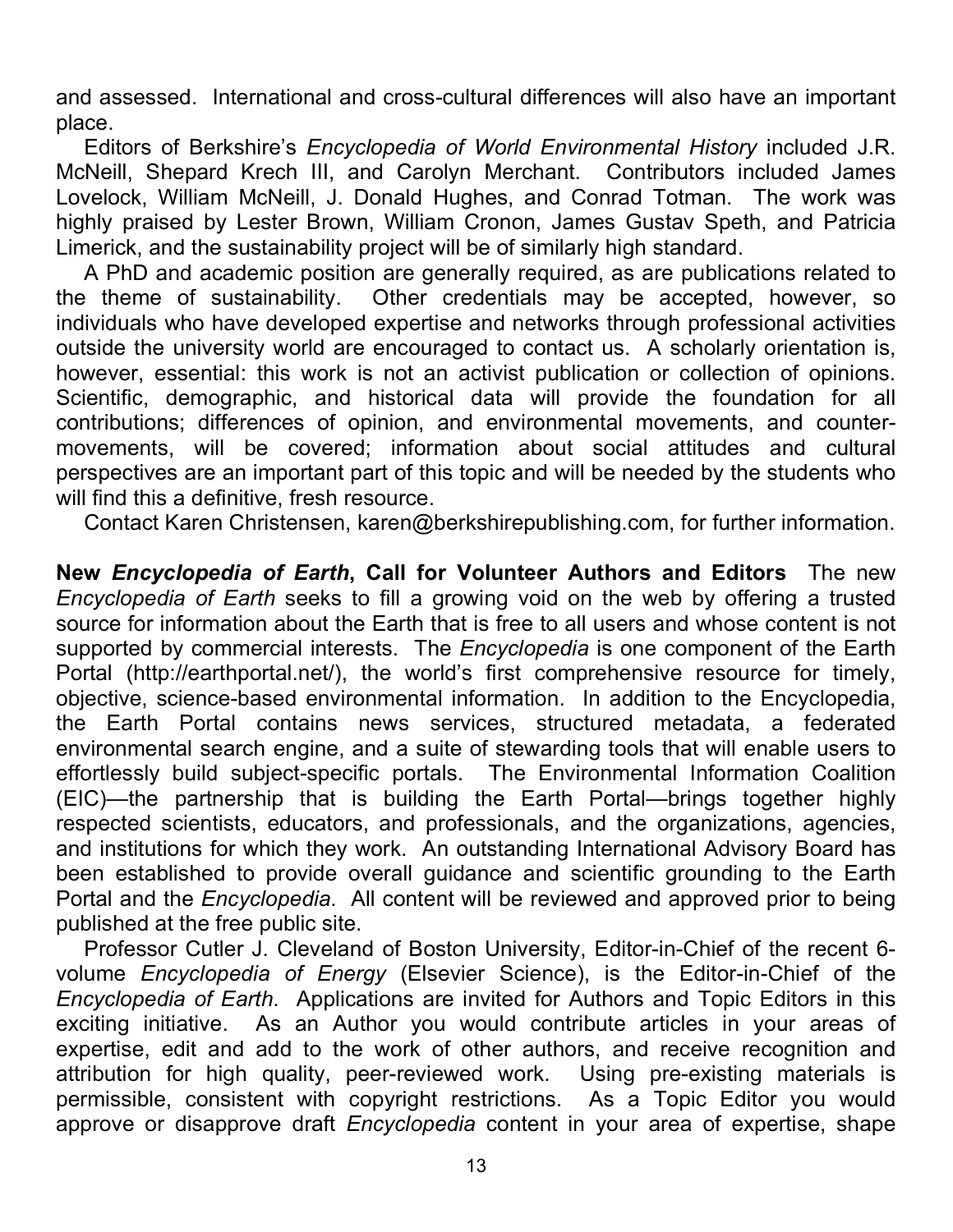and assessed. International and cross-cultural differences will also have an important place.

Editors of Berkshire's *Encyclopedia of World Environmental History* included J.R. McNeill, Shepard Krech III, and Carolyn Merchant. Contributors included James Lovelock, William McNeill, J. Donald Hughes, and Conrad Totman. The work was highly praised by Lester Brown, William Cronon, James Gustav Speth, and Patricia Limerick, and the sustainability project will be of similarly high standard.

A PhD and academic position are generally required, as are publications related to the theme of sustainability. Other credentials may be accepted, however, so individuals who have developed expertise and networks through professional activities outside the university world are encouraged to contact us. A scholarly orientation is, however, essential: this work is not an activist publication or collection of opinions. Scientific, demographic, and historical data will provide the foundation for all contributions; differences of opinion, and environmental movements, and countermovements, will be covered; information about social attitudes and cultural perspectives are an important part of this topic and will be needed by the students who will find this a definitive, fresh resource.

Contact Karen Christensen, karen@berkshirepublishing.com, for further information.

**New** *Encyclopedia of Earth***, Call for Volunteer Authors and Editors** The new *Encyclopedia of Earth* seeks to fill a growing void on the web by offering a trusted source for information about the Earth that is free to all users and whose content is not supported by commercial interests. The *Encyclopedia* is one component of the Earth Portal (http://earthportal.net/), the world's first comprehensive resource for timely, objective, science-based environmental information. In addition to the Encyclopedia, the Earth Portal contains news services, structured metadata, a federated environmental search engine, and a suite of stewarding tools that will enable users to effortlessly build subject-specific portals. The Environmental Information Coalition (EIC)—the partnership that is building the Earth Portal—brings together highly respected scientists, educators, and professionals, and the organizations, agencies, and institutions for which they work. An outstanding International Advisory Board has been established to provide overall guidance and scientific grounding to the Earth Portal and the *Encyclopedia*. All content will be reviewed and approved prior to being published at the free public site.

Professor Cutler J. Cleveland of Boston University, Editor-in-Chief of the recent 6 volume *Encyclopedia of Energy* (Elsevier Science), is the Editor-in-Chief of the *Encyclopedia of Earth*. Applications are invited for Authors and Topic Editors in this exciting initiative. As an Author you would contribute articles in your areas of expertise, edit and add to the work of other authors, and receive recognition and attribution for high quality, peer-reviewed work. Using pre-existing materials is permissible, consistent with copyright restrictions. As a Topic Editor you would approve or disapprove draft *Encyclopedia* content in your area of expertise, shape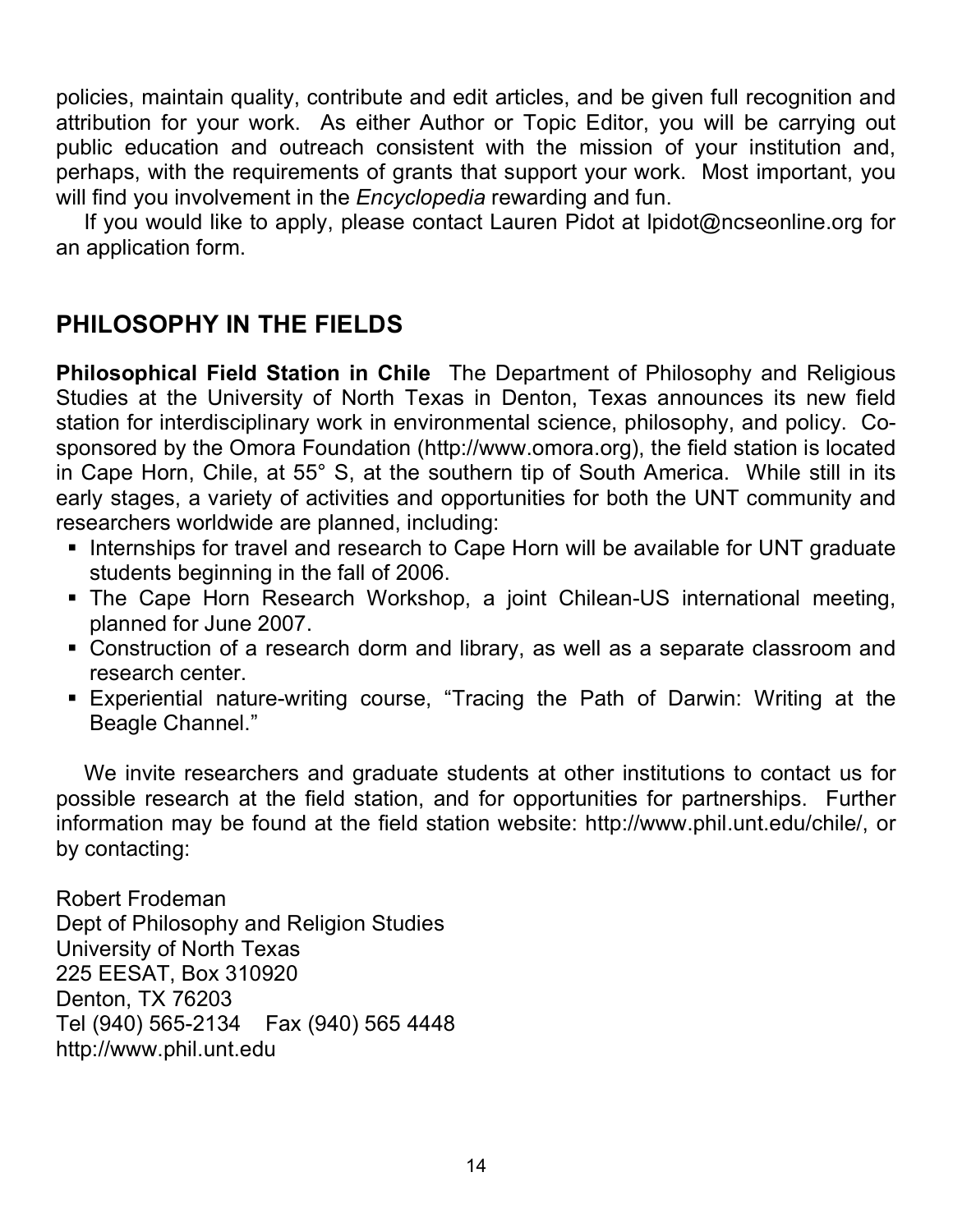policies, maintain quality, contribute and edit articles, and be given full recognition and attribution for your work. As either Author or Topic Editor, you will be carrying out public education and outreach consistent with the mission of your institution and, perhaps, with the requirements of grants that support your work. Most important, you will find you involvement in the *Encyclopedia* rewarding and fun.

If you would like to apply, please contact Lauren Pidot at lpidot@ncseonline.org for an application form.

## **PHILOSOPHY IN THE FIELDS**

**Philosophical Field Station in Chile** The Department of Philosophy and Religious Studies at the University of North Texas in Denton, Texas announces its new field station for interdisciplinary work in environmental science, philosophy, and policy. Cosponsored by the Omora Foundation (http://www.omora.org), the field station is located in Cape Horn, Chile, at 55° S, at the southern tip of South America. While still in its early stages, a variety of activities and opportunities for both the UNT community and researchers worldwide are planned, including:

- **Internships for travel and research to Cape Horn will be available for UNT graduate** students beginning in the fall of 2006.
- The Cape Horn Research Workshop, a joint Chilean-US international meeting, planned for June 2007.
- Construction of a research dorm and library, as well as a separate classroom and research center.
- Experiential nature-writing course, "Tracing the Path of Darwin: Writing at the Beagle Channel."

We invite researchers and graduate students at other institutions to contact us for possible research at the field station, and for opportunities for partnerships. Further information may be found at the field station website: http://www.phil.unt.edu/chile/, or by contacting:

Robert Frodeman Dept of Philosophy and Religion Studies University of North Texas 225 EESAT, Box 310920 Denton, TX 76203 Tel (940) 565-2134 Fax (940) 565 4448 http://www.phil.unt.edu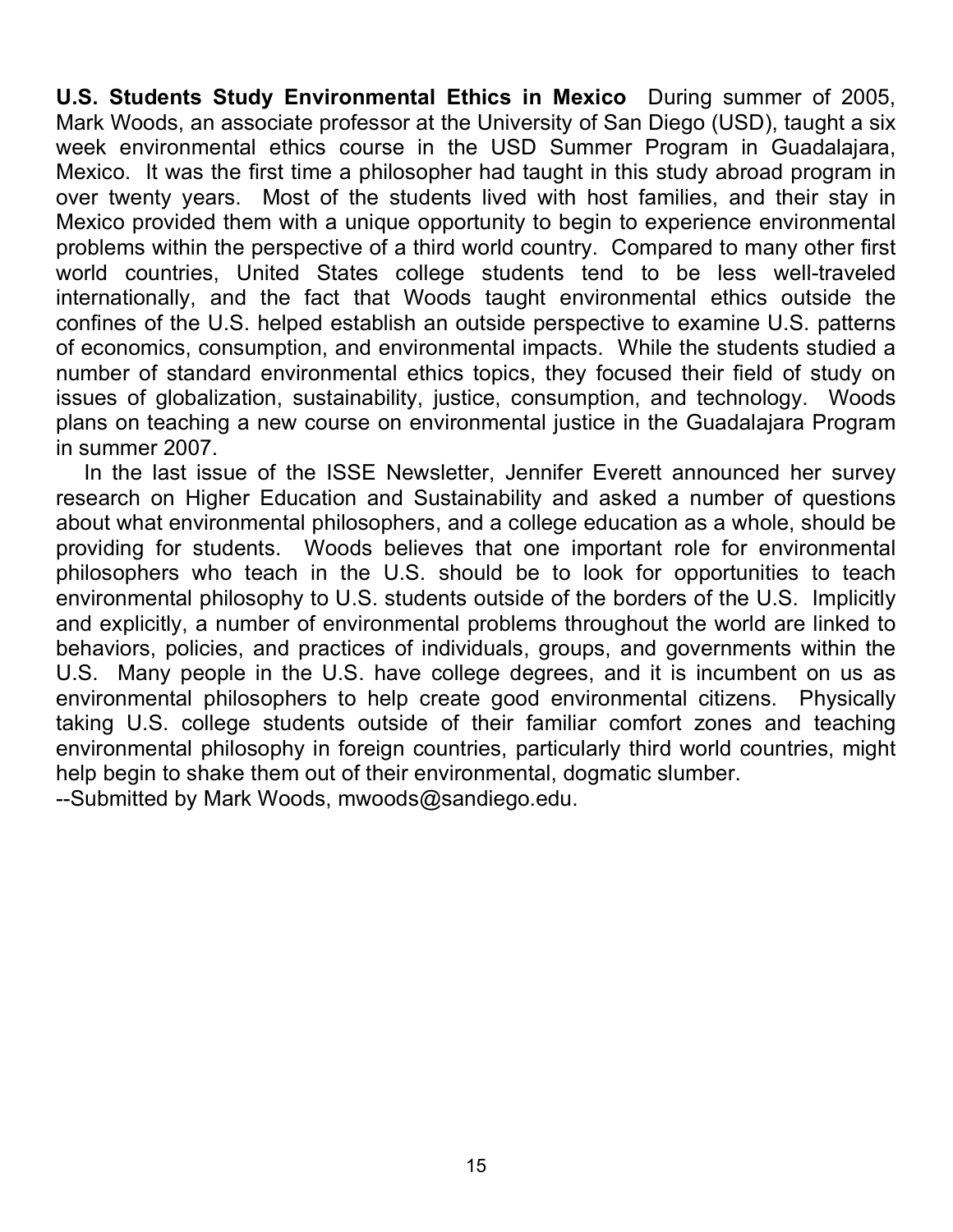**U.S. Students Study Environmental Ethics in Mexico** During summer of 2005, Mark Woods, an associate professor at the University of San Diego (USD), taught a six week environmental ethics course in the USD Summer Program in Guadalajara, Mexico. It was the first time a philosopher had taught in this study abroad program in over twenty years. Most of the students lived with host families, and their stay in Mexico provided them with a unique opportunity to begin to experience environmental problems within the perspective of a third world country. Compared to many other first world countries, United States college students tend to be less well-traveled internationally, and the fact that Woods taught environmental ethics outside the confines of the U.S. helped establish an outside perspective to examine U.S. patterns of economics, consumption, and environmental impacts. While the students studied a number of standard environmental ethics topics, they focused their field of study on issues of globalization, sustainability, justice, consumption, and technology. Woods plans on teaching a new course on environmental justice in the Guadalajara Program in summer 2007.

In the last issue of the ISSE Newsletter, Jennifer Everett announced her survey research on Higher Education and Sustainability and asked a number of questions about what environmental philosophers, and a college education as a whole, should be providing for students. Woods believes that one important role for environmental philosophers who teach in the U.S. should be to look for opportunities to teach environmental philosophy to U.S. students outside of the borders of the U.S. Implicitly and explicitly, a number of environmental problems throughout the world are linked to behaviors, policies, and practices of individuals, groups, and governments within the U.S. Many people in the U.S. have college degrees, and it is incumbent on us as environmental philosophers to help create good environmental citizens. Physically taking U.S. college students outside of their familiar comfort zones and teaching environmental philosophy in foreign countries, particularly third world countries, might help begin to shake them out of their environmental, dogmatic slumber. --Submitted by Mark Woods, mwoods@sandiego.edu.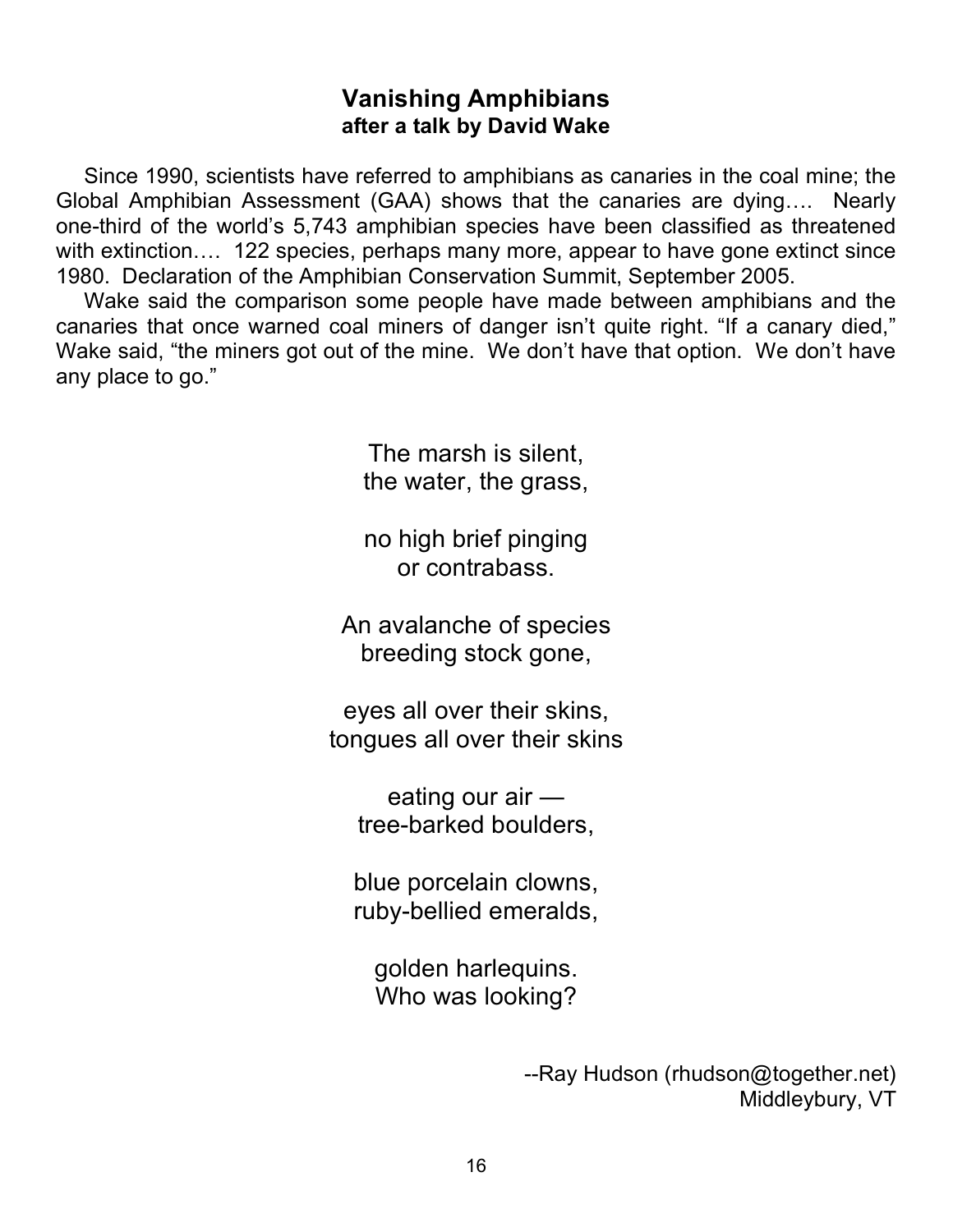### **Vanishing Amphibians after a talk by David Wake**

Since 1990, scientists have referred to amphibians as canaries in the coal mine; the Global Amphibian Assessment (GAA) shows that the canaries are dying…. Nearly one-third of the world's 5,743 amphibian species have been classified as threatened with extinction.... 122 species, perhaps many more, appear to have gone extinct since 1980. Declaration of the Amphibian Conservation Summit, September 2005.

Wake said the comparison some people have made between amphibians and the canaries that once warned coal miners of danger isn't quite right. "If a canary died," Wake said, "the miners got out of the mine. We don't have that option. We don't have any place to go."

> The marsh is silent, the water, the grass,

no high brief pinging or contrabass.

An avalanche of species breeding stock gone,

eyes all over their skins, tongues all over their skins

eating our air tree-barked boulders,

blue porcelain clowns, ruby-bellied emeralds,

golden harlequins. Who was looking?

> --Ray Hudson (rhudson@together.net) Middleybury, VT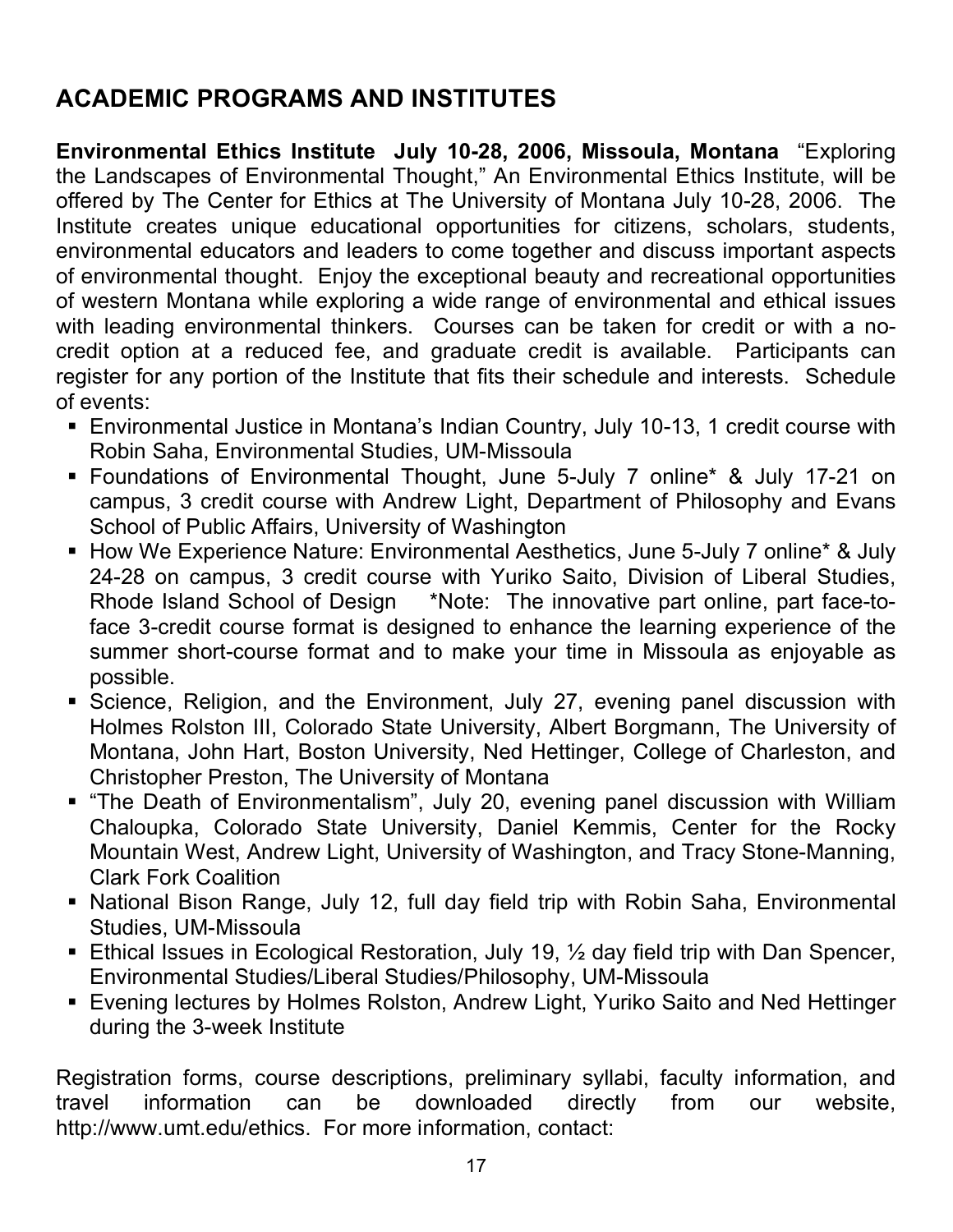# **ACADEMIC PROGRAMS AND INSTITUTES**

**Environmental Ethics Institute July 10-28, 2006, Missoula, Montana** "Exploring the Landscapes of Environmental Thought," An Environmental Ethics Institute, will be offered by The Center for Ethics at The University of Montana July 10-28, 2006. The Institute creates unique educational opportunities for citizens, scholars, students, environmental educators and leaders to come together and discuss important aspects of environmental thought. Enjoy the exceptional beauty and recreational opportunities of western Montana while exploring a wide range of environmental and ethical issues with leading environmental thinkers. Courses can be taken for credit or with a nocredit option at a reduced fee, and graduate credit is available. Participants can register for any portion of the Institute that fits their schedule and interests. Schedule of events:

- Environmental Justice in Montana's Indian Country, July 10-13, 1 credit course with Robin Saha, Environmental Studies, UM-Missoula
- Foundations of Environmental Thought, June 5-July 7 online\* & July 17-21 on campus, 3 credit course with Andrew Light, Department of Philosophy and Evans School of Public Affairs, University of Washington
- How We Experience Nature: Environmental Aesthetics, June 5-July 7 online\* & July 24-28 on campus, 3 credit course with Yuriko Saito, Division of Liberal Studies, Rhode Island School of Design \*Note: The innovative part online, part face-toface 3-credit course format is designed to enhance the learning experience of the summer short-course format and to make your time in Missoula as enjoyable as possible.
- Science, Religion, and the Environment, July 27, evening panel discussion with Holmes Rolston III, Colorado State University, Albert Borgmann, The University of Montana, John Hart, Boston University, Ned Hettinger, College of Charleston, and Christopher Preston, The University of Montana
- "The Death of Environmentalism", July 20, evening panel discussion with William Chaloupka, Colorado State University, Daniel Kemmis, Center for the Rocky Mountain West, Andrew Light, University of Washington, and Tracy Stone-Manning, Clark Fork Coalition
- National Bison Range, July 12, full day field trip with Robin Saha, Environmental Studies, UM-Missoula
- **Ethical Issues in Ecological Restoration, July 19, 1/2 day field trip with Dan Spencer,** Environmental Studies/Liberal Studies/Philosophy, UM-Missoula
- Evening lectures by Holmes Rolston, Andrew Light, Yuriko Saito and Ned Hettinger during the 3-week Institute

Registration forms, course descriptions, preliminary syllabi, faculty information, and travel information can be downloaded directly from our website, http://www.umt.edu/ethics. For more information, contact: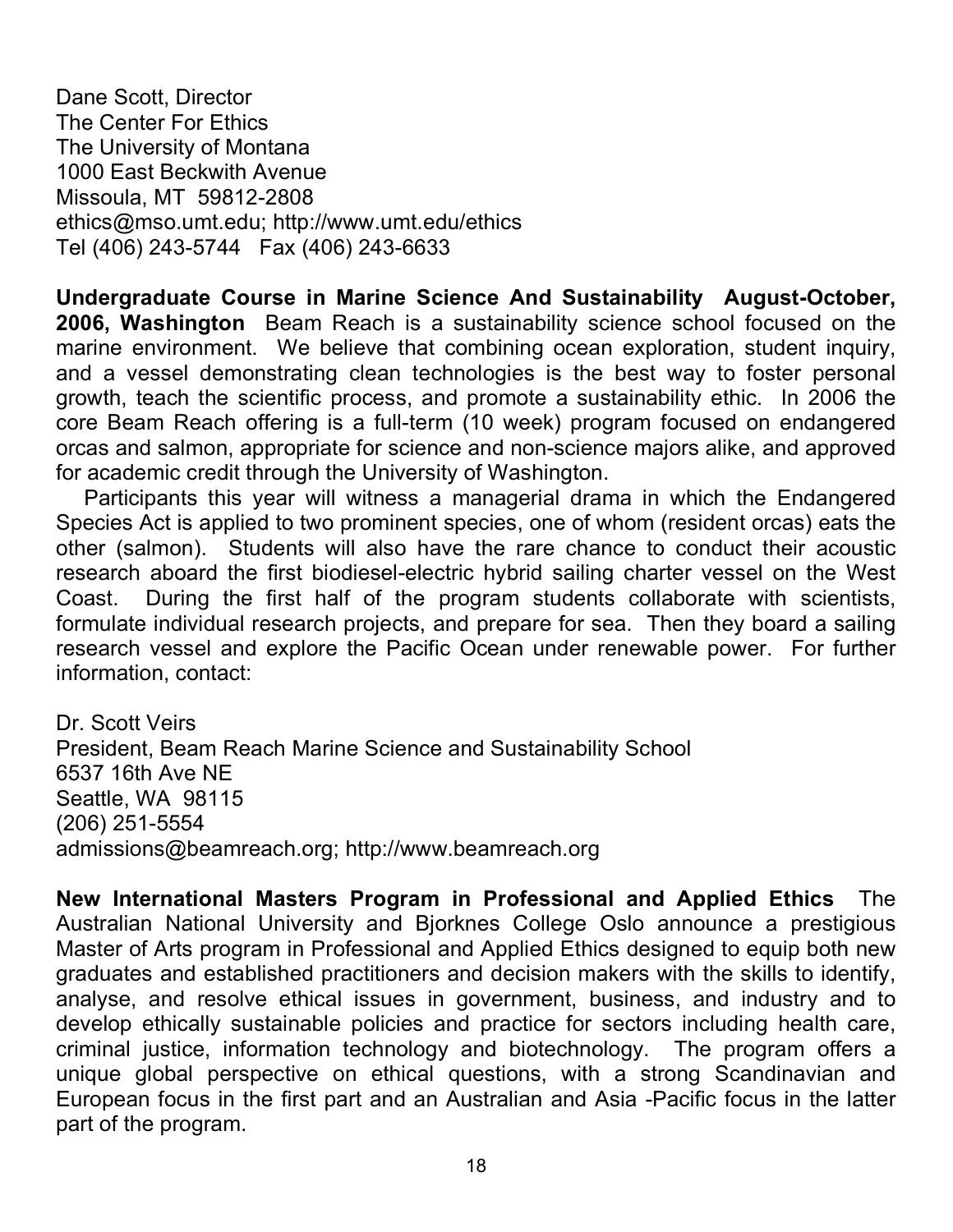Dane Scott, Director The Center For Ethics The University of Montana 1000 East Beckwith Avenue Missoula, MT 59812-2808 ethics@mso.umt.edu; http://www.umt.edu/ethics Tel (406) 243-5744 Fax (406) 243-6633

**Undergraduate Course in Marine Science And Sustainability August-October, 2006, Washington** Beam Reach is a sustainability science school focused on the marine environment. We believe that combining ocean exploration, student inquiry, and a vessel demonstrating clean technologies is the best way to foster personal growth, teach the scientific process, and promote a sustainability ethic. In 2006 the core Beam Reach offering is a full-term (10 week) program focused on endangered orcas and salmon, appropriate for science and non-science majors alike, and approved for academic credit through the University of Washington.

Participants this year will witness a managerial drama in which the Endangered Species Act is applied to two prominent species, one of whom (resident orcas) eats the other (salmon). Students will also have the rare chance to conduct their acoustic research aboard the first biodiesel-electric hybrid sailing charter vessel on the West Coast. During the first half of the program students collaborate with scientists, formulate individual research projects, and prepare for sea. Then they board a sailing research vessel and explore the Pacific Ocean under renewable power. For further information, contact:

Dr. Scott Veirs President, Beam Reach Marine Science and Sustainability School 6537 16th Ave NE Seattle, WA 98115 (206) 251-5554 admissions@beamreach.org; http://www.beamreach.org

**New International Masters Program in Professional and Applied Ethics** The Australian National University and Bjorknes College Oslo announce a prestigious Master of Arts program in Professional and Applied Ethics designed to equip both new graduates and established practitioners and decision makers with the skills to identify, analyse, and resolve ethical issues in government, business, and industry and to develop ethically sustainable policies and practice for sectors including health care, criminal justice, information technology and biotechnology. The program offers a unique global perspective on ethical questions, with a strong Scandinavian and European focus in the first part and an Australian and Asia -Pacific focus in the latter part of the program.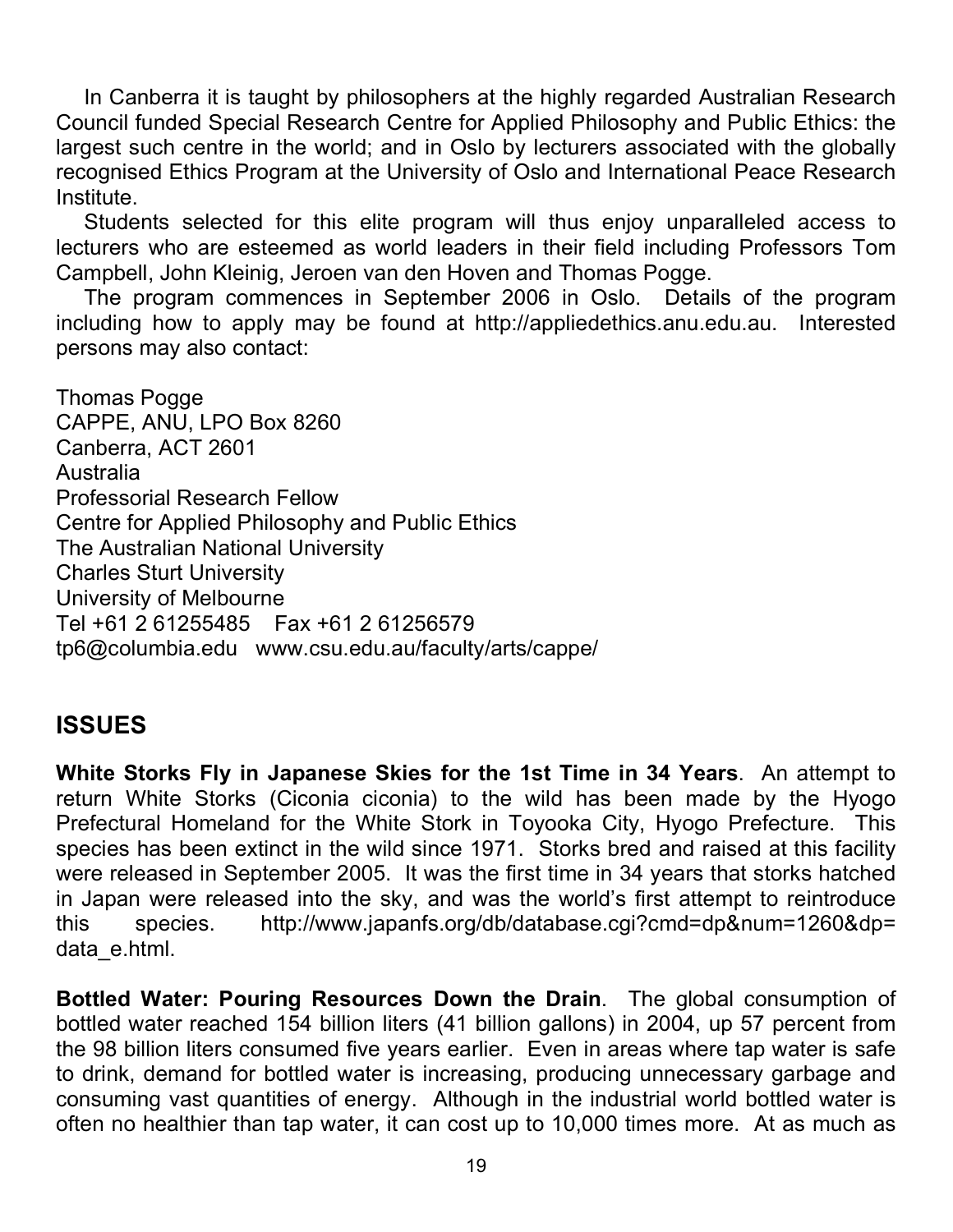In Canberra it is taught by philosophers at the highly regarded Australian Research Council funded Special Research Centre for Applied Philosophy and Public Ethics: the largest such centre in the world; and in Oslo by lecturers associated with the globally recognised Ethics Program at the University of Oslo and International Peace Research Institute.

Students selected for this elite program will thus enjoy unparalleled access to lecturers who are esteemed as world leaders in their field including Professors Tom Campbell, John Kleinig, Jeroen van den Hoven and Thomas Pogge.

The program commences in September 2006 in Oslo. Details of the program including how to apply may be found at http://appliedethics.anu.edu.au. Interested persons may also contact:

Thomas Pogge CAPPE, ANU, LPO Box 8260 Canberra, ACT 2601 Australia Professorial Research Fellow Centre for Applied Philosophy and Public Ethics The Australian National University Charles Sturt University University of Melbourne Tel +61 2 61255485 Fax +61 2 61256579 tp6@columbia.edu www.csu.edu.au/faculty/arts/cappe/

## **ISSUES**

**White Storks Fly in Japanese Skies for the 1st Time in 34 Years**. An attempt to return White Storks (Ciconia ciconia) to the wild has been made by the Hyogo Prefectural Homeland for the White Stork in Toyooka City, Hyogo Prefecture. This species has been extinct in the wild since 1971. Storks bred and raised at this facility were released in September 2005. It was the first time in 34 years that storks hatched in Japan were released into the sky, and was the world's first attempt to reintroduce this species. http://www.japanfs.org/db/database.cgi?cmd=dp&num=1260&dp= data\_e.html.

**Bottled Water: Pouring Resources Down the Drain**. The global consumption of bottled water reached 154 billion liters (41 billion gallons) in 2004, up 57 percent from the 98 billion liters consumed five years earlier. Even in areas where tap water is safe to drink, demand for bottled water is increasing, producing unnecessary garbage and consuming vast quantities of energy. Although in the industrial world bottled water is often no healthier than tap water, it can cost up to 10,000 times more. At as much as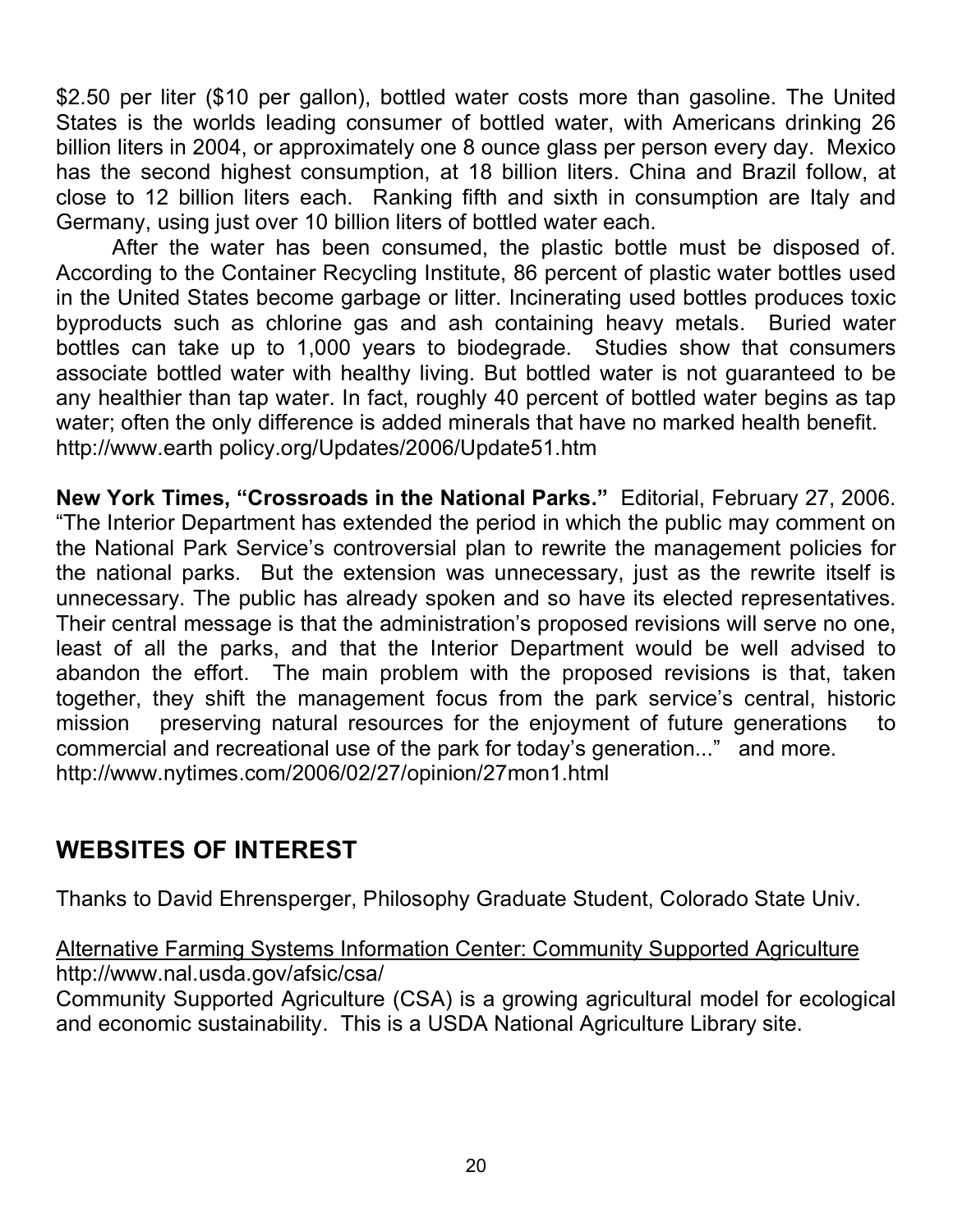\$2.50 per liter (\$10 per gallon), bottled water costs more than gasoline. The United States is the worlds leading consumer of bottled water, with Americans drinking 26 billion liters in 2004, or approximately one 8 ounce glass per person every day. Mexico has the second highest consumption, at 18 billion liters. China and Brazil follow, at close to 12 billion liters each. Ranking fifth and sixth in consumption are Italy and Germany, using just over 10 billion liters of bottled water each.

After the water has been consumed, the plastic bottle must be disposed of. According to the Container Recycling Institute, 86 percent of plastic water bottles used in the United States become garbage or litter. Incinerating used bottles produces toxic byproducts such as chlorine gas and ash containing heavy metals. Buried water bottles can take up to 1,000 years to biodegrade. Studies show that consumers associate bottled water with healthy living. But bottled water is not guaranteed to be any healthier than tap water. In fact, roughly 40 percent of bottled water begins as tap water; often the only difference is added minerals that have no marked health benefit. http://www.earth policy.org/Updates/2006/Update51.htm

**New York Times, "Crossroads in the National Parks."** Editorial, February 27, 2006. "The Interior Department has extended the period in which the public may comment on the National Park Service's controversial plan to rewrite the management policies for the national parks. But the extension was unnecessary, just as the rewrite itself is unnecessary. The public has already spoken and so have its elected representatives. Their central message is that the administration's proposed revisions will serve no one, least of all the parks, and that the Interior Department would be well advised to abandon the effort. The main problem with the proposed revisions is that, taken together, they shift the management focus from the park service's central, historic mission preserving natural resources for the enjoyment of future generations to commercial and recreational use of the park for today's generation..." and more. http://www.nytimes.com/2006/02/27/opinion/27mon1.html

## **WEBSITES OF INTEREST**

Thanks to David Ehrensperger, Philosophy Graduate Student, Colorado State Univ.

Alternative Farming Systems Information Center: Community Supported Agriculture http://www.nal.usda.gov/afsic/csa/ Community Supported Agriculture (CSA) is a growing agricultural model for ecological and economic sustainability. This is a USDA National Agriculture Library site.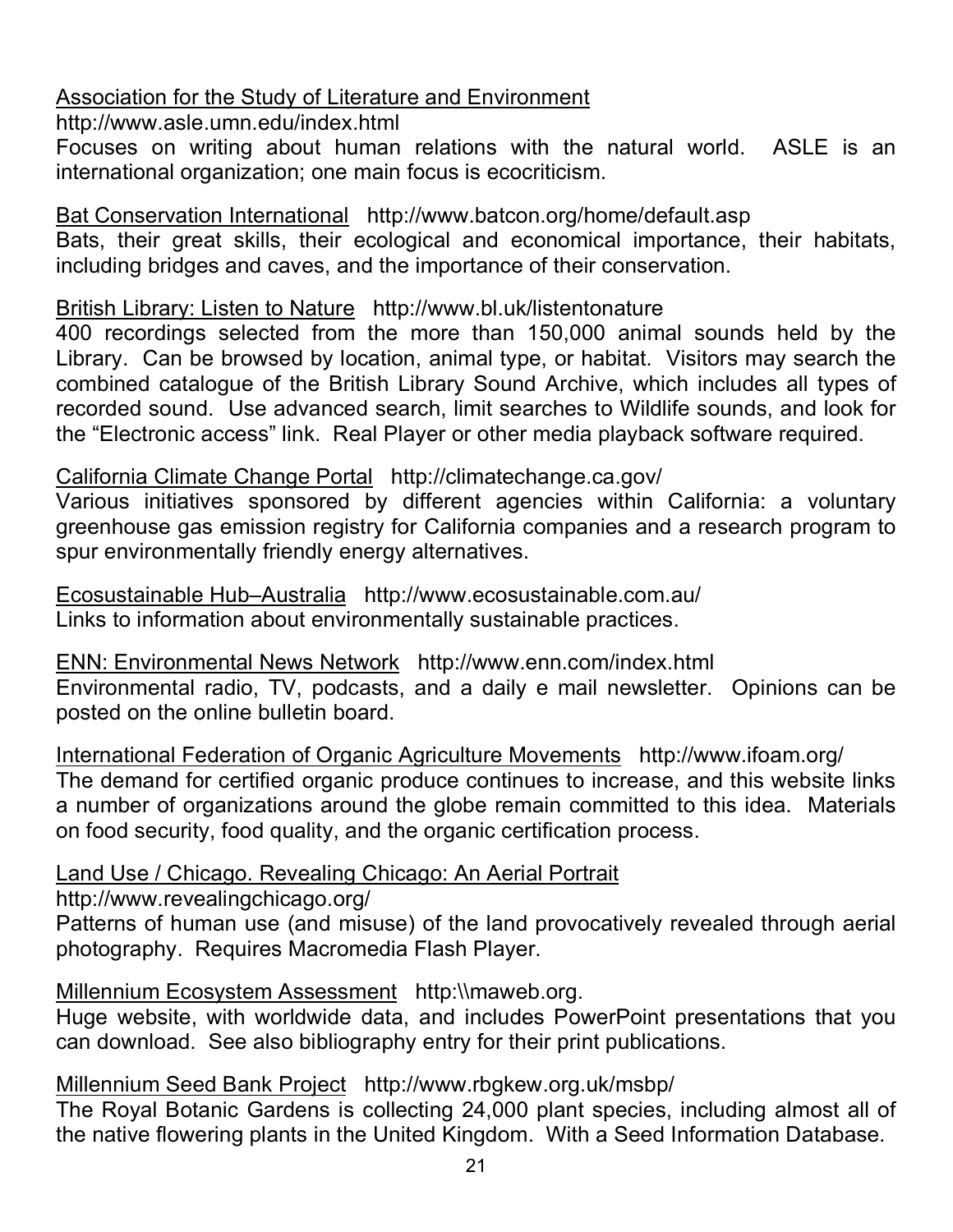### Association for the Study of Literature and Environment

http://www.asle.umn.edu/index.html

Focuses on writing about human relations with the natural world. ASLE is an international organization; one main focus is ecocriticism.

Bat Conservation International http://www.batcon.org/home/default.asp Bats, their great skills, their ecological and economical importance, their habitats, including bridges and caves, and the importance of their conservation.

British Library: Listen to Nature http://www.bl.uk/listentonature

400 recordings selected from the more than 150,000 animal sounds held by the Library. Can be browsed by location, animal type, or habitat. Visitors may search the combined catalogue of the British Library Sound Archive, which includes all types of recorded sound. Use advanced search, limit searches to Wildlife sounds, and look for the "Electronic access" link. Real Player or other media playback software required.

California Climate Change Portal http://climatechange.ca.gov/

Various initiatives sponsored by different agencies within California: a voluntary greenhouse gas emission registry for California companies and a research program to spur environmentally friendly energy alternatives.

Ecosustainable Hub–Australia http://www.ecosustainable.com.au/ Links to information about environmentally sustainable practices.

ENN: Environmental News Network http://www.enn.com/index.html Environmental radio, TV, podcasts, and a daily e mail newsletter. Opinions can be posted on the online bulletin board.

International Federation of Organic Agriculture Movements http://www.ifoam.org/ The demand for certified organic produce continues to increase, and this website links a number of organizations around the globe remain committed to this idea. Materials on food security, food quality, and the organic certification process.

Land Use / Chicago. Revealing Chicago: An Aerial Portrait

http://www.revealingchicago.org/

Patterns of human use (and misuse) of the land provocatively revealed through aerial photography. Requires Macromedia Flash Player.

Millennium Ecosystem Assessment http:\\maweb.org.

Huge website, with worldwide data, and includes PowerPoint presentations that you can download. See also bibliography entry for their print publications.

Millennium Seed Bank Project http://www.rbgkew.org.uk/msbp/

The Royal Botanic Gardens is collecting 24,000 plant species, including almost all of the native flowering plants in the United Kingdom. With a Seed Information Database.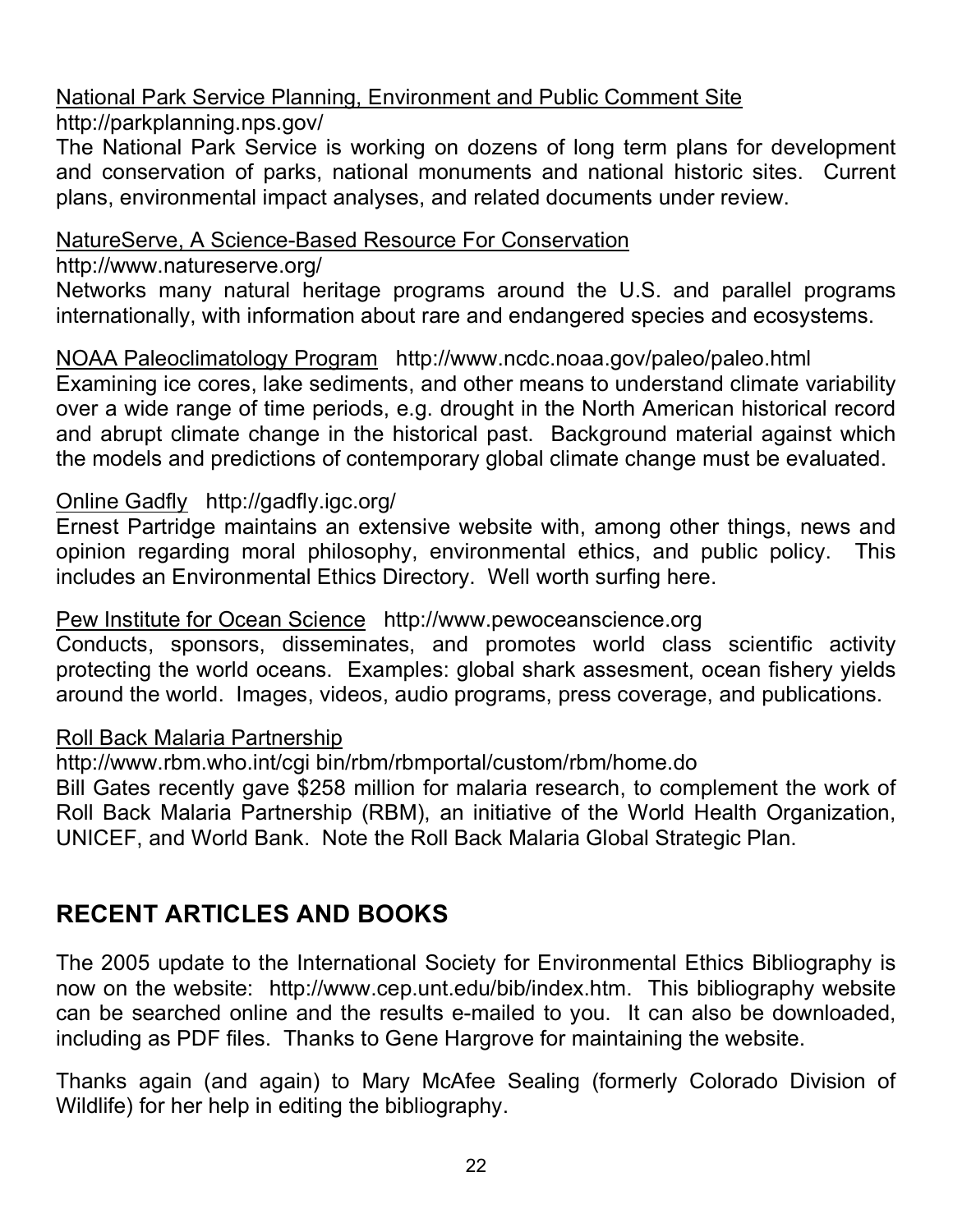#### National Park Service Planning, Environment and Public Comment Site http://parkplanning.nps.gov/

The National Park Service is working on dozens of long term plans for development and conservation of parks, national monuments and national historic sites. Current plans, environmental impact analyses, and related documents under review.

#### NatureServe, A Science-Based Resource For Conservation

http://www.natureserve.org/

Networks many natural heritage programs around the U.S. and parallel programs internationally, with information about rare and endangered species and ecosystems.

NOAA Paleoclimatology Program http://www.ncdc.noaa.gov/paleo/paleo.html Examining ice cores, lake sediments, and other means to understand climate variability over a wide range of time periods, e.g. drought in the North American historical record and abrupt climate change in the historical past. Background material against which the models and predictions of contemporary global climate change must be evaluated.

### Online Gadfly http://gadfly.igc.org/

Ernest Partridge maintains an extensive website with, among other things, news and opinion regarding moral philosophy, environmental ethics, and public policy. This includes an Environmental Ethics Directory. Well worth surfing here.

### Pew Institute for Ocean Science http://www.pewoceanscience.org

Conducts, sponsors, disseminates, and promotes world class scientific activity protecting the world oceans. Examples: global shark assesment, ocean fishery yields around the world. Images, videos, audio programs, press coverage, and publications.

### Roll Back Malaria Partnership

http://www.rbm.who.int/cgi bin/rbm/rbmportal/custom/rbm/home.do Bill Gates recently gave \$258 million for malaria research, to complement the work of Roll Back Malaria Partnership (RBM), an initiative of the World Health Organization, UNICEF, and World Bank. Note the Roll Back Malaria Global Strategic Plan.

## **RECENT ARTICLES AND BOOKS**

The 2005 update to the International Society for Environmental Ethics Bibliography is now on the website: http://www.cep.unt.edu/bib/index.htm. This bibliography website can be searched online and the results e-mailed to you. It can also be downloaded, including as PDF files. Thanks to Gene Hargrove for maintaining the website.

Thanks again (and again) to Mary McAfee Sealing (formerly Colorado Division of Wildlife) for her help in editing the bibliography.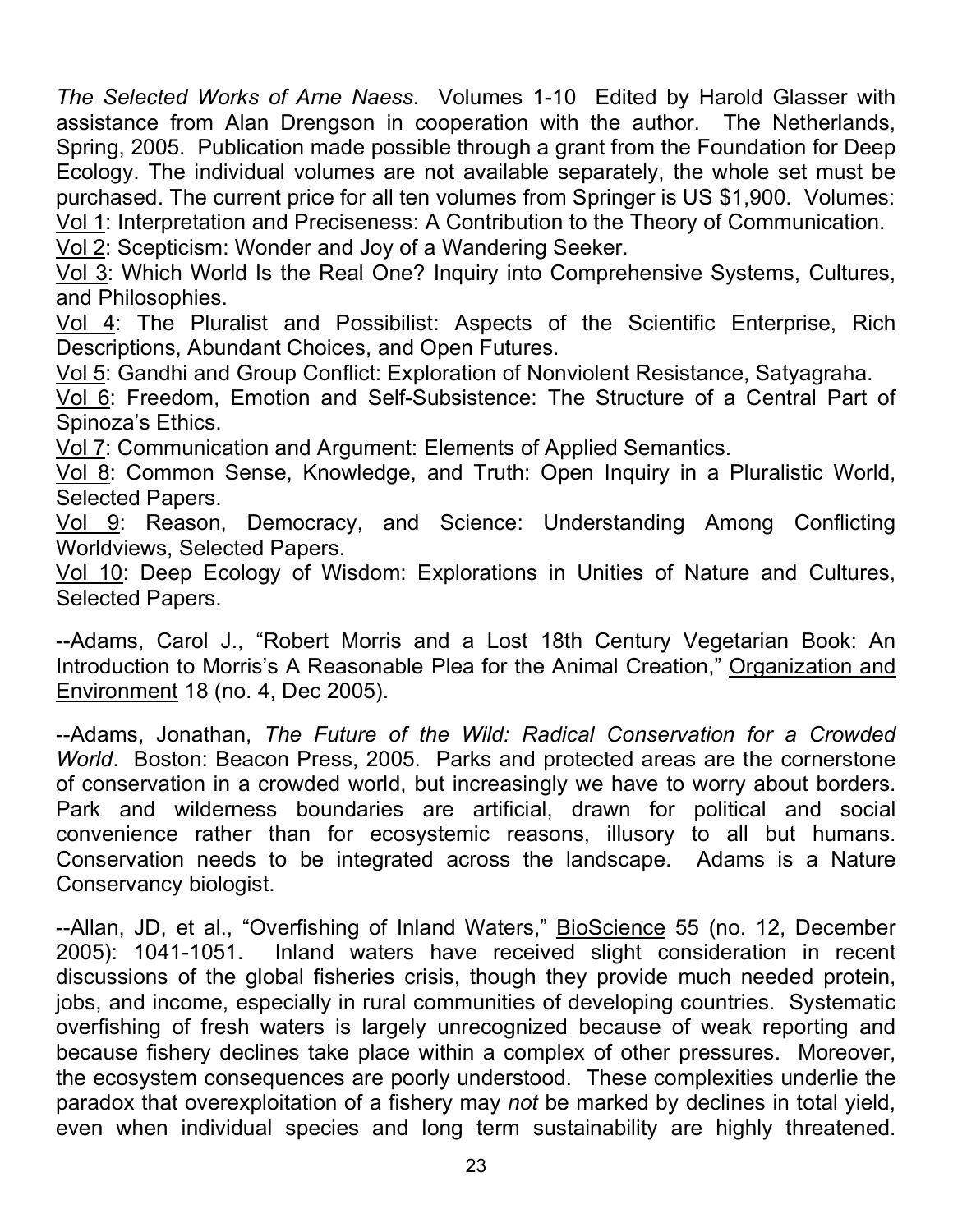*The Selected Works of Arne Naess*. Volumes 1-10 Edited by Harold Glasser with assistance from Alan Drengson in cooperation with the author. The Netherlands, Spring, 2005. Publication made possible through a grant from the Foundation for Deep Ecology. The individual volumes are not available separately, the whole set must be purchased. The current price for all ten volumes from Springer is US \$1,900. Volumes: Vol 1: Interpretation and Preciseness: A Contribution to the Theory of Communication.

Vol 2: Scepticism: Wonder and Joy of a Wandering Seeker.

Vol 3: Which World Is the Real One? Inquiry into Comprehensive Systems, Cultures, and Philosophies.

Vol 4: The Pluralist and Possibilist: Aspects of the Scientific Enterprise, Rich Descriptions, Abundant Choices, and Open Futures.

Vol 5: Gandhi and Group Conflict: Exploration of Nonviolent Resistance, Satyagraha.

Vol 6: Freedom, Emotion and Self-Subsistence: The Structure of a Central Part of Spinoza's Ethics.

Vol 7: Communication and Argument: Elements of Applied Semantics.

Vol 8: Common Sense, Knowledge, and Truth: Open Inquiry in a Pluralistic World, Selected Papers.

Vol 9: Reason, Democracy, and Science: Understanding Among Conflicting Worldviews, Selected Papers.

Vol 10: Deep Ecology of Wisdom: Explorations in Unities of Nature and Cultures, Selected Papers.

--Adams, Carol J., "Robert Morris and a Lost 18th Century Vegetarian Book: An Introduction to Morris's A Reasonable Plea for the Animal Creation," Organization and Environment 18 (no. 4, Dec 2005).

--Adams, Jonathan, *The Future of the Wild: Radical Conservation for a Crowded World*. Boston: Beacon Press, 2005. Parks and protected areas are the cornerstone of conservation in a crowded world, but increasingly we have to worry about borders. Park and wilderness boundaries are artificial, drawn for political and social convenience rather than for ecosystemic reasons, illusory to all but humans. Conservation needs to be integrated across the landscape. Adams is a Nature Conservancy biologist.

--Allan, JD, et al., "Overfishing of Inland Waters," BioScience 55 (no. 12, December 2005): 1041-1051. Inland waters have received slight consideration in recent discussions of the global fisheries crisis, though they provide much needed protein, jobs, and income, especially in rural communities of developing countries. Systematic overfishing of fresh waters is largely unrecognized because of weak reporting and because fishery declines take place within a complex of other pressures. Moreover, the ecosystem consequences are poorly understood. These complexities underlie the paradox that overexploitation of a fishery may *not* be marked by declines in total yield, even when individual species and long term sustainability are highly threatened.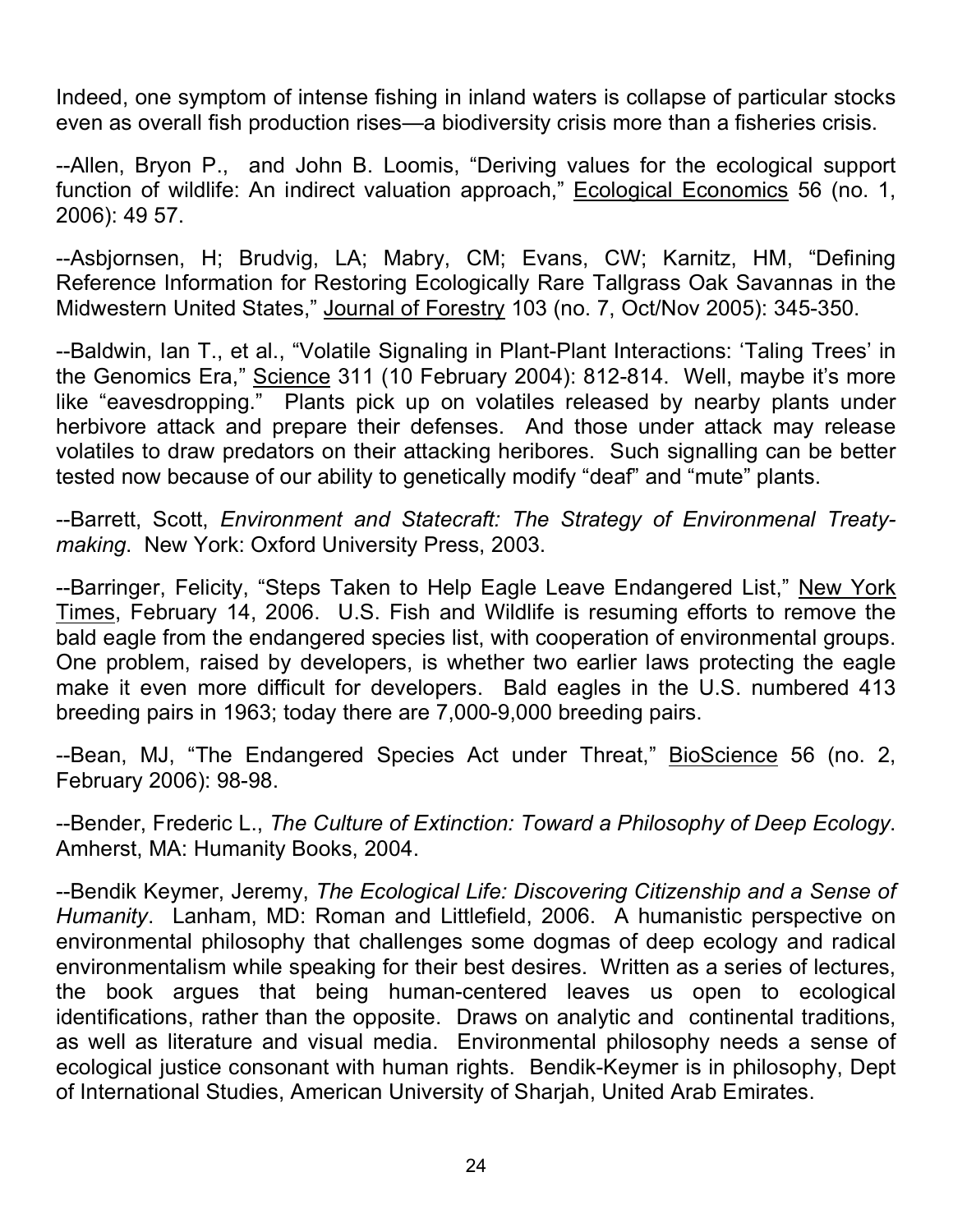Indeed, one symptom of intense fishing in inland waters is collapse of particular stocks even as overall fish production rises—a biodiversity crisis more than a fisheries crisis.

--Allen, Bryon P., and John B. Loomis, "Deriving values for the ecological support function of wildlife: An indirect valuation approach," Ecological Economics 56 (no. 1, 2006): 49 57.

--Asbjornsen, H; Brudvig, LA; Mabry, CM; Evans, CW; Karnitz, HM, "Defining Reference Information for Restoring Ecologically Rare Tallgrass Oak Savannas in the Midwestern United States," Journal of Forestry 103 (no. 7, Oct/Nov 2005): 345-350.

--Baldwin, Ian T., et al., "Volatile Signaling in Plant-Plant Interactions: 'Taling Trees' in the Genomics Era," Science 311 (10 February 2004): 812-814. Well, maybe it's more like "eavesdropping." Plants pick up on volatiles released by nearby plants under herbivore attack and prepare their defenses. And those under attack may release volatiles to draw predators on their attacking heribores. Such signalling can be better tested now because of our ability to genetically modify "deaf" and "mute" plants.

--Barrett, Scott, *Environment and Statecraft: The Strategy of Environmenal Treatymaking*. New York: Oxford University Press, 2003.

--Barringer, Felicity, "Steps Taken to Help Eagle Leave Endangered List," New York Times, February 14, 2006. U.S. Fish and Wildlife is resuming efforts to remove the bald eagle from the endangered species list, with cooperation of environmental groups. One problem, raised by developers, is whether two earlier laws protecting the eagle make it even more difficult for developers. Bald eagles in the U.S. numbered 413 breeding pairs in 1963; today there are 7,000-9,000 breeding pairs.

--Bean, MJ, "The Endangered Species Act under Threat," BioScience 56 (no. 2, February 2006): 98-98.

--Bender, Frederic L., *The Culture of Extinction: Toward a Philosophy of Deep Ecology*. Amherst, MA: Humanity Books, 2004.

--Bendik Keymer, Jeremy, *The Ecological Life: Discovering Citizenship and a Sense of Humanity*. Lanham, MD: Roman and Littlefield, 2006. A humanistic perspective on environmental philosophy that challenges some dogmas of deep ecology and radical environmentalism while speaking for their best desires. Written as a series of lectures, the book argues that being human-centered leaves us open to ecological identifications, rather than the opposite. Draws on analytic and continental traditions, as well as literature and visual media. Environmental philosophy needs a sense of ecological justice consonant with human rights. Bendik-Keymer is in philosophy, Dept of International Studies, American University of Sharjah, United Arab Emirates.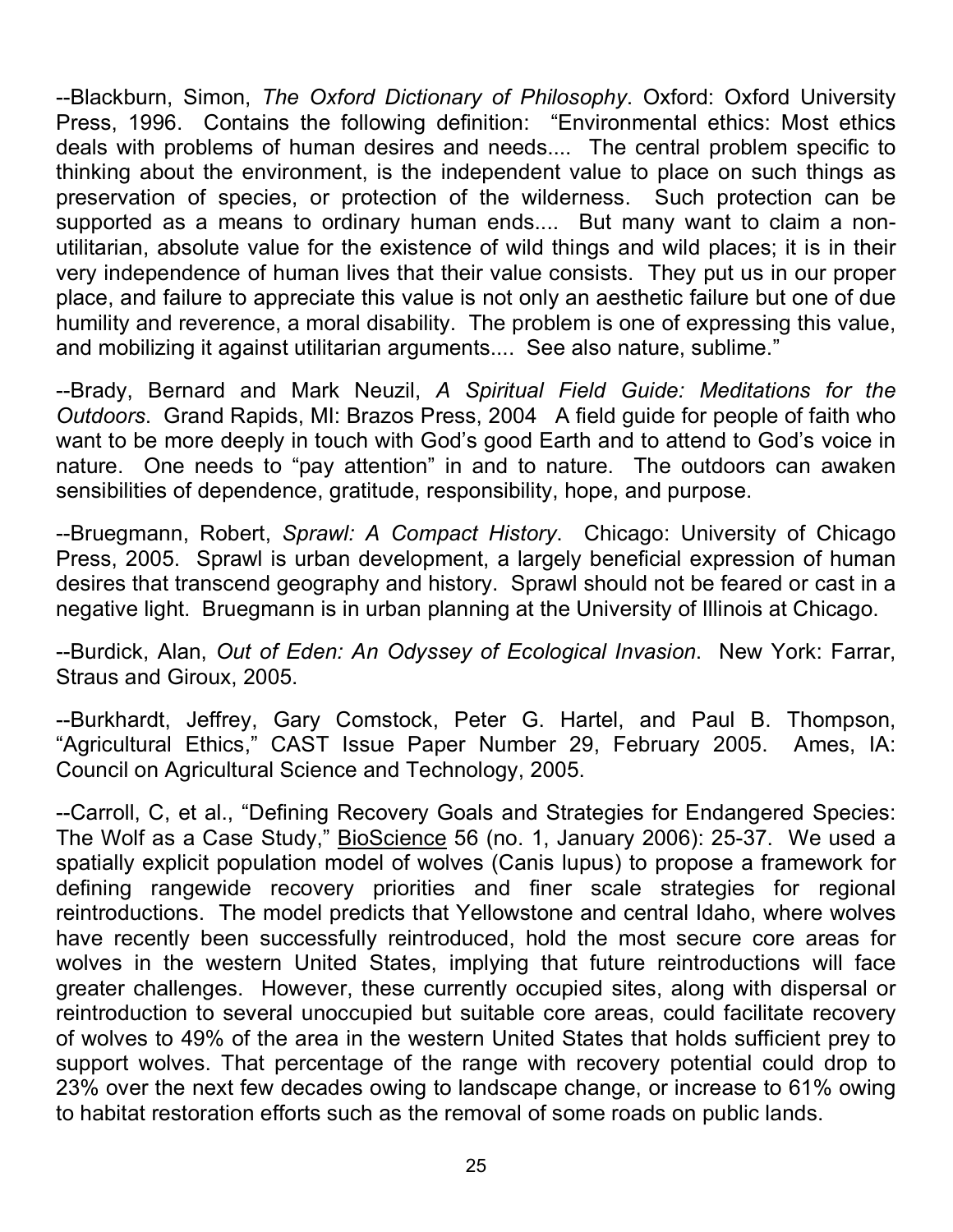--Blackburn, Simon, *The Oxford Dictionary of Philosophy*. Oxford: Oxford University Press, 1996. Contains the following definition: "Environmental ethics: Most ethics deals with problems of human desires and needs.... The central problem specific to thinking about the environment, is the independent value to place on such things as preservation of species, or protection of the wilderness. Such protection can be supported as a means to ordinary human ends.... But many want to claim a nonutilitarian, absolute value for the existence of wild things and wild places; it is in their very independence of human lives that their value consists. They put us in our proper place, and failure to appreciate this value is not only an aesthetic failure but one of due humility and reverence, a moral disability. The problem is one of expressing this value, and mobilizing it against utilitarian arguments.... See also nature, sublime."

--Brady, Bernard and Mark Neuzil, *A Spiritual Field Guide: Meditations for the Outdoors*. Grand Rapids, MI: Brazos Press, 2004 A field guide for people of faith who want to be more deeply in touch with God's good Earth and to attend to God's voice in nature. One needs to "pay attention" in and to nature. The outdoors can awaken sensibilities of dependence, gratitude, responsibility, hope, and purpose.

--Bruegmann, Robert, *Sprawl: A Compact History*. Chicago: University of Chicago Press, 2005. Sprawl is urban development, a largely beneficial expression of human desires that transcend geography and history. Sprawl should not be feared or cast in a negative light. Bruegmann is in urban planning at the University of Illinois at Chicago.

--Burdick, Alan, *Out of Eden: An Odyssey of Ecological Invasion*. New York: Farrar, Straus and Giroux, 2005.

--Burkhardt, Jeffrey, Gary Comstock, Peter G. Hartel, and Paul B. Thompson, "Agricultural Ethics," CAST Issue Paper Number 29, February 2005. Ames, IA: Council on Agricultural Science and Technology, 2005.

--Carroll, C, et al., "Defining Recovery Goals and Strategies for Endangered Species: The Wolf as a Case Study," BioScience 56 (no. 1, January 2006): 25-37. We used a spatially explicit population model of wolves (Canis lupus) to propose a framework for defining rangewide recovery priorities and finer scale strategies for regional reintroductions. The model predicts that Yellowstone and central Idaho, where wolves have recently been successfully reintroduced, hold the most secure core areas for wolves in the western United States, implying that future reintroductions will face greater challenges. However, these currently occupied sites, along with dispersal or reintroduction to several unoccupied but suitable core areas, could facilitate recovery of wolves to 49% of the area in the western United States that holds sufficient prey to support wolves. That percentage of the range with recovery potential could drop to 23% over the next few decades owing to landscape change, or increase to 61% owing to habitat restoration efforts such as the removal of some roads on public lands.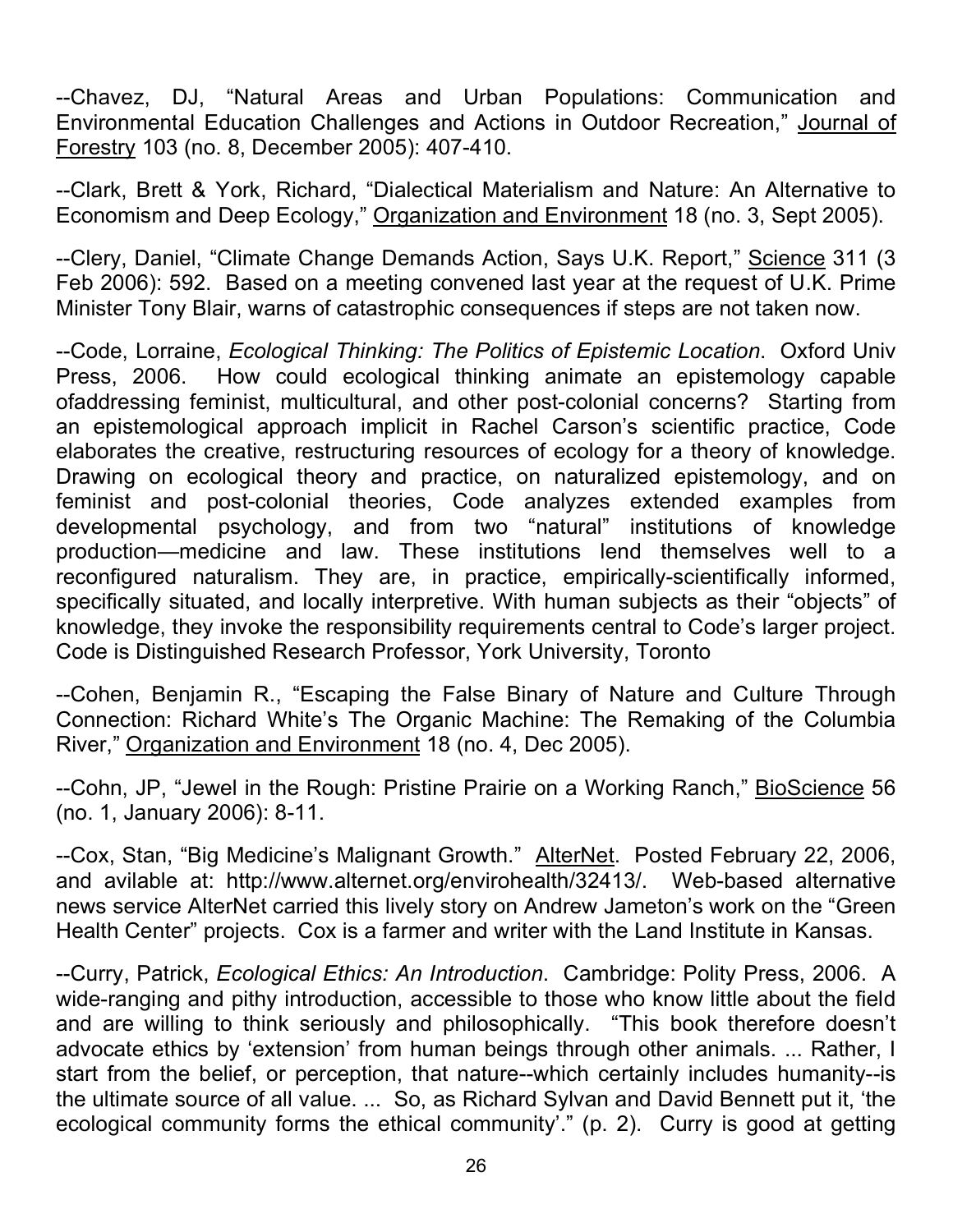--Chavez, DJ, "Natural Areas and Urban Populations: Communication and Environmental Education Challenges and Actions in Outdoor Recreation," Journal of Forestry 103 (no. 8, December 2005): 407-410.

--Clark, Brett & York, Richard, "Dialectical Materialism and Nature: An Alternative to Economism and Deep Ecology," Organization and Environment 18 (no. 3, Sept 2005).

--Clery, Daniel, "Climate Change Demands Action, Says U.K. Report," Science 311 (3 Feb 2006): 592. Based on a meeting convened last year at the request of U.K. Prime Minister Tony Blair, warns of catastrophic consequences if steps are not taken now.

--Code, Lorraine, *Ecological Thinking: The Politics of Epistemic Location*. Oxford Univ Press, 2006. How could ecological thinking animate an epistemology capable ofaddressing feminist, multicultural, and other post-colonial concerns? Starting from an epistemological approach implicit in Rachel Carson's scientific practice, Code elaborates the creative, restructuring resources of ecology for a theory of knowledge. Drawing on ecological theory and practice, on naturalized epistemology, and on feminist and post-colonial theories, Code analyzes extended examples from developmental psychology, and from two "natural" institutions of knowledge production—medicine and law. These institutions lend themselves well to a reconfigured naturalism. They are, in practice, empirically-scientifically informed, specifically situated, and locally interpretive. With human subjects as their "objects" of knowledge, they invoke the responsibility requirements central to Code's larger project. Code is Distinguished Research Professor, York University, Toronto

--Cohen, Benjamin R., "Escaping the False Binary of Nature and Culture Through Connection: Richard White's The Organic Machine: The Remaking of the Columbia River," Organization and Environment 18 (no. 4, Dec 2005).

--Cohn, JP, "Jewel in the Rough: Pristine Prairie on a Working Ranch," BioScience 56 (no. 1, January 2006): 8-11.

--Cox, Stan, "Big Medicine's Malignant Growth." AlterNet. Posted February 22, 2006, and avilable at: http://www.alternet.org/envirohealth/32413/. Web-based alternative news service AlterNet carried this lively story on Andrew Jameton's work on the "Green Health Center" projects. Cox is a farmer and writer with the Land Institute in Kansas.

--Curry, Patrick, *Ecological Ethics: An Introduction*. Cambridge: Polity Press, 2006. A wide-ranging and pithy introduction, accessible to those who know little about the field and are willing to think seriously and philosophically. "This book therefore doesn't advocate ethics by 'extension' from human beings through other animals. ... Rather, I start from the belief, or perception, that nature--which certainly includes humanity--is the ultimate source of all value. ... So, as Richard Sylvan and David Bennett put it, 'the ecological community forms the ethical community'." (p. 2). Curry is good at getting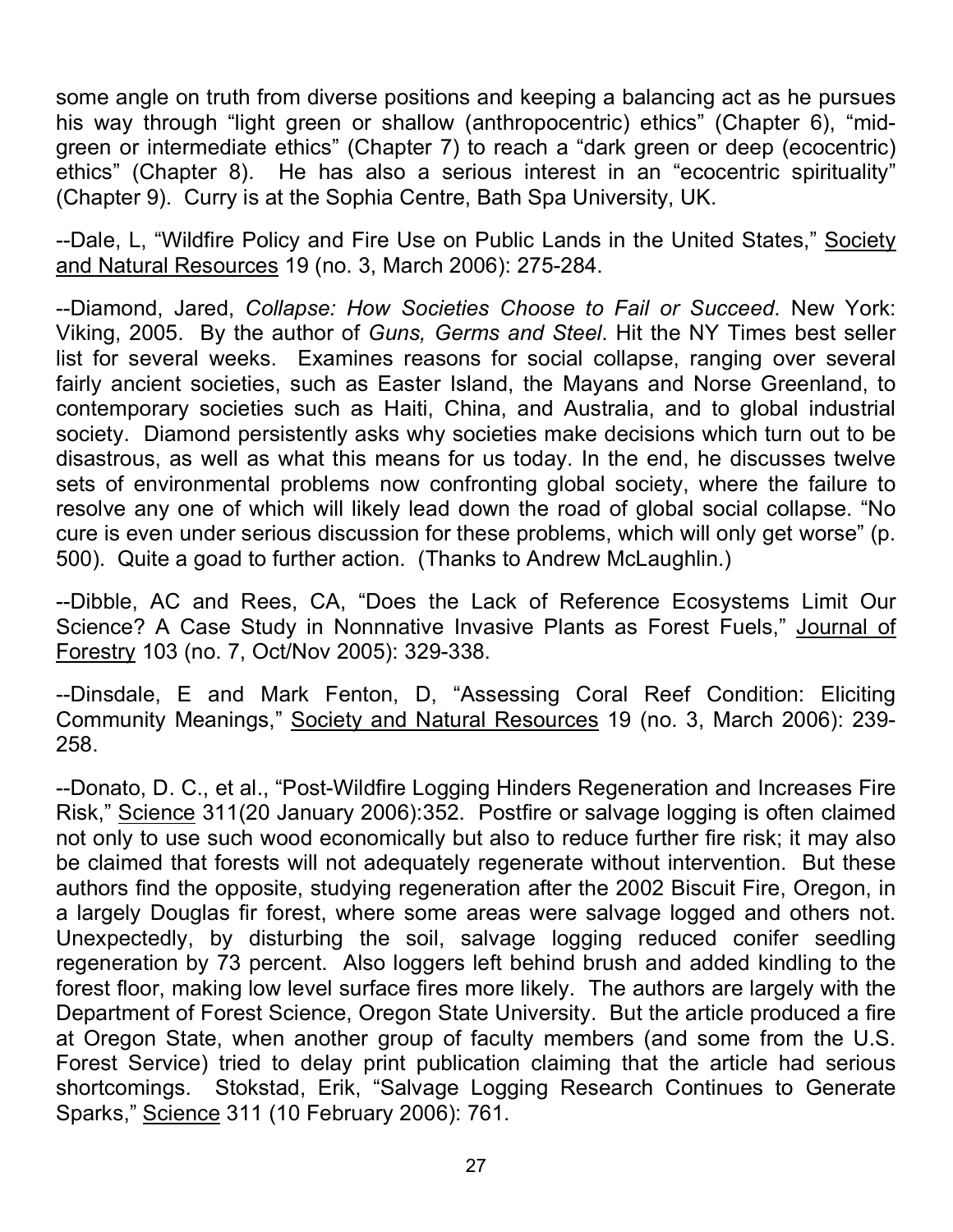some angle on truth from diverse positions and keeping a balancing act as he pursues his way through "light green or shallow (anthropocentric) ethics" (Chapter 6), "midgreen or intermediate ethics" (Chapter 7) to reach a "dark green or deep (ecocentric) ethics" (Chapter 8). He has also a serious interest in an "ecocentric spirituality" (Chapter 9). Curry is at the Sophia Centre, Bath Spa University, UK.

--Dale, L. "Wildfire Policy and Fire Use on Public Lands in the United States," Society and Natural Resources 19 (no. 3, March 2006): 275-284.

--Diamond, Jared, *Collapse: How Societies Choose to Fail or Succeed*. New York: Viking, 2005. By the author of *Guns, Germs and Steel*. Hit the NY Times best seller list for several weeks. Examines reasons for social collapse, ranging over several fairly ancient societies, such as Easter Island, the Mayans and Norse Greenland, to contemporary societies such as Haiti, China, and Australia, and to global industrial society. Diamond persistently asks why societies make decisions which turn out to be disastrous, as well as what this means for us today. In the end, he discusses twelve sets of environmental problems now confronting global society, where the failure to resolve any one of which will likely lead down the road of global social collapse. "No cure is even under serious discussion for these problems, which will only get worse" (p. 500). Quite a goad to further action. (Thanks to Andrew McLaughlin.)

--Dibble, AC and Rees, CA, "Does the Lack of Reference Ecosystems Limit Our Science? A Case Study in Nonnnative Invasive Plants as Forest Fuels," Journal of Forestry 103 (no. 7, Oct/Nov 2005): 329-338.

--Dinsdale, E and Mark Fenton, D, "Assessing Coral Reef Condition: Eliciting Community Meanings," Society and Natural Resources 19 (no. 3, March 2006): 239- 258.

--Donato, D. C., et al., "Post-Wildfire Logging Hinders Regeneration and Increases Fire Risk," Science 311(20 January 2006):352. Postfire or salvage logging is often claimed not only to use such wood economically but also to reduce further fire risk; it may also be claimed that forests will not adequately regenerate without intervention. But these authors find the opposite, studying regeneration after the 2002 Biscuit Fire, Oregon, in a largely Douglas fir forest, where some areas were salvage logged and others not. Unexpectedly, by disturbing the soil, salvage logging reduced conifer seedling regeneration by 73 percent. Also loggers left behind brush and added kindling to the forest floor, making low level surface fires more likely. The authors are largely with the Department of Forest Science, Oregon State University. But the article produced a fire at Oregon State, when another group of faculty members (and some from the U.S. Forest Service) tried to delay print publication claiming that the article had serious shortcomings. Stokstad, Erik, "Salvage Logging Research Continues to Generate Sparks," Science 311 (10 February 2006): 761.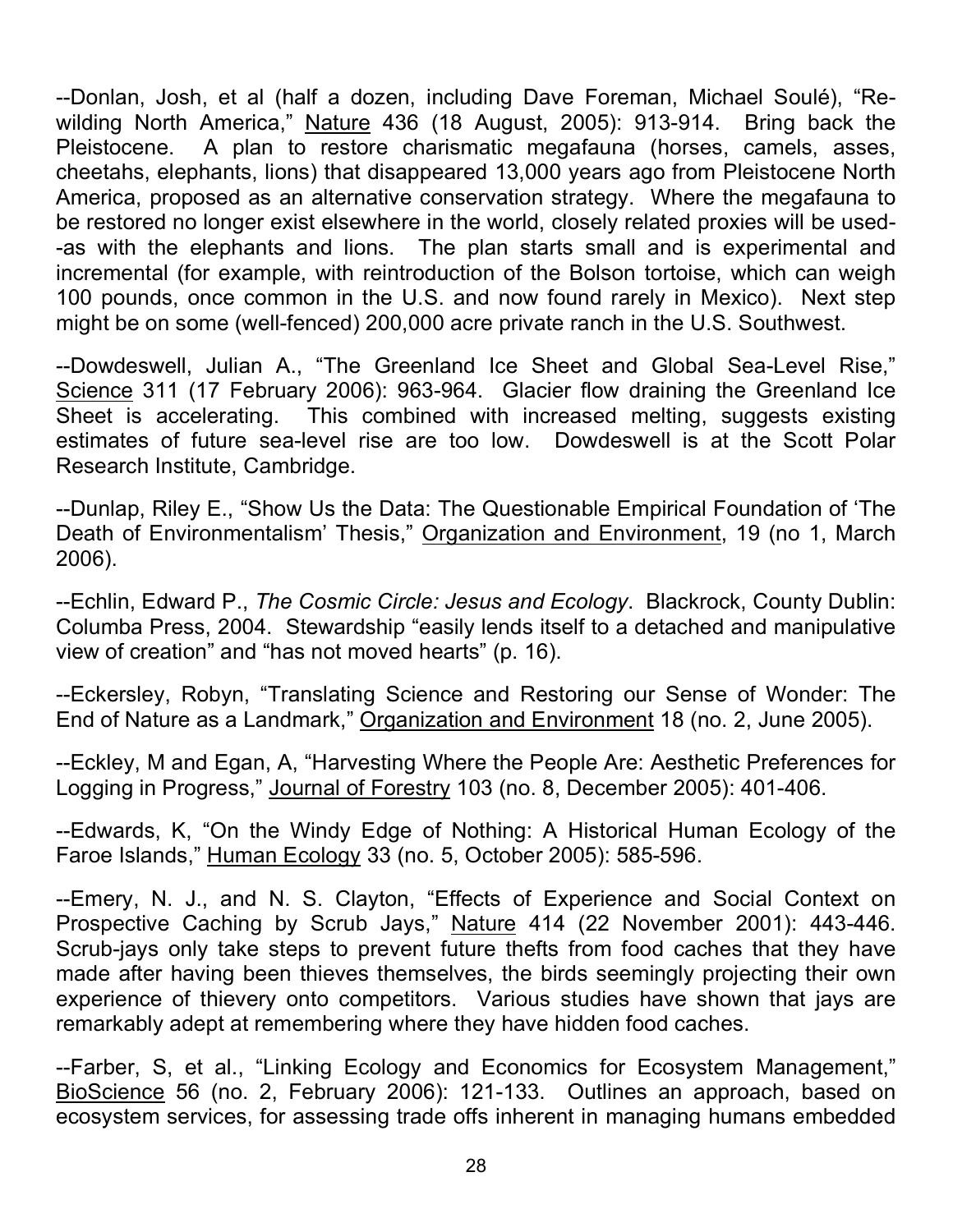--Donlan, Josh, et al (half a dozen, including Dave Foreman, Michael Soulé), "Rewilding North America," Nature 436 (18 August, 2005): 913-914. Bring back the Pleistocene. A plan to restore charismatic megafauna (horses, camels, asses, cheetahs, elephants, lions) that disappeared 13,000 years ago from Pleistocene North America, proposed as an alternative conservation strategy. Where the megafauna to be restored no longer exist elsewhere in the world, closely related proxies will be used- -as with the elephants and lions. The plan starts small and is experimental and incremental (for example, with reintroduction of the Bolson tortoise, which can weigh 100 pounds, once common in the U.S. and now found rarely in Mexico). Next step might be on some (well-fenced) 200,000 acre private ranch in the U.S. Southwest.

--Dowdeswell, Julian A., "The Greenland Ice Sheet and Global Sea-Level Rise," Science 311 (17 February 2006): 963-964. Glacier flow draining the Greenland Ice Sheet is accelerating. This combined with increased melting, suggests existing estimates of future sea-level rise are too low. Dowdeswell is at the Scott Polar Research Institute, Cambridge.

--Dunlap, Riley E., "Show Us the Data: The Questionable Empirical Foundation of 'The Death of Environmentalism' Thesis," Organization and Environment, 19 (no 1, March 2006).

--Echlin, Edward P., *The Cosmic Circle: Jesus and Ecology*. Blackrock, County Dublin: Columba Press, 2004. Stewardship "easily lends itself to a detached and manipulative view of creation" and "has not moved hearts" (p. 16).

--Eckersley, Robyn, "Translating Science and Restoring our Sense of Wonder: The End of Nature as a Landmark," Organization and Environment 18 (no. 2, June 2005).

--Eckley, M and Egan, A, "Harvesting Where the People Are: Aesthetic Preferences for Logging in Progress," Journal of Forestry 103 (no. 8, December 2005): 401-406.

--Edwards, K, "On the Windy Edge of Nothing: A Historical Human Ecology of the Faroe Islands," Human Ecology 33 (no. 5, October 2005): 585-596.

--Emery, N. J., and N. S. Clayton, "Effects of Experience and Social Context on Prospective Caching by Scrub Jays," Nature 414 (22 November 2001): 443-446. Scrub-jays only take steps to prevent future thefts from food caches that they have made after having been thieves themselves, the birds seemingly projecting their own experience of thievery onto competitors. Various studies have shown that jays are remarkably adept at remembering where they have hidden food caches.

--Farber, S, et al., "Linking Ecology and Economics for Ecosystem Management," BioScience 56 (no. 2, February 2006): 121-133. Outlines an approach, based on ecosystem services, for assessing trade offs inherent in managing humans embedded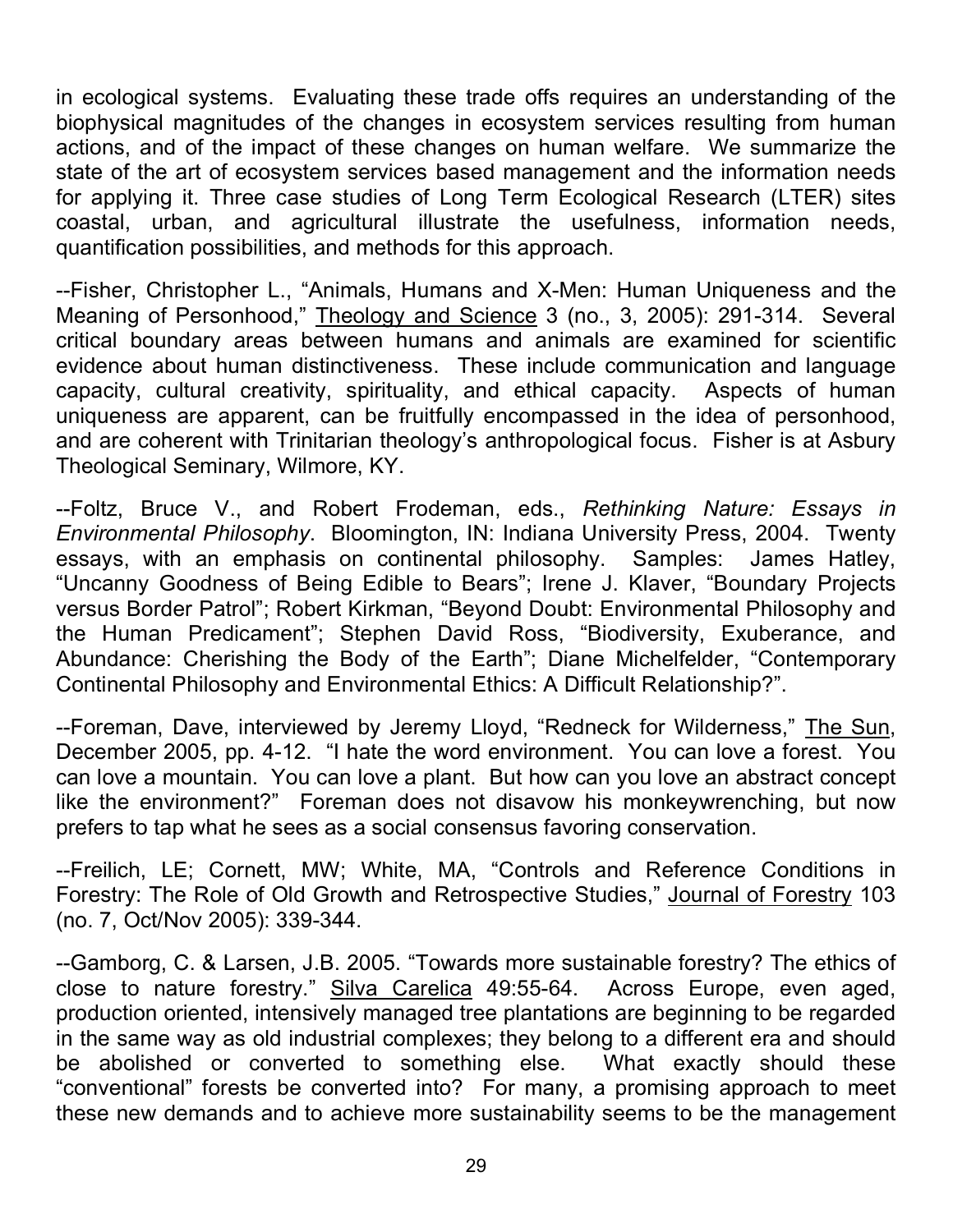in ecological systems. Evaluating these trade offs requires an understanding of the biophysical magnitudes of the changes in ecosystem services resulting from human actions, and of the impact of these changes on human welfare. We summarize the state of the art of ecosystem services based management and the information needs for applying it. Three case studies of Long Term Ecological Research (LTER) sites coastal, urban, and agricultural illustrate the usefulness, information needs, quantification possibilities, and methods for this approach.

--Fisher, Christopher L., "Animals, Humans and X-Men: Human Uniqueness and the Meaning of Personhood," Theology and Science 3 (no., 3, 2005): 291-314. Several critical boundary areas between humans and animals are examined for scientific evidence about human distinctiveness. These include communication and language capacity, cultural creativity, spirituality, and ethical capacity. Aspects of human uniqueness are apparent, can be fruitfully encompassed in the idea of personhood, and are coherent with Trinitarian theology's anthropological focus. Fisher is at Asbury Theological Seminary, Wilmore, KY.

--Foltz, Bruce V., and Robert Frodeman, eds., *Rethinking Nature: Essays in Environmental Philosophy*. Bloomington, IN: Indiana University Press, 2004. Twenty essays, with an emphasis on continental philosophy. Samples: James Hatley, "Uncanny Goodness of Being Edible to Bears"; Irene J. Klaver, "Boundary Projects versus Border Patrol"; Robert Kirkman, "Beyond Doubt: Environmental Philosophy and the Human Predicament"; Stephen David Ross, "Biodiversity, Exuberance, and Abundance: Cherishing the Body of the Earth"; Diane Michelfelder, "Contemporary Continental Philosophy and Environmental Ethics: A Difficult Relationship?".

--Foreman, Dave, interviewed by Jeremy Lloyd, "Redneck for Wilderness," The Sun, December 2005, pp. 4-12. "I hate the word environment. You can love a forest. You can love a mountain. You can love a plant. But how can you love an abstract concept like the environment?" Foreman does not disavow his monkeywrenching, but now prefers to tap what he sees as a social consensus favoring conservation.

--Freilich, LE; Cornett, MW; White, MA, "Controls and Reference Conditions in Forestry: The Role of Old Growth and Retrospective Studies," Journal of Forestry 103 (no. 7, Oct/Nov 2005): 339-344.

--Gamborg, C. & Larsen, J.B. 2005. "Towards more sustainable forestry? The ethics of close to nature forestry." Silva Carelica 49:55-64. Across Europe, even aged, production oriented, intensively managed tree plantations are beginning to be regarded in the same way as old industrial complexes; they belong to a different era and should be abolished or converted to something else. What exactly should these "conventional" forests be converted into? For many, a promising approach to meet these new demands and to achieve more sustainability seems to be the management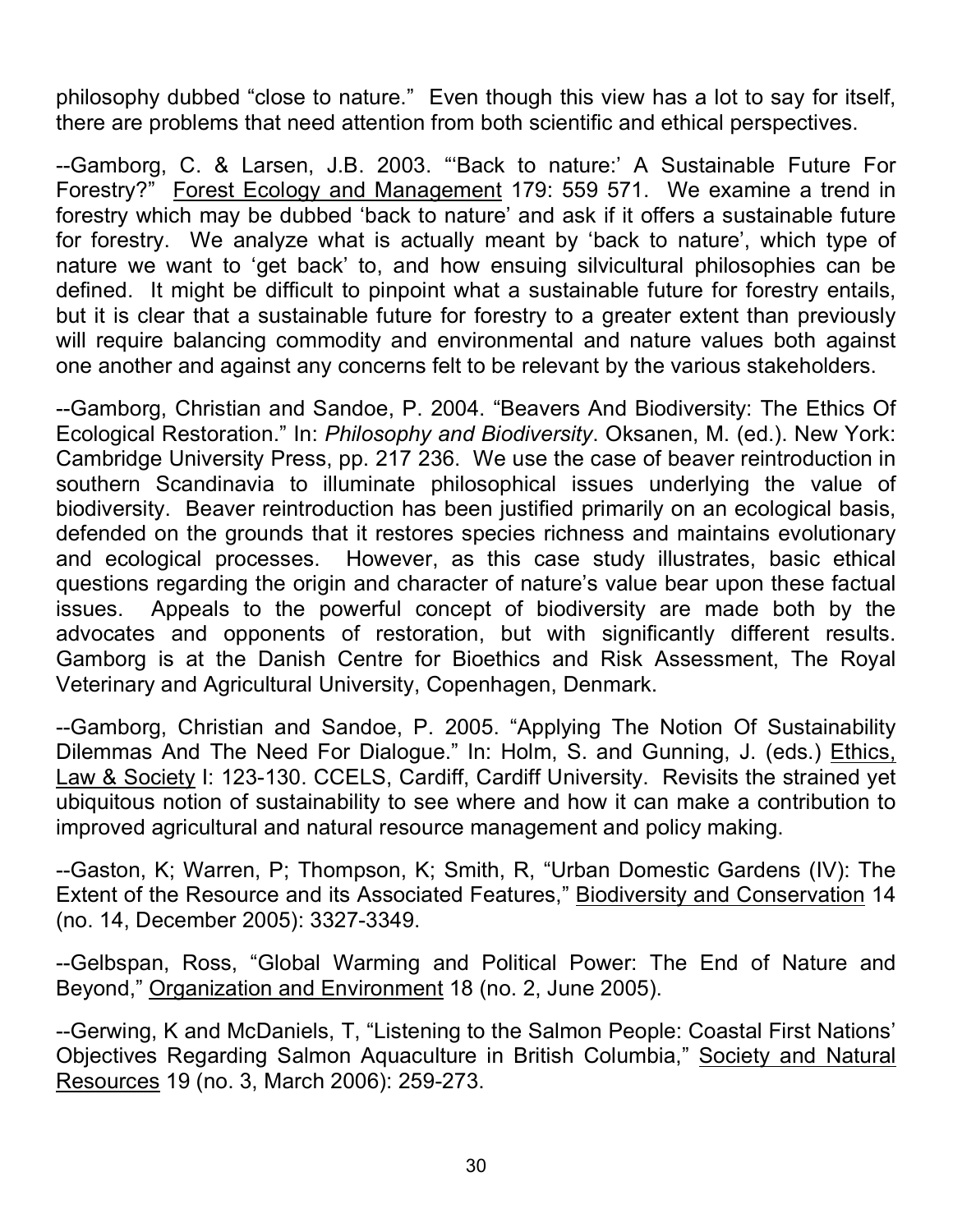philosophy dubbed "close to nature." Even though this view has a lot to say for itself, there are problems that need attention from both scientific and ethical perspectives.

--Gamborg, C. & Larsen, J.B. 2003. "'Back to nature:' A Sustainable Future For Forestry?" Forest Ecology and Management 179: 559 571. We examine a trend in forestry which may be dubbed 'back to nature' and ask if it offers a sustainable future for forestry. We analyze what is actually meant by 'back to nature', which type of nature we want to 'get back' to, and how ensuing silvicultural philosophies can be defined. It might be difficult to pinpoint what a sustainable future for forestry entails, but it is clear that a sustainable future for forestry to a greater extent than previously will require balancing commodity and environmental and nature values both against one another and against any concerns felt to be relevant by the various stakeholders.

--Gamborg, Christian and Sandoe, P. 2004. "Beavers And Biodiversity: The Ethics Of Ecological Restoration." In: *Philosophy and Biodiversity*. Oksanen, M. (ed.). New York: Cambridge University Press, pp. 217 236. We use the case of beaver reintroduction in southern Scandinavia to illuminate philosophical issues underlying the value of biodiversity. Beaver reintroduction has been justified primarily on an ecological basis, defended on the grounds that it restores species richness and maintains evolutionary and ecological processes. However, as this case study illustrates, basic ethical questions regarding the origin and character of nature's value bear upon these factual issues. Appeals to the powerful concept of biodiversity are made both by the advocates and opponents of restoration, but with significantly different results. Gamborg is at the Danish Centre for Bioethics and Risk Assessment, The Royal Veterinary and Agricultural University, Copenhagen, Denmark.

--Gamborg, Christian and Sandoe, P. 2005. "Applying The Notion Of Sustainability Dilemmas And The Need For Dialogue." In: Holm, S. and Gunning, J. (eds.) Ethics, Law & Society I: 123-130. CCELS, Cardiff, Cardiff University. Revisits the strained yet ubiquitous notion of sustainability to see where and how it can make a contribution to improved agricultural and natural resource management and policy making.

--Gaston, K; Warren, P; Thompson, K; Smith, R, "Urban Domestic Gardens (IV): The Extent of the Resource and its Associated Features," Biodiversity and Conservation 14 (no. 14, December 2005): 3327-3349.

--Gelbspan, Ross, "Global Warming and Political Power: The End of Nature and Beyond," Organization and Environment 18 (no. 2, June 2005).

--Gerwing, K and McDaniels, T, "Listening to the Salmon People: Coastal First Nations' Objectives Regarding Salmon Aquaculture in British Columbia," Society and Natural Resources 19 (no. 3, March 2006): 259-273.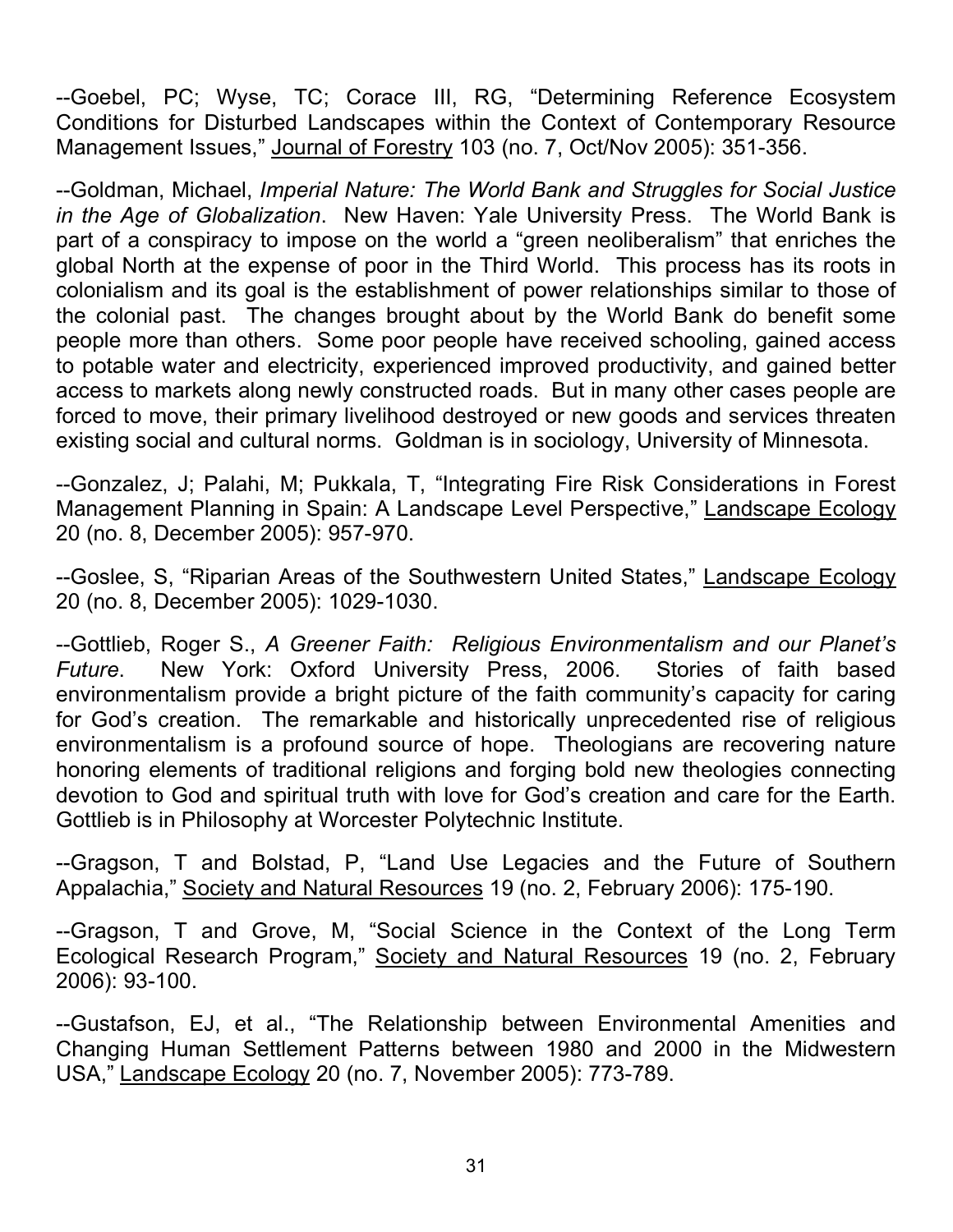--Goebel, PC; Wyse, TC; Corace III, RG, "Determining Reference Ecosystem Conditions for Disturbed Landscapes within the Context of Contemporary Resource Management Issues," Journal of Forestry 103 (no. 7, Oct/Nov 2005): 351-356.

--Goldman, Michael, *Imperial Nature: The World Bank and Struggles for Social Justice in the Age of Globalization*. New Haven: Yale University Press. The World Bank is part of a conspiracy to impose on the world a "green neoliberalism" that enriches the global North at the expense of poor in the Third World. This process has its roots in colonialism and its goal is the establishment of power relationships similar to those of the colonial past. The changes brought about by the World Bank do benefit some people more than others. Some poor people have received schooling, gained access to potable water and electricity, experienced improved productivity, and gained better access to markets along newly constructed roads. But in many other cases people are forced to move, their primary livelihood destroyed or new goods and services threaten existing social and cultural norms. Goldman is in sociology, University of Minnesota.

--Gonzalez, J; Palahi, M; Pukkala, T, "Integrating Fire Risk Considerations in Forest Management Planning in Spain: A Landscape Level Perspective," Landscape Ecology 20 (no. 8, December 2005): 957-970.

--Goslee, S, "Riparian Areas of the Southwestern United States," Landscape Ecology 20 (no. 8, December 2005): 1029-1030.

--Gottlieb, Roger S., *A Greener Faith: Religious Environmentalism and our Planet's Future*. New York: Oxford University Press, 2006. Stories of faith based environmentalism provide a bright picture of the faith community's capacity for caring for God's creation. The remarkable and historically unprecedented rise of religious environmentalism is a profound source of hope. Theologians are recovering nature honoring elements of traditional religions and forging bold new theologies connecting devotion to God and spiritual truth with love for God's creation and care for the Earth. Gottlieb is in Philosophy at Worcester Polytechnic Institute.

--Gragson, T and Bolstad, P, "Land Use Legacies and the Future of Southern Appalachia," Society and Natural Resources 19 (no. 2, February 2006): 175-190.

--Gragson, T and Grove, M, "Social Science in the Context of the Long Term Ecological Research Program," Society and Natural Resources 19 (no. 2, February 2006): 93-100.

--Gustafson, EJ, et al., "The Relationship between Environmental Amenities and Changing Human Settlement Patterns between 1980 and 2000 in the Midwestern USA," Landscape Ecology 20 (no. 7, November 2005): 773-789.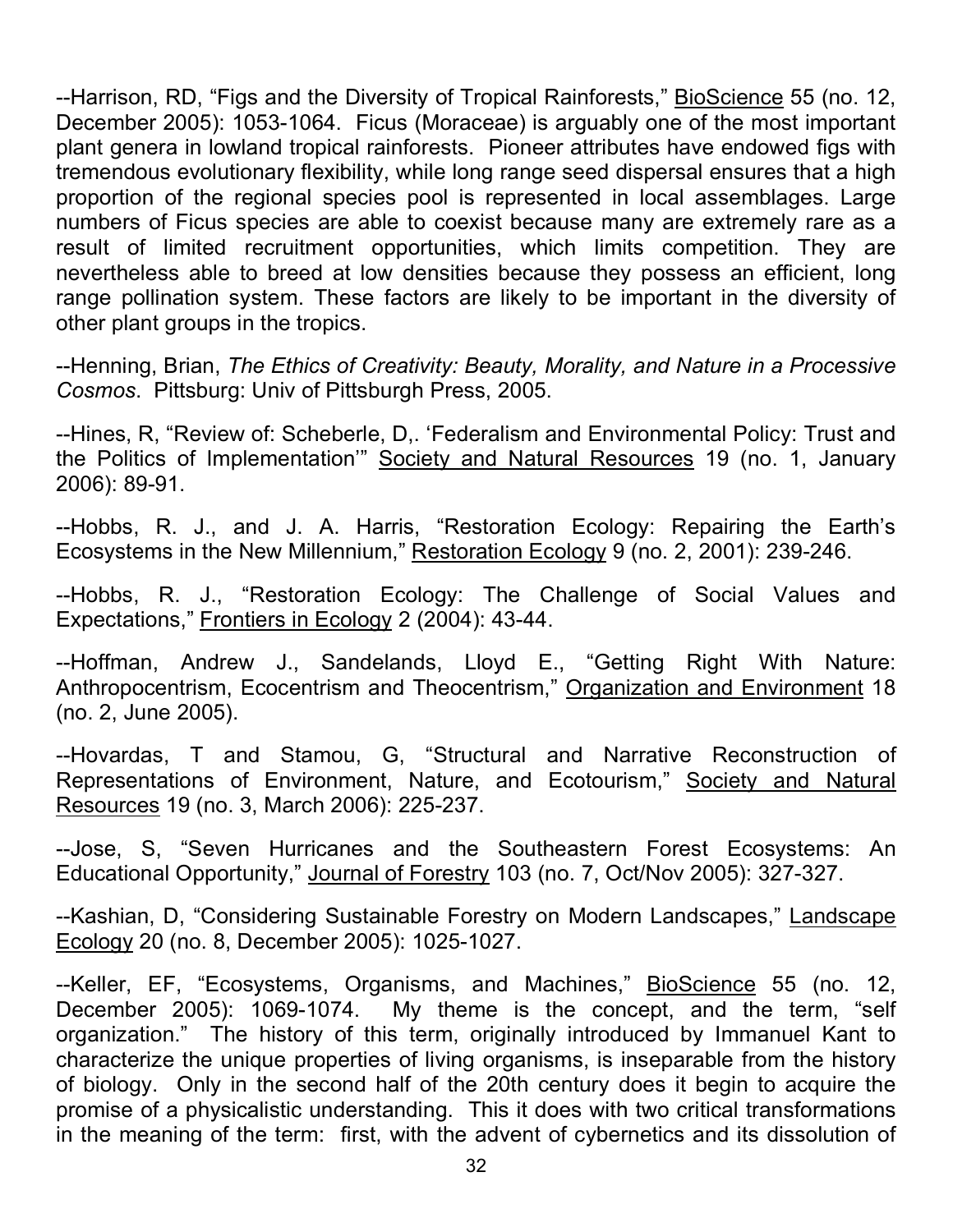--Harrison, RD, "Figs and the Diversity of Tropical Rainforests," BioScience 55 (no. 12, December 2005): 1053-1064. Ficus (Moraceae) is arguably one of the most important plant genera in lowland tropical rainforests. Pioneer attributes have endowed figs with tremendous evolutionary flexibility, while long range seed dispersal ensures that a high proportion of the regional species pool is represented in local assemblages. Large numbers of Ficus species are able to coexist because many are extremely rare as a result of limited recruitment opportunities, which limits competition. They are nevertheless able to breed at low densities because they possess an efficient, long range pollination system. These factors are likely to be important in the diversity of other plant groups in the tropics.

--Henning, Brian, *The Ethics of Creativity: Beauty, Morality, and Nature in a Processive Cosmos*. Pittsburg: Univ of Pittsburgh Press, 2005.

--Hines, R, "Review of: Scheberle, D,. 'Federalism and Environmental Policy: Trust and the Politics of Implementation'" Society and Natural Resources 19 (no. 1, January 2006): 89-91.

--Hobbs, R. J., and J. A. Harris, "Restoration Ecology: Repairing the Earth's Ecosystems in the New Millennium," Restoration Ecology 9 (no. 2, 2001): 239-246.

--Hobbs, R. J., "Restoration Ecology: The Challenge of Social Values and Expectations," Frontiers in Ecology 2 (2004): 43-44.

--Hoffman, Andrew J., Sandelands, Lloyd E., "Getting Right With Nature: Anthropocentrism, Ecocentrism and Theocentrism," Organization and Environment 18 (no. 2, June 2005).

--Hovardas, T and Stamou, G, "Structural and Narrative Reconstruction of Representations of Environment, Nature, and Ecotourism," Society and Natural Resources 19 (no. 3, March 2006): 225-237.

--Jose, S, "Seven Hurricanes and the Southeastern Forest Ecosystems: An Educational Opportunity," Journal of Forestry 103 (no. 7, Oct/Nov 2005): 327-327.

--Kashian, D, "Considering Sustainable Forestry on Modern Landscapes," Landscape Ecology 20 (no. 8, December 2005): 1025-1027.

--Keller, EF, "Ecosystems, Organisms, and Machines," BioScience 55 (no. 12, December 2005): 1069-1074. My theme is the concept, and the term, "self organization." The history of this term, originally introduced by Immanuel Kant to characterize the unique properties of living organisms, is inseparable from the history of biology. Only in the second half of the 20th century does it begin to acquire the promise of a physicalistic understanding. This it does with two critical transformations in the meaning of the term: first, with the advent of cybernetics and its dissolution of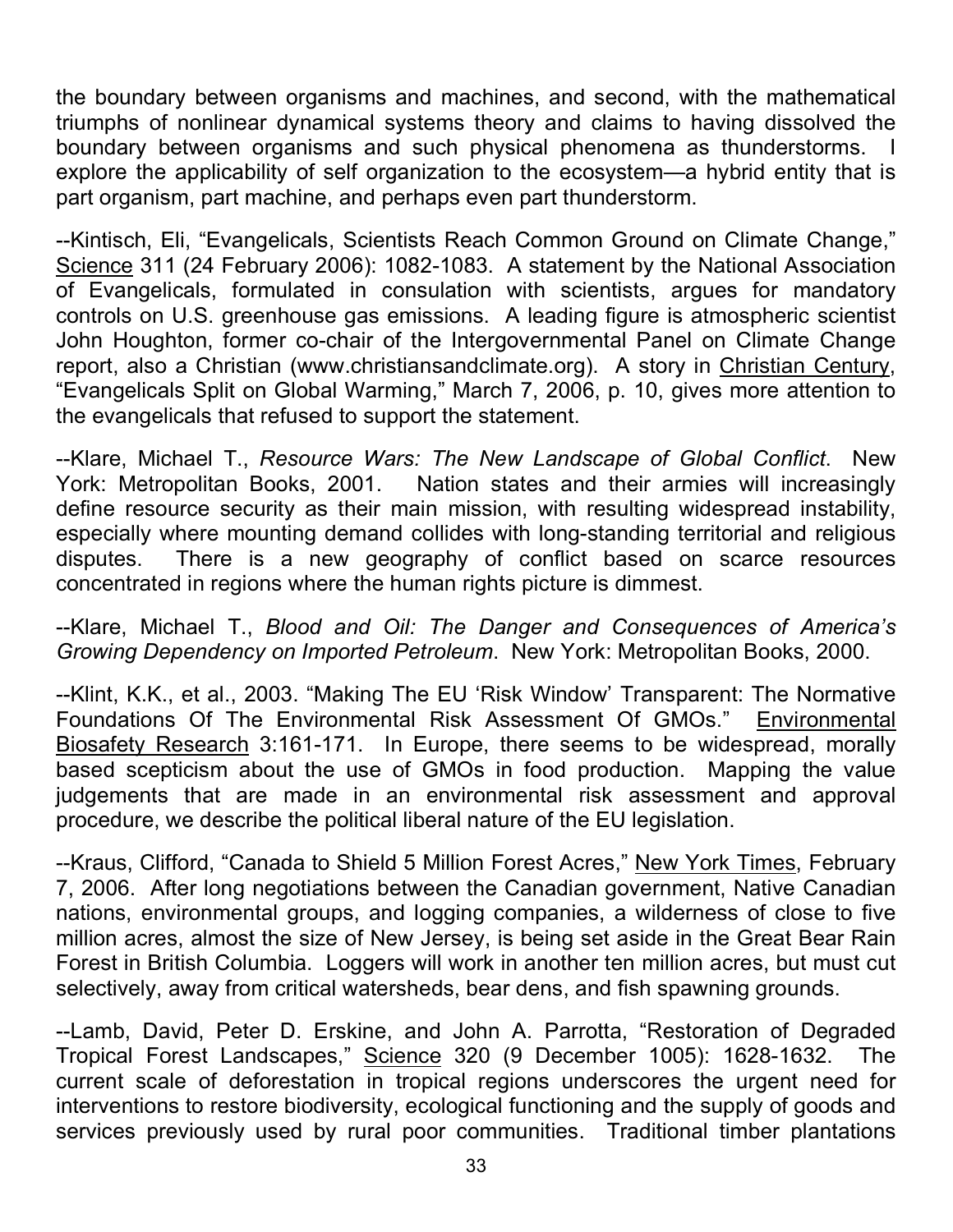the boundary between organisms and machines, and second, with the mathematical triumphs of nonlinear dynamical systems theory and claims to having dissolved the boundary between organisms and such physical phenomena as thunderstorms. I explore the applicability of self organization to the ecosystem—a hybrid entity that is part organism, part machine, and perhaps even part thunderstorm.

--Kintisch, Eli, "Evangelicals, Scientists Reach Common Ground on Climate Change," Science 311 (24 February 2006): 1082-1083. A statement by the National Association of Evangelicals, formulated in consulation with scientists, argues for mandatory controls on U.S. greenhouse gas emissions. A leading figure is atmospheric scientist John Houghton, former co-chair of the Intergovernmental Panel on Climate Change report, also a Christian (www.christiansandclimate.org). A story in Christian Century, "Evangelicals Split on Global Warming," March 7, 2006, p. 10, gives more attention to the evangelicals that refused to support the statement.

--Klare, Michael T., *Resource Wars: The New Landscape of Global Conflict*. New York: Metropolitan Books, 2001. Nation states and their armies will increasingly define resource security as their main mission, with resulting widespread instability, especially where mounting demand collides with long-standing territorial and religious disputes. There is a new geography of conflict based on scarce resources concentrated in regions where the human rights picture is dimmest.

--Klare, Michael T., *Blood and Oil: The Danger and Consequences of America's Growing Dependency on Imported Petroleum*. New York: Metropolitan Books, 2000.

--Klint, K.K., et al., 2003. "Making The EU 'Risk Window' Transparent: The Normative Foundations Of The Environmental Risk Assessment Of GMOs." Environmental Biosafety Research 3:161-171. In Europe, there seems to be widespread, morally based scepticism about the use of GMOs in food production. Mapping the value judgements that are made in an environmental risk assessment and approval procedure, we describe the political liberal nature of the EU legislation.

--Kraus, Clifford, "Canada to Shield 5 Million Forest Acres," New York Times, February 7, 2006. After long negotiations between the Canadian government, Native Canadian nations, environmental groups, and logging companies, a wilderness of close to five million acres, almost the size of New Jersey, is being set aside in the Great Bear Rain Forest in British Columbia. Loggers will work in another ten million acres, but must cut selectively, away from critical watersheds, bear dens, and fish spawning grounds.

--Lamb, David, Peter D. Erskine, and John A. Parrotta, "Restoration of Degraded Tropical Forest Landscapes," Science 320 (9 December 1005): 1628-1632. The current scale of deforestation in tropical regions underscores the urgent need for interventions to restore biodiversity, ecological functioning and the supply of goods and services previously used by rural poor communities. Traditional timber plantations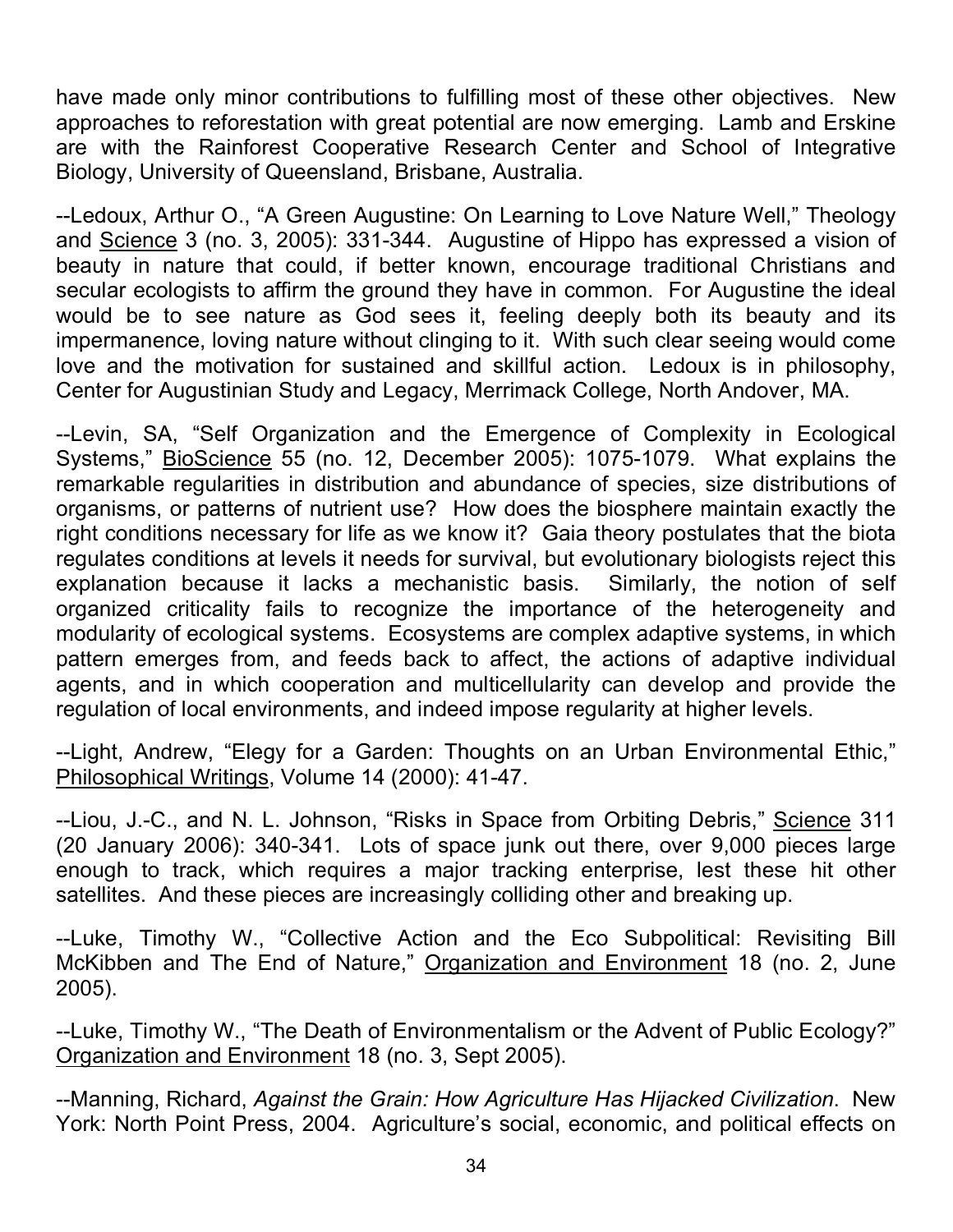have made only minor contributions to fulfilling most of these other objectives. New approaches to reforestation with great potential are now emerging. Lamb and Erskine are with the Rainforest Cooperative Research Center and School of Integrative Biology, University of Queensland, Brisbane, Australia.

--Ledoux, Arthur O., "A Green Augustine: On Learning to Love Nature Well," Theology and Science 3 (no. 3, 2005): 331-344. Augustine of Hippo has expressed a vision of beauty in nature that could, if better known, encourage traditional Christians and secular ecologists to affirm the ground they have in common. For Augustine the ideal would be to see nature as God sees it, feeling deeply both its beauty and its impermanence, loving nature without clinging to it. With such clear seeing would come love and the motivation for sustained and skillful action. Ledoux is in philosophy, Center for Augustinian Study and Legacy, Merrimack College, North Andover, MA.

--Levin, SA, "Self Organization and the Emergence of Complexity in Ecological Systems," BioScience 55 (no. 12, December 2005): 1075-1079. What explains the remarkable regularities in distribution and abundance of species, size distributions of organisms, or patterns of nutrient use? How does the biosphere maintain exactly the right conditions necessary for life as we know it? Gaia theory postulates that the biota regulates conditions at levels it needs for survival, but evolutionary biologists reject this explanation because it lacks a mechanistic basis. Similarly, the notion of self organized criticality fails to recognize the importance of the heterogeneity and modularity of ecological systems. Ecosystems are complex adaptive systems, in which pattern emerges from, and feeds back to affect, the actions of adaptive individual agents, and in which cooperation and multicellularity can develop and provide the regulation of local environments, and indeed impose regularity at higher levels.

--Light, Andrew, "Elegy for a Garden: Thoughts on an Urban Environmental Ethic," Philosophical Writings, Volume 14 (2000): 41-47.

--Liou, J.-C., and N. L. Johnson, "Risks in Space from Orbiting Debris," Science 311 (20 January 2006): 340-341. Lots of space junk out there, over 9,000 pieces large enough to track, which requires a major tracking enterprise, lest these hit other satellites. And these pieces are increasingly colliding other and breaking up.

--Luke, Timothy W., "Collective Action and the Eco Subpolitical: Revisiting Bill McKibben and The End of Nature," Organization and Environment 18 (no. 2, June 2005).

--Luke, Timothy W., "The Death of Environmentalism or the Advent of Public Ecology?" Organization and Environment 18 (no. 3, Sept 2005).

--Manning, Richard, *Against the Grain: How Agriculture Has Hijacked Civilization*. New York: North Point Press, 2004. Agriculture's social, economic, and political effects on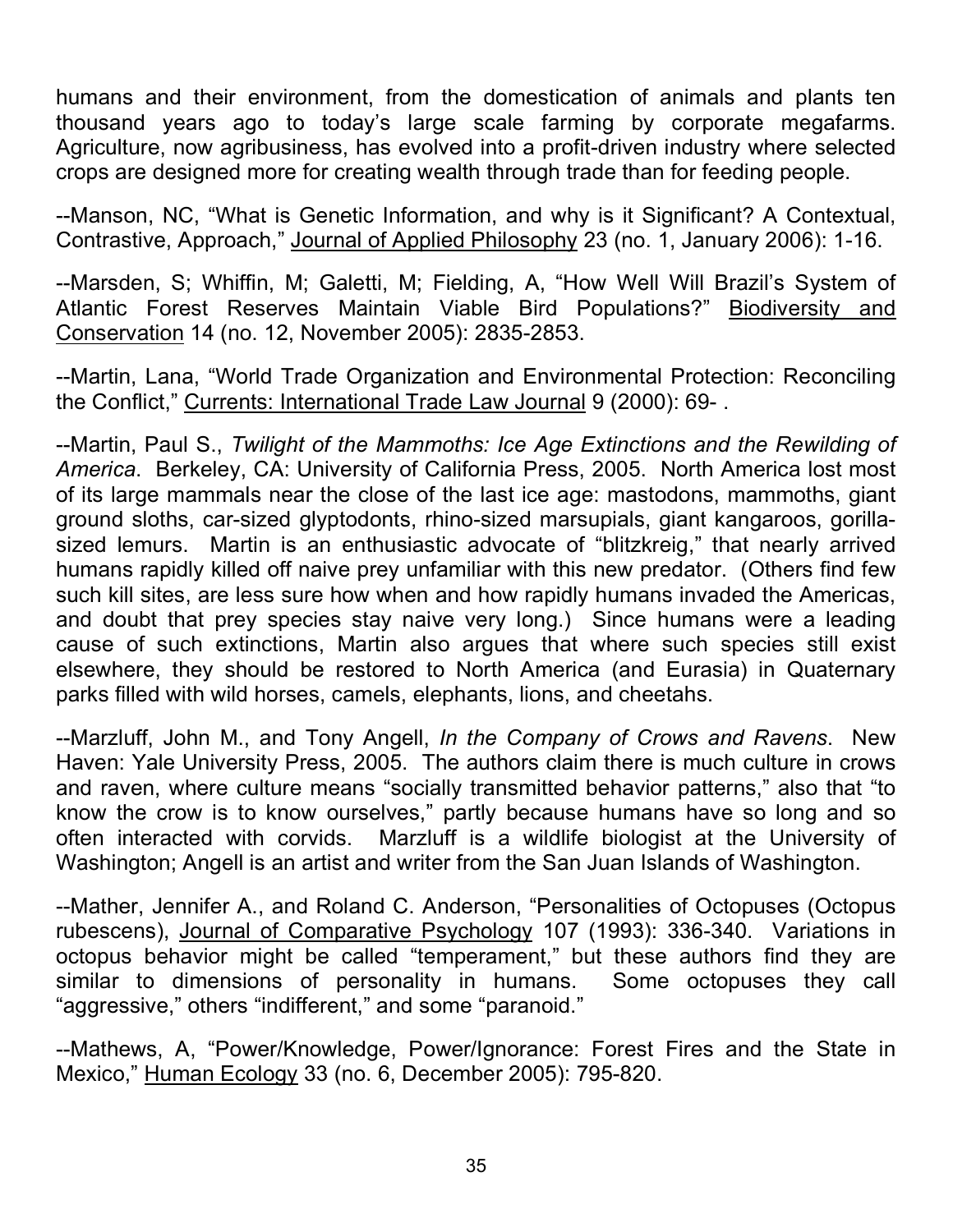humans and their environment, from the domestication of animals and plants ten thousand years ago to today's large scale farming by corporate megafarms. Agriculture, now agribusiness, has evolved into a profit-driven industry where selected crops are designed more for creating wealth through trade than for feeding people.

--Manson, NC, "What is Genetic Information, and why is it Significant? A Contextual, Contrastive, Approach," Journal of Applied Philosophy 23 (no. 1, January 2006): 1-16.

--Marsden, S; Whiffin, M; Galetti, M; Fielding, A, "How Well Will Brazil's System of Atlantic Forest Reserves Maintain Viable Bird Populations?" Biodiversity and Conservation 14 (no. 12, November 2005): 2835-2853.

--Martin, Lana, "World Trade Organization and Environmental Protection: Reconciling the Conflict," Currents: International Trade Law Journal 9 (2000): 69- .

--Martin, Paul S., *Twilight of the Mammoths: Ice Age Extinctions and the Rewilding of America*. Berkeley, CA: University of California Press, 2005. North America lost most of its large mammals near the close of the last ice age: mastodons, mammoths, giant ground sloths, car-sized glyptodonts, rhino-sized marsupials, giant kangaroos, gorillasized lemurs. Martin is an enthusiastic advocate of "blitzkreig," that nearly arrived humans rapidly killed off naive prey unfamiliar with this new predator. (Others find few such kill sites, are less sure how when and how rapidly humans invaded the Americas, and doubt that prey species stay naive very long.) Since humans were a leading cause of such extinctions, Martin also argues that where such species still exist elsewhere, they should be restored to North America (and Eurasia) in Quaternary parks filled with wild horses, camels, elephants, lions, and cheetahs.

--Marzluff, John M., and Tony Angell, *In the Company of Crows and Ravens*. New Haven: Yale University Press, 2005. The authors claim there is much culture in crows and raven, where culture means "socially transmitted behavior patterns," also that "to know the crow is to know ourselves," partly because humans have so long and so often interacted with corvids. Marzluff is a wildlife biologist at the University of Washington; Angell is an artist and writer from the San Juan Islands of Washington.

--Mather, Jennifer A., and Roland C. Anderson, "Personalities of Octopuses (Octopus rubescens), Journal of Comparative Psychology 107 (1993): 336-340. Variations in octopus behavior might be called "temperament," but these authors find they are similar to dimensions of personality in humans. Some octopuses they call "aggressive," others "indifferent," and some "paranoid."

--Mathews, A, "Power/Knowledge, Power/Ignorance: Forest Fires and the State in Mexico," Human Ecology 33 (no. 6, December 2005): 795-820.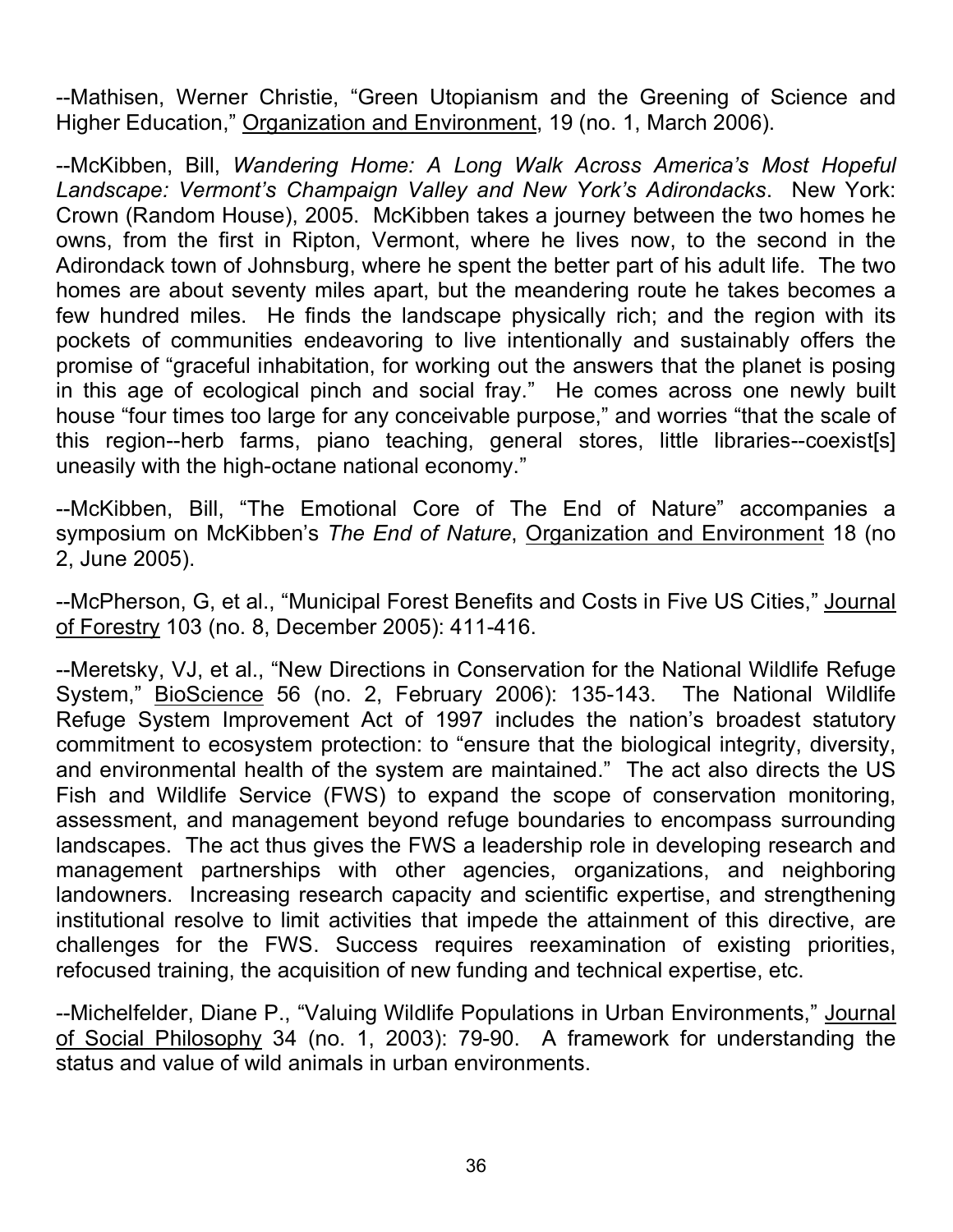--Mathisen, Werner Christie, "Green Utopianism and the Greening of Science and Higher Education," Organization and Environment, 19 (no. 1, March 2006).

--McKibben, Bill, *Wandering Home: A Long Walk Across America's Most Hopeful Landscape: Vermont's Champaign Valley and New York's Adirondacks*. New York: Crown (Random House), 2005. McKibben takes a journey between the two homes he owns, from the first in Ripton, Vermont, where he lives now, to the second in the Adirondack town of Johnsburg, where he spent the better part of his adult life. The two homes are about seventy miles apart, but the meandering route he takes becomes a few hundred miles. He finds the landscape physically rich; and the region with its pockets of communities endeavoring to live intentionally and sustainably offers the promise of "graceful inhabitation, for working out the answers that the planet is posing in this age of ecological pinch and social fray." He comes across one newly built house "four times too large for any conceivable purpose," and worries "that the scale of this region--herb farms, piano teaching, general stores, little libraries--coexist[s] uneasily with the high-octane national economy."

--McKibben, Bill, "The Emotional Core of The End of Nature" accompanies a symposium on McKibben's *The End of Nature*, Organization and Environment 18 (no 2, June 2005).

--McPherson, G, et al., "Municipal Forest Benefits and Costs in Five US Cities," Journal of Forestry 103 (no. 8, December 2005): 411-416.

--Meretsky, VJ, et al., "New Directions in Conservation for the National Wildlife Refuge System," BioScience 56 (no. 2, February 2006): 135-143. The National Wildlife Refuge System Improvement Act of 1997 includes the nation's broadest statutory commitment to ecosystem protection: to "ensure that the biological integrity, diversity, and environmental health of the system are maintained." The act also directs the US Fish and Wildlife Service (FWS) to expand the scope of conservation monitoring, assessment, and management beyond refuge boundaries to encompass surrounding landscapes. The act thus gives the FWS a leadership role in developing research and management partnerships with other agencies, organizations, and neighboring landowners. Increasing research capacity and scientific expertise, and strengthening institutional resolve to limit activities that impede the attainment of this directive, are challenges for the FWS. Success requires reexamination of existing priorities, refocused training, the acquisition of new funding and technical expertise, etc.

--Michelfelder, Diane P., "Valuing Wildlife Populations in Urban Environments," Journal of Social Philosophy 34 (no. 1, 2003): 79-90. A framework for understanding the status and value of wild animals in urban environments.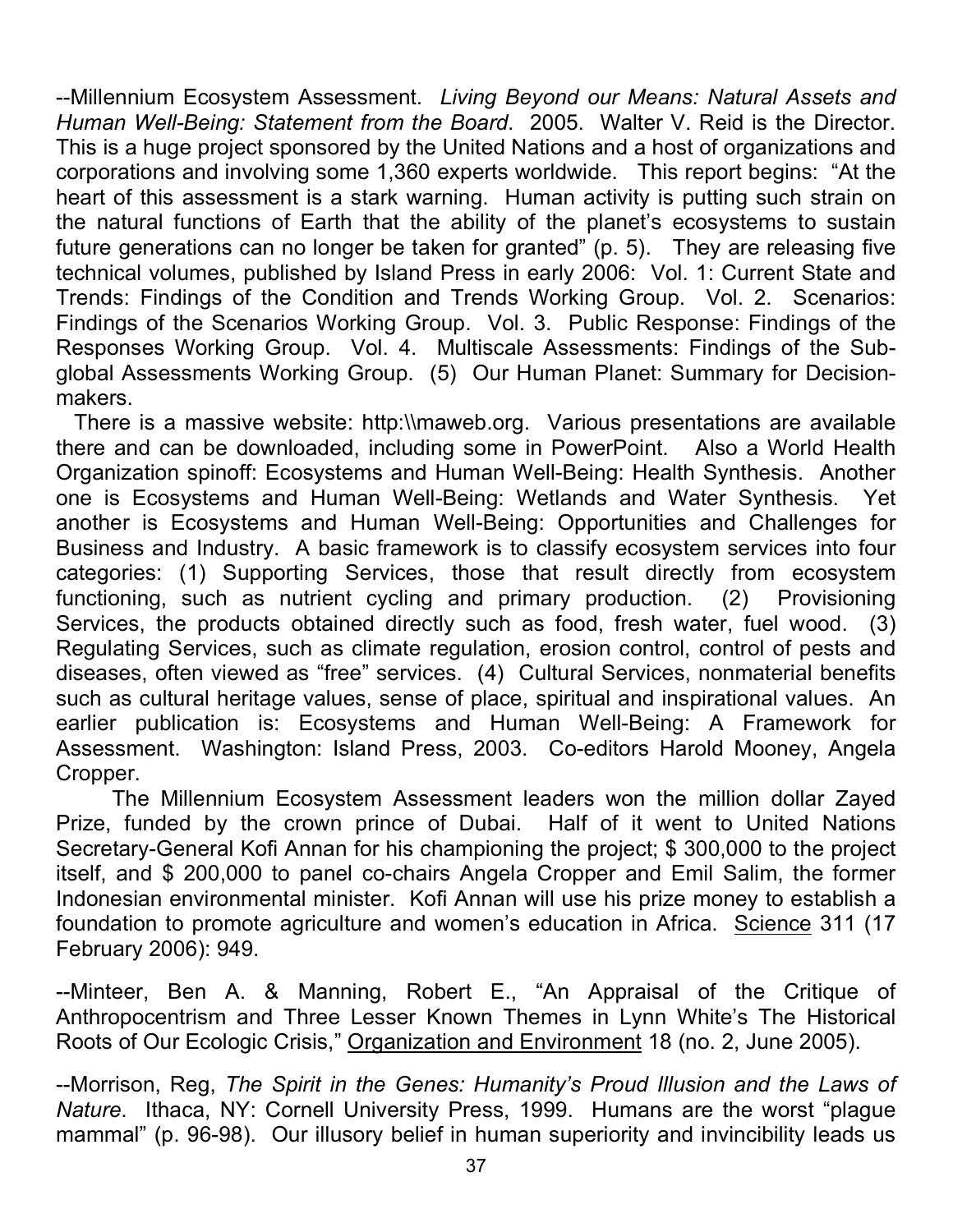--Millennium Ecosystem Assessment. *Living Beyond our Means: Natural Assets and Human Well-Being: Statement from the Board*. 2005. Walter V. Reid is the Director. This is a huge project sponsored by the United Nations and a host of organizations and corporations and involving some 1,360 experts worldwide. This report begins: "At the heart of this assessment is a stark warning. Human activity is putting such strain on the natural functions of Earth that the ability of the planet's ecosystems to sustain future generations can no longer be taken for granted" (p. 5). They are releasing five technical volumes, published by Island Press in early 2006: Vol. 1: Current State and Trends: Findings of the Condition and Trends Working Group. Vol. 2. Scenarios: Findings of the Scenarios Working Group. Vol. 3. Public Response: Findings of the Responses Working Group. Vol. 4. Multiscale Assessments: Findings of the Subglobal Assessments Working Group. (5) Our Human Planet: Summary for Decisionmakers.

There is a massive website: http:\\maweb.org. Various presentations are available there and can be downloaded, including some in PowerPoint. Also a World Health Organization spinoff: Ecosystems and Human Well-Being: Health Synthesis. Another one is Ecosystems and Human Well-Being: Wetlands and Water Synthesis. Yet another is Ecosystems and Human Well-Being: Opportunities and Challenges for Business and Industry. A basic framework is to classify ecosystem services into four categories: (1) Supporting Services, those that result directly from ecosystem functioning, such as nutrient cycling and primary production. (2) Provisioning Services, the products obtained directly such as food, fresh water, fuel wood. (3) Regulating Services, such as climate regulation, erosion control, control of pests and diseases, often viewed as "free" services. (4) Cultural Services, nonmaterial benefits such as cultural heritage values, sense of place, spiritual and inspirational values. An earlier publication is: Ecosystems and Human Well-Being: A Framework for Assessment. Washington: Island Press, 2003. Co-editors Harold Mooney, Angela Cropper.

The Millennium Ecosystem Assessment leaders won the million dollar Zayed Prize, funded by the crown prince of Dubai. Half of it went to United Nations Secretary-General Kofi Annan for his championing the project; \$ 300,000 to the project itself, and \$ 200,000 to panel co-chairs Angela Cropper and Emil Salim, the former Indonesian environmental minister. Kofi Annan will use his prize money to establish a foundation to promote agriculture and women's education in Africa. Science 311 (17 February 2006): 949.

--Minteer, Ben A. & Manning, Robert E., "An Appraisal of the Critique of Anthropocentrism and Three Lesser Known Themes in Lynn White's The Historical Roots of Our Ecologic Crisis," Organization and Environment 18 (no. 2, June 2005).

--Morrison, Reg, *The Spirit in the Genes: Humanity's Proud Illusion and the Laws of Nature*. Ithaca, NY: Cornell University Press, 1999. Humans are the worst "plague mammal" (p. 96-98). Our illusory belief in human superiority and invincibility leads us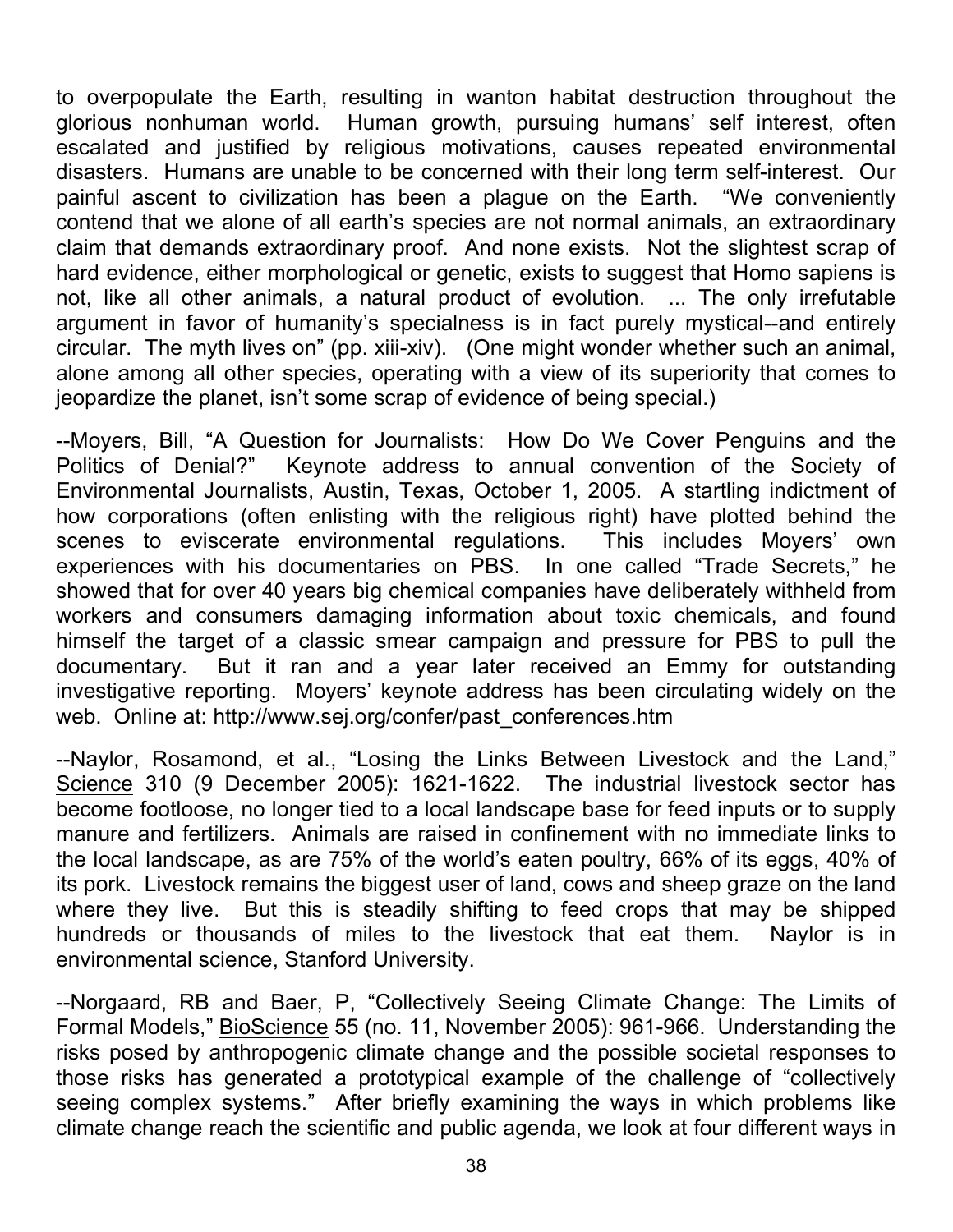to overpopulate the Earth, resulting in wanton habitat destruction throughout the glorious nonhuman world. Human growth, pursuing humans' self interest, often escalated and justified by religious motivations, causes repeated environmental disasters. Humans are unable to be concerned with their long term self-interest. Our painful ascent to civilization has been a plague on the Earth. "We conveniently contend that we alone of all earth's species are not normal animals, an extraordinary claim that demands extraordinary proof. And none exists. Not the slightest scrap of hard evidence, either morphological or genetic, exists to suggest that Homo sapiens is not, like all other animals, a natural product of evolution. ... The only irrefutable argument in favor of humanity's specialness is in fact purely mystical--and entirely circular. The myth lives on" (pp. xiii-xiv). (One might wonder whether such an animal, alone among all other species, operating with a view of its superiority that comes to jeopardize the planet, isn't some scrap of evidence of being special.)

--Moyers, Bill, "A Question for Journalists: How Do We Cover Penguins and the Politics of Denial?" Keynote address to annual convention of the Society of Environmental Journalists, Austin, Texas, October 1, 2005. A startling indictment of how corporations (often enlisting with the religious right) have plotted behind the scenes to eviscerate environmental regulations. This includes Moyers' own experiences with his documentaries on PBS. In one called "Trade Secrets," he showed that for over 40 years big chemical companies have deliberately withheld from workers and consumers damaging information about toxic chemicals, and found himself the target of a classic smear campaign and pressure for PBS to pull the documentary. But it ran and a year later received an Emmy for outstanding investigative reporting. Moyers' keynote address has been circulating widely on the web. Online at: http://www.sej.org/confer/past\_conferences.htm

--Naylor, Rosamond, et al., "Losing the Links Between Livestock and the Land," Science 310 (9 December 2005): 1621-1622. The industrial livestock sector has become footloose, no longer tied to a local landscape base for feed inputs or to supply manure and fertilizers. Animals are raised in confinement with no immediate links to the local landscape, as are 75% of the world's eaten poultry, 66% of its eggs, 40% of its pork. Livestock remains the biggest user of land, cows and sheep graze on the land where they live. But this is steadily shifting to feed crops that may be shipped hundreds or thousands of miles to the livestock that eat them. Naylor is in environmental science, Stanford University.

--Norgaard, RB and Baer, P, "Collectively Seeing Climate Change: The Limits of Formal Models," BioScience 55 (no. 11, November 2005): 961-966. Understanding the risks posed by anthropogenic climate change and the possible societal responses to those risks has generated a prototypical example of the challenge of "collectively seeing complex systems." After briefly examining the ways in which problems like climate change reach the scientific and public agenda, we look at four different ways in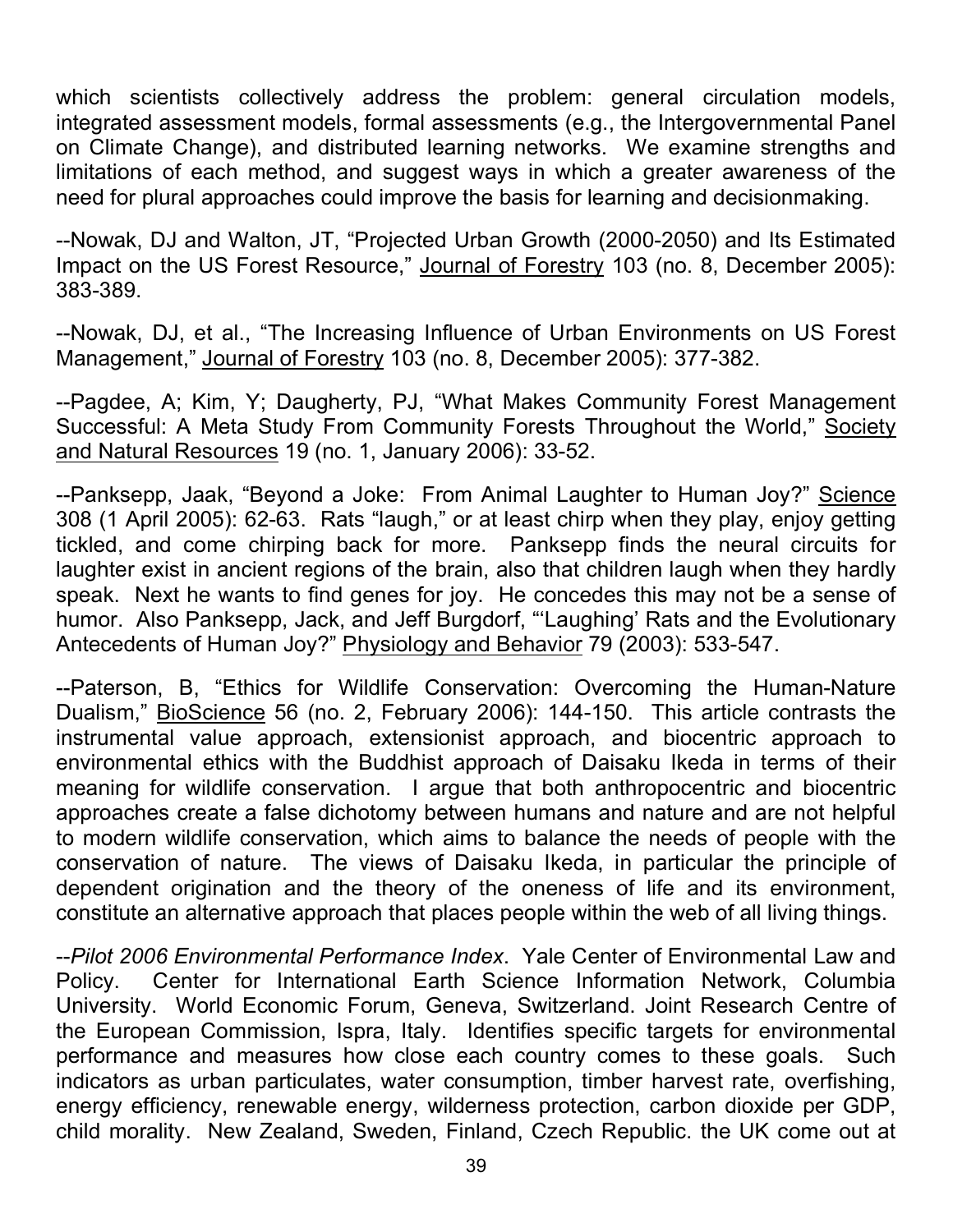which scientists collectively address the problem: general circulation models, integrated assessment models, formal assessments (e.g., the Intergovernmental Panel on Climate Change), and distributed learning networks. We examine strengths and limitations of each method, and suggest ways in which a greater awareness of the need for plural approaches could improve the basis for learning and decisionmaking.

--Nowak, DJ and Walton, JT, "Projected Urban Growth (2000-2050) and Its Estimated Impact on the US Forest Resource," Journal of Forestry 103 (no. 8, December 2005): 383-389.

--Nowak, DJ, et al., "The Increasing Influence of Urban Environments on US Forest Management," Journal of Forestry 103 (no. 8, December 2005): 377-382.

--Pagdee, A; Kim, Y; Daugherty, PJ, "What Makes Community Forest Management Successful: A Meta Study From Community Forests Throughout the World," Society and Natural Resources 19 (no. 1, January 2006): 33-52.

--Panksepp, Jaak, "Beyond a Joke: From Animal Laughter to Human Joy?" Science 308 (1 April 2005): 62-63. Rats "laugh," or at least chirp when they play, enjoy getting tickled, and come chirping back for more. Panksepp finds the neural circuits for laughter exist in ancient regions of the brain, also that children laugh when they hardly speak. Next he wants to find genes for joy. He concedes this may not be a sense of humor. Also Panksepp, Jack, and Jeff Burgdorf, "'Laughing' Rats and the Evolutionary Antecedents of Human Joy?" Physiology and Behavior 79 (2003): 533-547.

--Paterson, B, "Ethics for Wildlife Conservation: Overcoming the Human-Nature Dualism," BioScience 56 (no. 2, February 2006): 144-150. This article contrasts the instrumental value approach, extensionist approach, and biocentric approach to environmental ethics with the Buddhist approach of Daisaku Ikeda in terms of their meaning for wildlife conservation. I argue that both anthropocentric and biocentric approaches create a false dichotomy between humans and nature and are not helpful to modern wildlife conservation, which aims to balance the needs of people with the conservation of nature. The views of Daisaku Ikeda, in particular the principle of dependent origination and the theory of the oneness of life and its environment, constitute an alternative approach that places people within the web of all living things.

--*Pilot 2006 Environmental Performance Index*. Yale Center of Environmental Law and Policy. Center for International Earth Science Information Network, Columbia University. World Economic Forum, Geneva, Switzerland. Joint Research Centre of the European Commission, Ispra, Italy. Identifies specific targets for environmental performance and measures how close each country comes to these goals. Such indicators as urban particulates, water consumption, timber harvest rate, overfishing, energy efficiency, renewable energy, wilderness protection, carbon dioxide per GDP, child morality. New Zealand, Sweden, Finland, Czech Republic. the UK come out at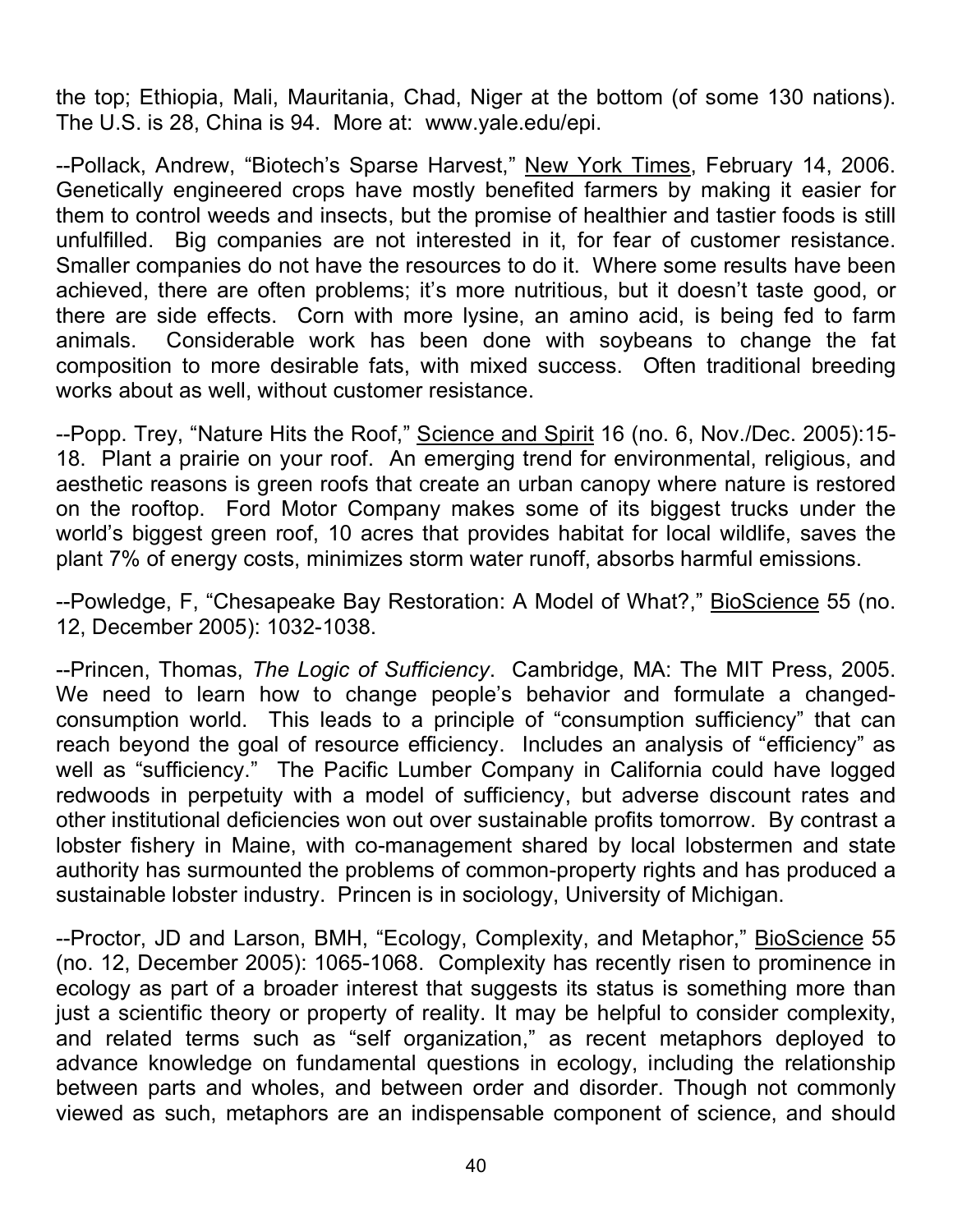the top; Ethiopia, Mali, Mauritania, Chad, Niger at the bottom (of some 130 nations). The U.S. is 28, China is 94. More at: www.yale.edu/epi.

--Pollack, Andrew, "Biotech's Sparse Harvest," New York Times, February 14, 2006. Genetically engineered crops have mostly benefited farmers by making it easier for them to control weeds and insects, but the promise of healthier and tastier foods is still unfulfilled. Big companies are not interested in it, for fear of customer resistance. Smaller companies do not have the resources to do it. Where some results have been achieved, there are often problems; it's more nutritious, but it doesn't taste good, or there are side effects. Corn with more lysine, an amino acid, is being fed to farm animals. Considerable work has been done with soybeans to change the fat composition to more desirable fats, with mixed success. Often traditional breeding works about as well, without customer resistance.

--Popp. Trey, "Nature Hits the Roof," Science and Spirit 16 (no. 6, Nov./Dec. 2005):15-18. Plant a prairie on your roof. An emerging trend for environmental, religious, and aesthetic reasons is green roofs that create an urban canopy where nature is restored on the rooftop. Ford Motor Company makes some of its biggest trucks under the world's biggest green roof, 10 acres that provides habitat for local wildlife, saves the plant 7% of energy costs, minimizes storm water runoff, absorbs harmful emissions.

--Powledge, F, "Chesapeake Bay Restoration: A Model of What?," BioScience 55 (no. 12, December 2005): 1032-1038.

--Princen, Thomas, *The Logic of Sufficiency*. Cambridge, MA: The MIT Press, 2005. We need to learn how to change people's behavior and formulate a changedconsumption world. This leads to a principle of "consumption sufficiency" that can reach beyond the goal of resource efficiency. Includes an analysis of "efficiency" as well as "sufficiency." The Pacific Lumber Company in California could have logged redwoods in perpetuity with a model of sufficiency, but adverse discount rates and other institutional deficiencies won out over sustainable profits tomorrow. By contrast a lobster fishery in Maine, with co-management shared by local lobstermen and state authority has surmounted the problems of common-property rights and has produced a sustainable lobster industry. Princen is in sociology, University of Michigan.

--Proctor, JD and Larson, BMH, "Ecology, Complexity, and Metaphor," BioScience 55 (no. 12, December 2005): 1065-1068. Complexity has recently risen to prominence in ecology as part of a broader interest that suggests its status is something more than just a scientific theory or property of reality. It may be helpful to consider complexity, and related terms such as "self organization," as recent metaphors deployed to advance knowledge on fundamental questions in ecology, including the relationship between parts and wholes, and between order and disorder. Though not commonly viewed as such, metaphors are an indispensable component of science, and should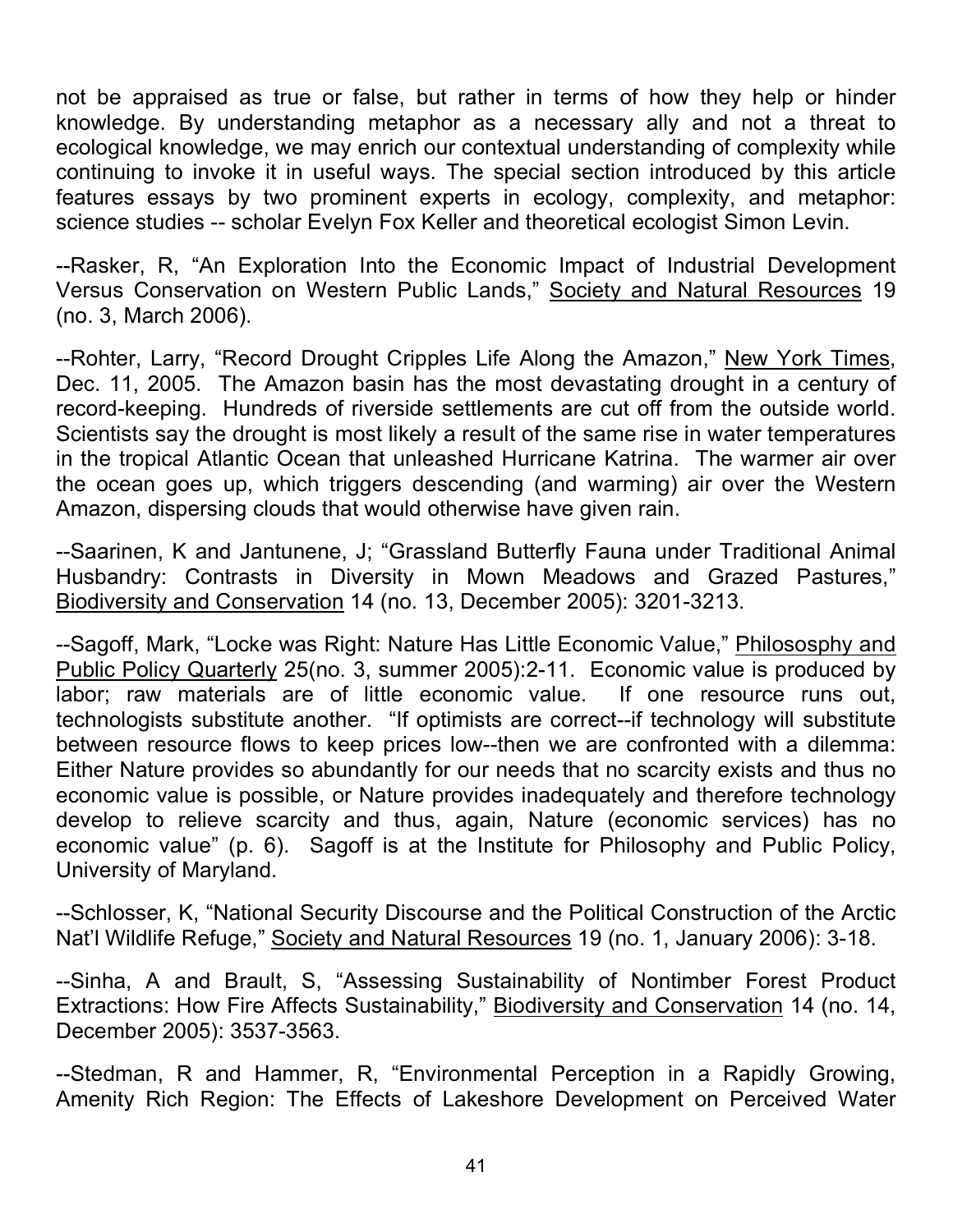not be appraised as true or false, but rather in terms of how they help or hinder knowledge. By understanding metaphor as a necessary ally and not a threat to ecological knowledge, we may enrich our contextual understanding of complexity while continuing to invoke it in useful ways. The special section introduced by this article features essays by two prominent experts in ecology, complexity, and metaphor: science studies -- scholar Evelyn Fox Keller and theoretical ecologist Simon Levin.

--Rasker, R, "An Exploration Into the Economic Impact of Industrial Development Versus Conservation on Western Public Lands," Society and Natural Resources 19 (no. 3, March 2006).

--Rohter, Larry, "Record Drought Cripples Life Along the Amazon," New York Times, Dec. 11, 2005. The Amazon basin has the most devastating drought in a century of record-keeping. Hundreds of riverside settlements are cut off from the outside world. Scientists say the drought is most likely a result of the same rise in water temperatures in the tropical Atlantic Ocean that unleashed Hurricane Katrina. The warmer air over the ocean goes up, which triggers descending (and warming) air over the Western Amazon, dispersing clouds that would otherwise have given rain.

--Saarinen, K and Jantunene, J; "Grassland Butterfly Fauna under Traditional Animal Husbandry: Contrasts in Diversity in Mown Meadows and Grazed Pastures," Biodiversity and Conservation 14 (no. 13, December 2005): 3201-3213.

--Sagoff, Mark, "Locke was Right: Nature Has Little Economic Value," Philososphy and Public Policy Quarterly 25(no. 3, summer 2005):2-11. Economic value is produced by labor; raw materials are of little economic value. If one resource runs out, technologists substitute another. "If optimists are correct--if technology will substitute between resource flows to keep prices low--then we are confronted with a dilemma: Either Nature provides so abundantly for our needs that no scarcity exists and thus no economic value is possible, or Nature provides inadequately and therefore technology develop to relieve scarcity and thus, again, Nature (economic services) has no economic value" (p. 6). Sagoff is at the Institute for Philosophy and Public Policy, University of Maryland.

--Schlosser, K, "National Security Discourse and the Political Construction of the Arctic Nat'l Wildlife Refuge," Society and Natural Resources 19 (no. 1, January 2006): 3-18.

--Sinha, A and Brault, S, "Assessing Sustainability of Nontimber Forest Product Extractions: How Fire Affects Sustainability," Biodiversity and Conservation 14 (no. 14, December 2005): 3537-3563.

--Stedman, R and Hammer, R, "Environmental Perception in a Rapidly Growing, Amenity Rich Region: The Effects of Lakeshore Development on Perceived Water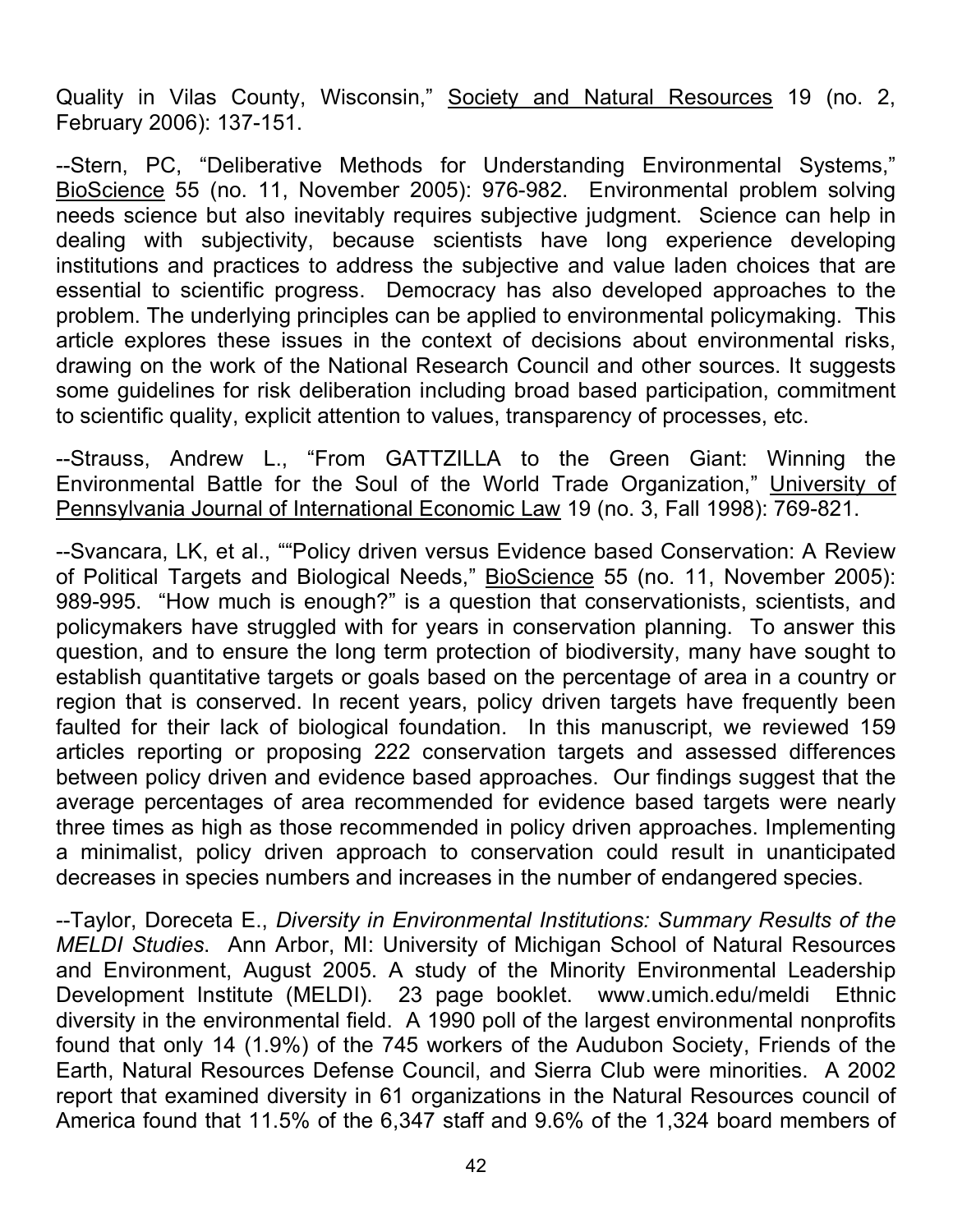Quality in Vilas County, Wisconsin," Society and Natural Resources 19 (no. 2, February 2006): 137-151.

--Stern, PC, "Deliberative Methods for Understanding Environmental Systems," BioScience 55 (no. 11, November 2005): 976-982. Environmental problem solving needs science but also inevitably requires subjective judgment. Science can help in dealing with subjectivity, because scientists have long experience developing institutions and practices to address the subjective and value laden choices that are essential to scientific progress. Democracy has also developed approaches to the problem. The underlying principles can be applied to environmental policymaking. This article explores these issues in the context of decisions about environmental risks, drawing on the work of the National Research Council and other sources. It suggests some guidelines for risk deliberation including broad based participation, commitment to scientific quality, explicit attention to values, transparency of processes, etc.

--Strauss, Andrew L., "From GATTZILLA to the Green Giant: Winning the Environmental Battle for the Soul of the World Trade Organization," University of Pennsylvania Journal of International Economic Law 19 (no. 3, Fall 1998): 769-821.

--Svancara, LK, et al., ""Policy driven versus Evidence based Conservation: A Review of Political Targets and Biological Needs," BioScience 55 (no. 11, November 2005): 989-995. "How much is enough?" is a question that conservationists, scientists, and policymakers have struggled with for years in conservation planning. To answer this question, and to ensure the long term protection of biodiversity, many have sought to establish quantitative targets or goals based on the percentage of area in a country or region that is conserved. In recent years, policy driven targets have frequently been faulted for their lack of biological foundation. In this manuscript, we reviewed 159 articles reporting or proposing 222 conservation targets and assessed differences between policy driven and evidence based approaches. Our findings suggest that the average percentages of area recommended for evidence based targets were nearly three times as high as those recommended in policy driven approaches. Implementing a minimalist, policy driven approach to conservation could result in unanticipated decreases in species numbers and increases in the number of endangered species.

--Taylor, Doreceta E., *Diversity in Environmental Institutions: Summary Results of the MELDI Studies*. Ann Arbor, MI: University of Michigan School of Natural Resources and Environment, August 2005. A study of the Minority Environmental Leadership Development Institute (MELDI). 23 page booklet. www.umich.edu/meldi Ethnic diversity in the environmental field. A 1990 poll of the largest environmental nonprofits found that only 14 (1.9%) of the 745 workers of the Audubon Society, Friends of the Earth, Natural Resources Defense Council, and Sierra Club were minorities. A 2002 report that examined diversity in 61 organizations in the Natural Resources council of America found that 11.5% of the 6,347 staff and 9.6% of the 1,324 board members of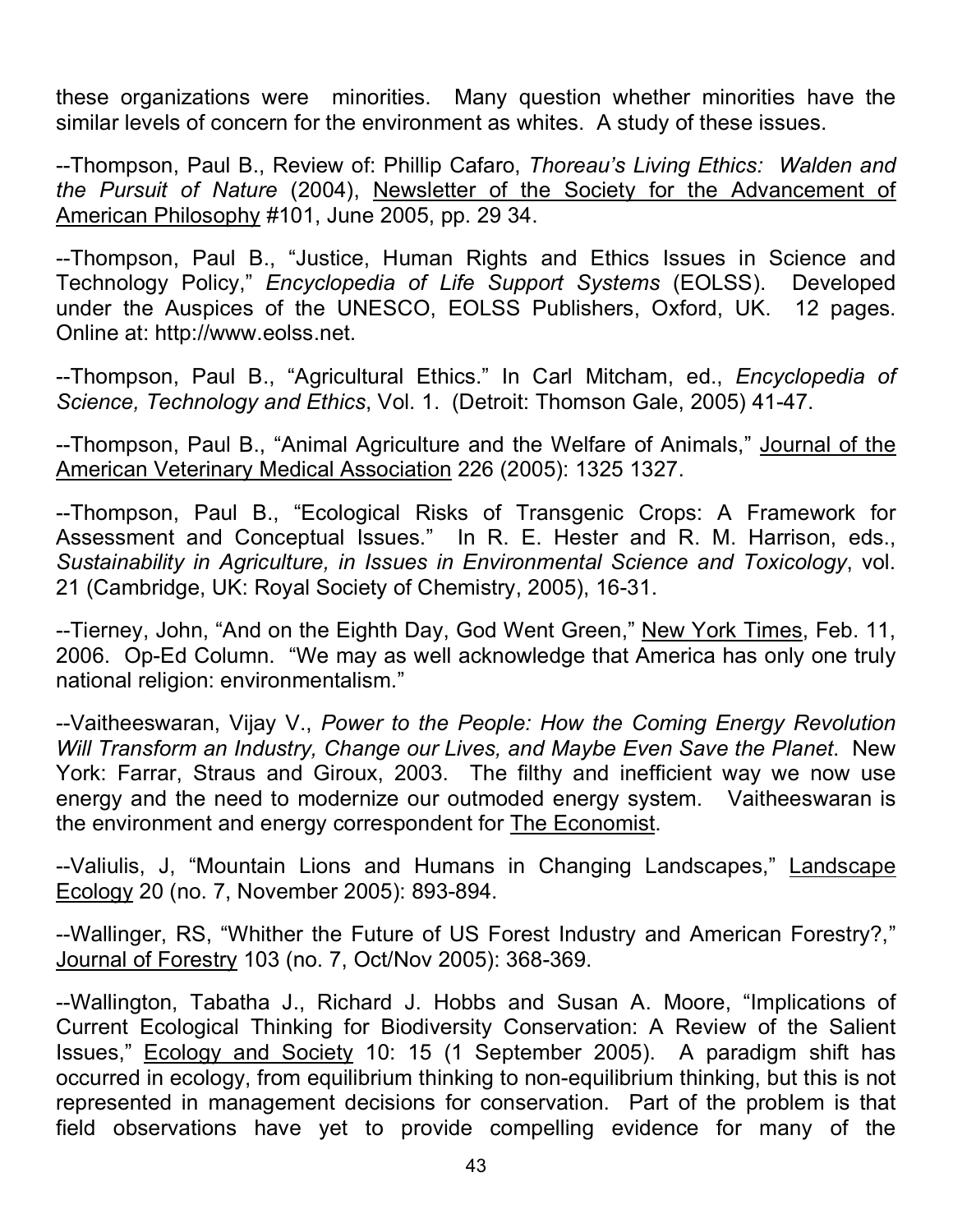these organizations were minorities. Many question whether minorities have the similar levels of concern for the environment as whites. A study of these issues.

--Thompson, Paul B., Review of: Phillip Cafaro, *Thoreau's Living Ethics: Walden and the Pursuit of Nature* (2004), Newsletter of the Society for the Advancement of American Philosophy #101, June 2005, pp. 29 34.

--Thompson, Paul B., "Justice, Human Rights and Ethics Issues in Science and Technology Policy," *Encyclopedia of Life Support Systems* (EOLSS). Developed under the Auspices of the UNESCO, EOLSS Publishers, Oxford, UK. 12 pages. Online at: http://www.eolss.net.

--Thompson, Paul B., "Agricultural Ethics." In Carl Mitcham, ed., *Encyclopedia of Science, Technology and Ethics*, Vol. 1. (Detroit: Thomson Gale, 2005) 41-47.

--Thompson, Paul B., "Animal Agriculture and the Welfare of Animals," Journal of the American Veterinary Medical Association 226 (2005): 1325 1327.

--Thompson, Paul B., "Ecological Risks of Transgenic Crops: A Framework for Assessment and Conceptual Issues." In R. E. Hester and R. M. Harrison, eds., *Sustainability in Agriculture, in Issues in Environmental Science and Toxicology*, vol. 21 (Cambridge, UK: Royal Society of Chemistry, 2005), 16-31.

--Tierney, John, "And on the Eighth Day, God Went Green," New York Times, Feb. 11, 2006. Op-Ed Column. "We may as well acknowledge that America has only one truly national religion: environmentalism."

--Vaitheeswaran, Vijay V., *Power to the People: How the Coming Energy Revolution Will Transform an Industry, Change our Lives, and Maybe Even Save the Planet*. New York: Farrar, Straus and Giroux, 2003. The filthy and inefficient way we now use energy and the need to modernize our outmoded energy system. Vaitheeswaran is the environment and energy correspondent for The Economist.

--Valiulis, J, "Mountain Lions and Humans in Changing Landscapes," Landscape Ecology 20 (no. 7, November 2005): 893-894.

--Wallinger, RS, "Whither the Future of US Forest Industry and American Forestry?," Journal of Forestry 103 (no. 7, Oct/Nov 2005): 368-369.

--Wallington, Tabatha J., Richard J. Hobbs and Susan A. Moore, "Implications of Current Ecological Thinking for Biodiversity Conservation: A Review of the Salient Issues," Ecology and Society 10: 15 (1 September 2005). A paradigm shift has occurred in ecology, from equilibrium thinking to non-equilibrium thinking, but this is not represented in management decisions for conservation. Part of the problem is that field observations have yet to provide compelling evidence for many of the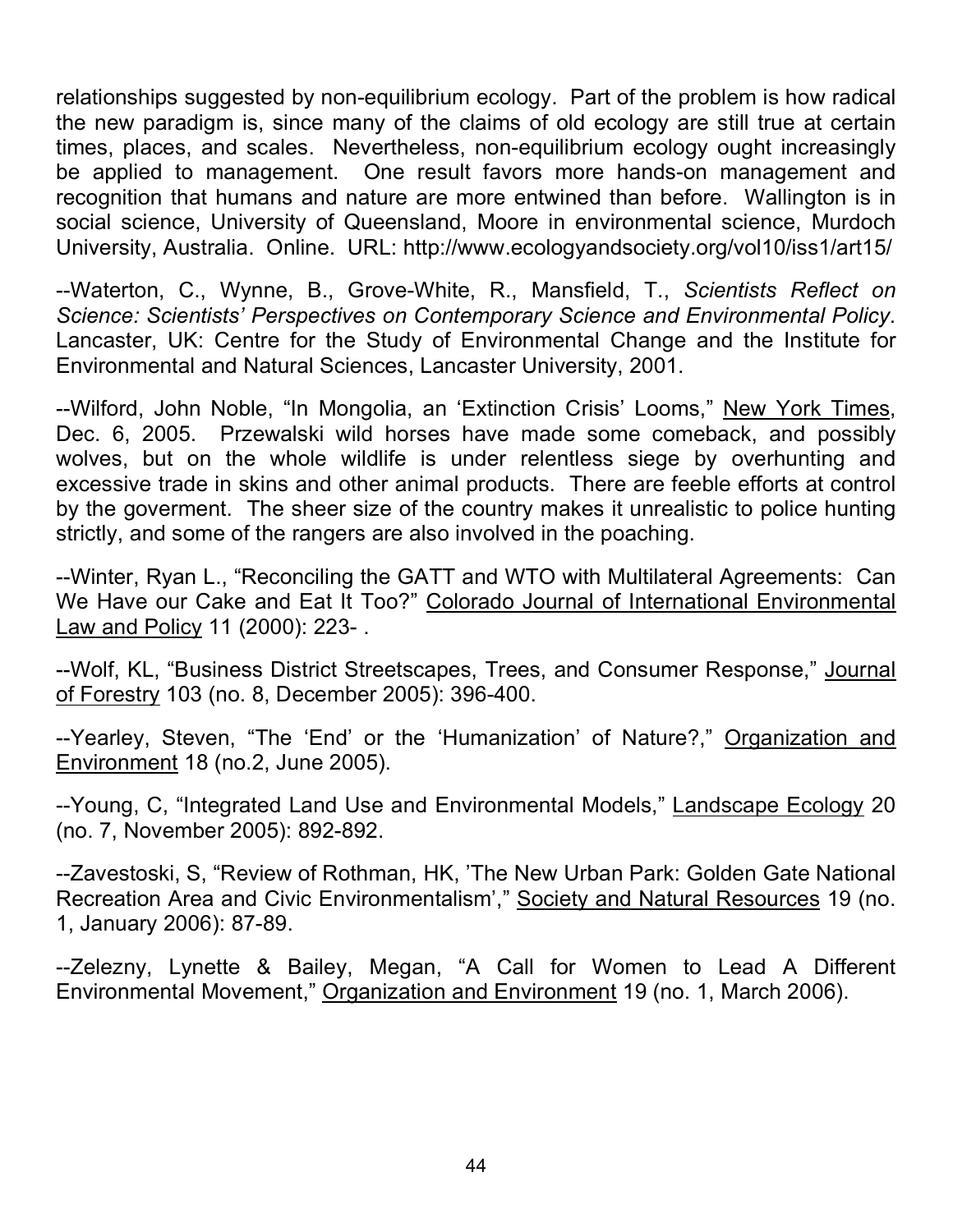relationships suggested by non-equilibrium ecology. Part of the problem is how radical the new paradigm is, since many of the claims of old ecology are still true at certain times, places, and scales. Nevertheless, non-equilibrium ecology ought increasingly be applied to management. One result favors more hands-on management and recognition that humans and nature are more entwined than before. Wallington is in social science, University of Queensland, Moore in environmental science, Murdoch University, Australia. Online. URL: http://www.ecologyandsociety.org/vol10/iss1/art15/

--Waterton, C., Wynne, B., Grove-White, R., Mansfield, T., *Scientists Reflect on Science: Scientists' Perspectives on Contemporary Science and Environmental Policy*. Lancaster, UK: Centre for the Study of Environmental Change and the Institute for Environmental and Natural Sciences, Lancaster University, 2001.

--Wilford, John Noble, "In Mongolia, an 'Extinction Crisis' Looms," New York Times, Dec. 6, 2005. Przewalski wild horses have made some comeback, and possibly wolves, but on the whole wildlife is under relentless siege by overhunting and excessive trade in skins and other animal products. There are feeble efforts at control by the goverment. The sheer size of the country makes it unrealistic to police hunting strictly, and some of the rangers are also involved in the poaching.

--Winter, Ryan L., "Reconciling the GATT and WTO with Multilateral Agreements: Can We Have our Cake and Eat It Too?" Colorado Journal of International Environmental Law and Policy 11 (2000): 223- .

--Wolf, KL, "Business District Streetscapes, Trees, and Consumer Response," Journal of Forestry 103 (no. 8, December 2005): 396-400.

--Yearley, Steven, "The 'End' or the 'Humanization' of Nature?," Organization and Environment 18 (no.2, June 2005).

-Young, C, "Integrated Land Use and Environmental Models," Landscape Ecology 20 (no. 7, November 2005): 892-892.

--Zavestoski, S, "Review of Rothman, HK, 'The New Urban Park: Golden Gate National Recreation Area and Civic Environmentalism'," Society and Natural Resources 19 (no. 1, January 2006): 87-89.

--Zelezny, Lynette & Bailey, Megan, "A Call for Women to Lead A Different Environmental Movement," Organization and Environment 19 (no. 1, March 2006).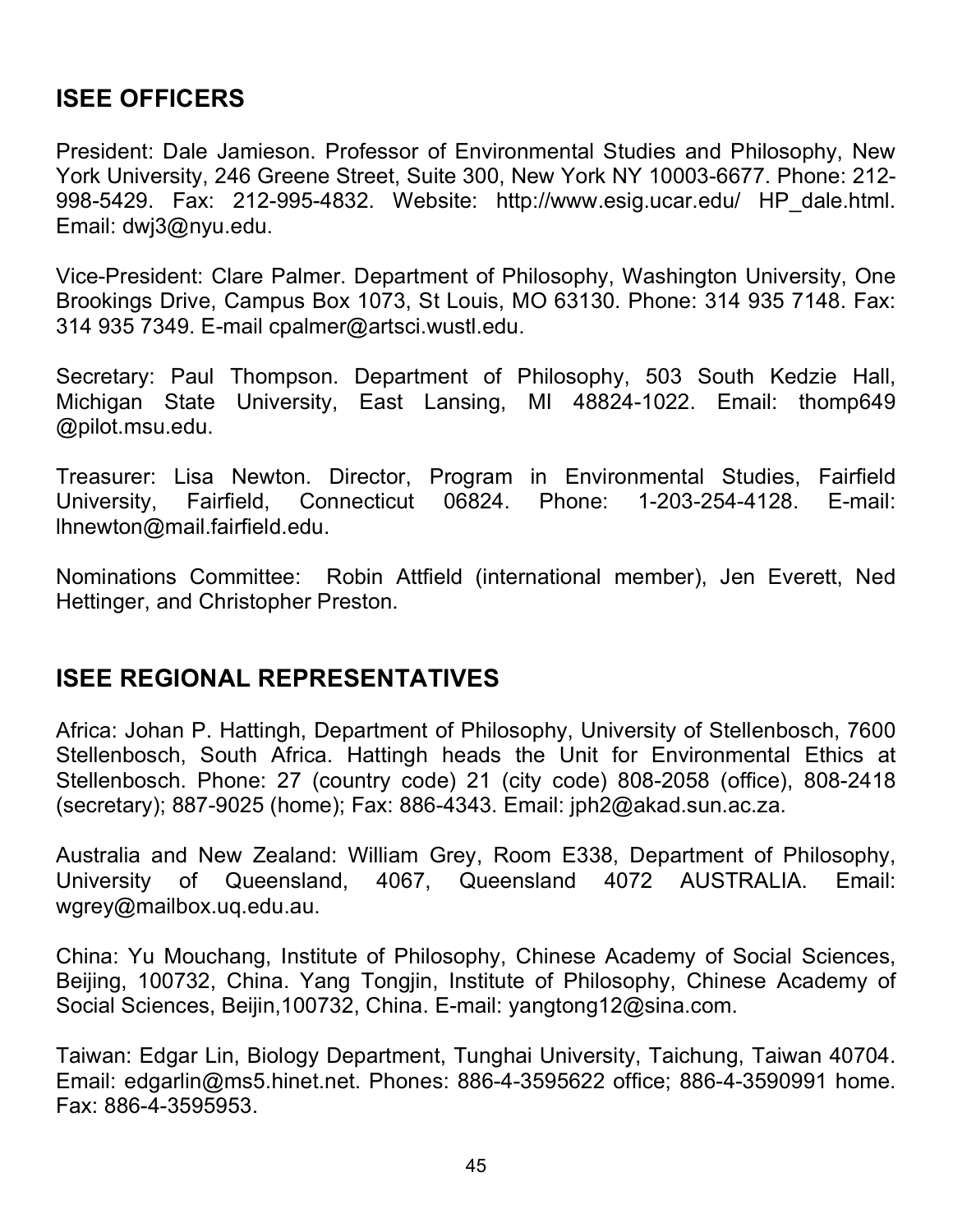## **ISEE OFFICERS**

President: Dale Jamieson. Professor of Environmental Studies and Philosophy, New York University, 246 Greene Street, Suite 300, New York NY 10003-6677. Phone: 212- 998-5429. Fax: 212-995-4832. Website: http://www.esig.ucar.edu/ HP\_dale.html. Email: dwj3@nyu.edu.

Vice-President: Clare Palmer. Department of Philosophy, Washington University, One Brookings Drive, Campus Box 1073, St Louis, MO 63130. Phone: 314 935 7148. Fax: 314 935 7349. E-mail cpalmer@artsci.wustl.edu.

Secretary: Paul Thompson. Department of Philosophy, 503 South Kedzie Hall, Michigan State University, East Lansing, MI 48824-1022. Email: thomp649 @pilot.msu.edu.

Treasurer: Lisa Newton. Director, Program in Environmental Studies, Fairfield University, Fairfield, Connecticut 06824. Phone: 1-203-254-4128. E-mail: lhnewton@mail.fairfield.edu.

Nominations Committee: Robin Attfield (international member), Jen Everett, Ned Hettinger, and Christopher Preston.

## **ISEE REGIONAL REPRESENTATIVES**

Africa: Johan P. Hattingh, Department of Philosophy, University of Stellenbosch, 7600 Stellenbosch, South Africa. Hattingh heads the Unit for Environmental Ethics at Stellenbosch. Phone: 27 (country code) 21 (city code) 808-2058 (office), 808-2418 (secretary); 887-9025 (home); Fax: 886-4343. Email: jph2@akad.sun.ac.za.

Australia and New Zealand: William Grey, Room E338, Department of Philosophy, University of Queensland, 4067, Queensland 4072 AUSTRALIA. Email: wgrey@mailbox.uq.edu.au.

China: Yu Mouchang, Institute of Philosophy, Chinese Academy of Social Sciences, Beijing, 100732, China. Yang Tongjin, Institute of Philosophy, Chinese Academy of Social Sciences, Beijin,100732, China. E-mail: yangtong12@sina.com.

Taiwan: Edgar Lin, Biology Department, Tunghai University, Taichung, Taiwan 40704. Email: edgarlin@ms5.hinet.net. Phones: 886-4-3595622 office; 886-4-3590991 home. Fax: 886-4-3595953.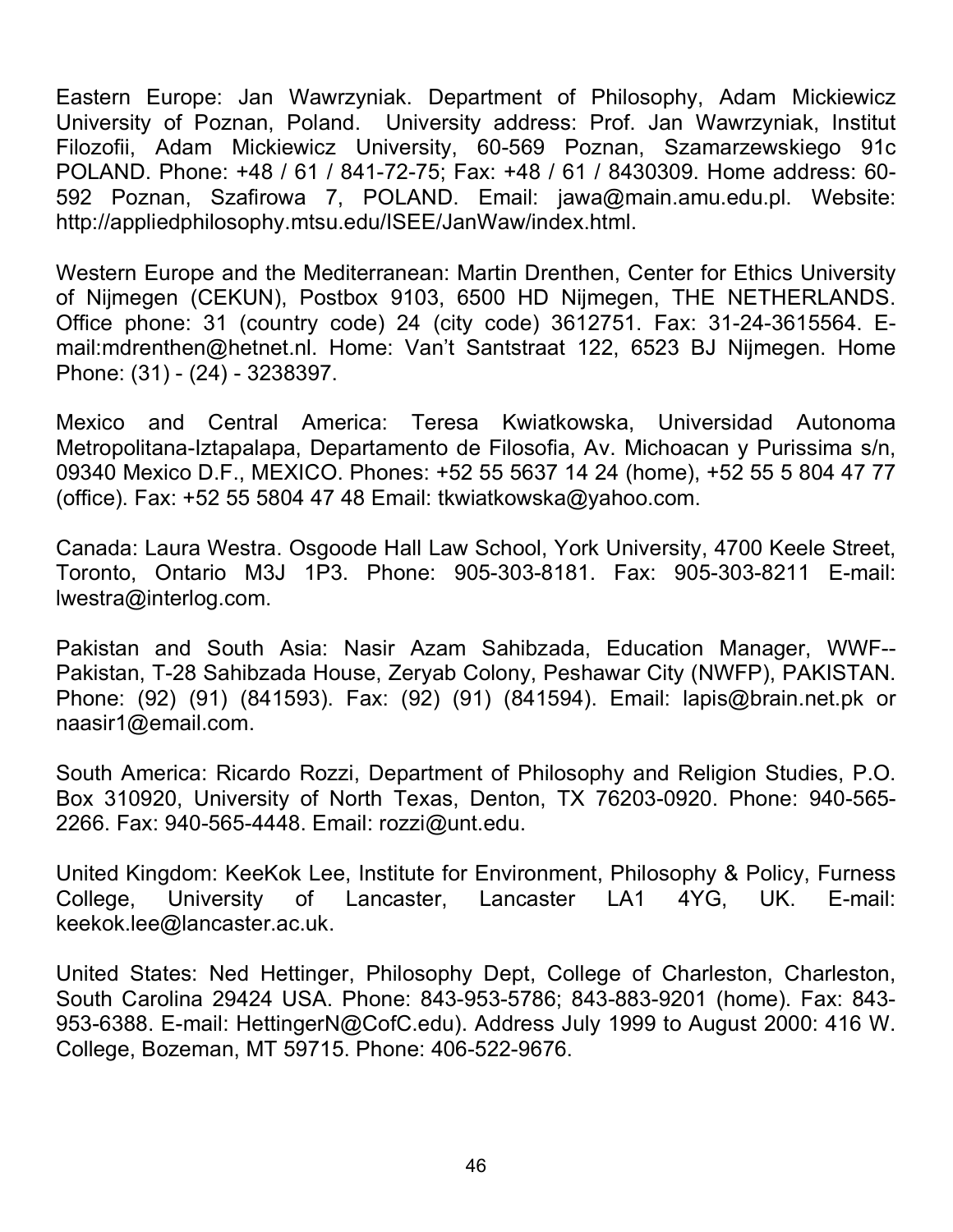Eastern Europe: Jan Wawrzyniak. Department of Philosophy, Adam Mickiewicz University of Poznan, Poland. University address: Prof. Jan Wawrzyniak, Institut Filozofii, Adam Mickiewicz University, 60-569 Poznan, Szamarzewskiego 91c POLAND. Phone: +48 / 61 / 841-72-75; Fax: +48 / 61 / 8430309. Home address: 60- 592 Poznan, Szafirowa 7, POLAND. Email: jawa@main.amu.edu.pl. Website: http://appliedphilosophy.mtsu.edu/ISEE/JanWaw/index.html.

Western Europe and the Mediterranean: Martin Drenthen, Center for Ethics University of Nijmegen (CEKUN), Postbox 9103, 6500 HD Nijmegen, THE NETHERLANDS. Office phone: 31 (country code) 24 (city code) 3612751. Fax: 31-24-3615564. Email:mdrenthen@hetnet.nl. Home: Van't Santstraat 122, 6523 BJ Nijmegen. Home Phone: (31) - (24) - 3238397.

Mexico and Central America: Teresa Kwiatkowska, Universidad Autonoma Metropolitana-Iztapalapa, Departamento de Filosofia, Av. Michoacan y Purissima s/n, 09340 Mexico D.F., MEXICO. Phones: +52 55 5637 14 24 (home), +52 55 5 804 47 77 (office). Fax: +52 55 5804 47 48 Email: tkwiatkowska@yahoo.com.

Canada: Laura Westra. Osgoode Hall Law School, York University, 4700 Keele Street, Toronto, Ontario M3J 1P3. Phone: 905-303-8181. Fax: 905-303-8211 E-mail: lwestra@interlog.com.

Pakistan and South Asia: Nasir Azam Sahibzada, Education Manager, WWF-- Pakistan, T-28 Sahibzada House, Zeryab Colony, Peshawar City (NWFP), PAKISTAN. Phone: (92) (91) (841593). Fax: (92) (91) (841594). Email: lapis@brain.net.pk or naasir1@email.com.

South America: Ricardo Rozzi, Department of Philosophy and Religion Studies, P.O. Box 310920, University of North Texas, Denton, TX 76203-0920. Phone: 940-565- 2266. Fax: 940-565-4448. Email: rozzi@unt.edu.

United Kingdom: KeeKok Lee, Institute for Environment, Philosophy & Policy, Furness College, University of Lancaster, Lancaster LA1 4YG, UK. E-mail: keekok.lee@lancaster.ac.uk.

United States: Ned Hettinger, Philosophy Dept, College of Charleston, Charleston, South Carolina 29424 USA. Phone: 843-953-5786; 843-883-9201 (home). Fax: 843- 953-6388. E-mail: HettingerN@CofC.edu). Address July 1999 to August 2000: 416 W. College, Bozeman, MT 59715. Phone: 406-522-9676.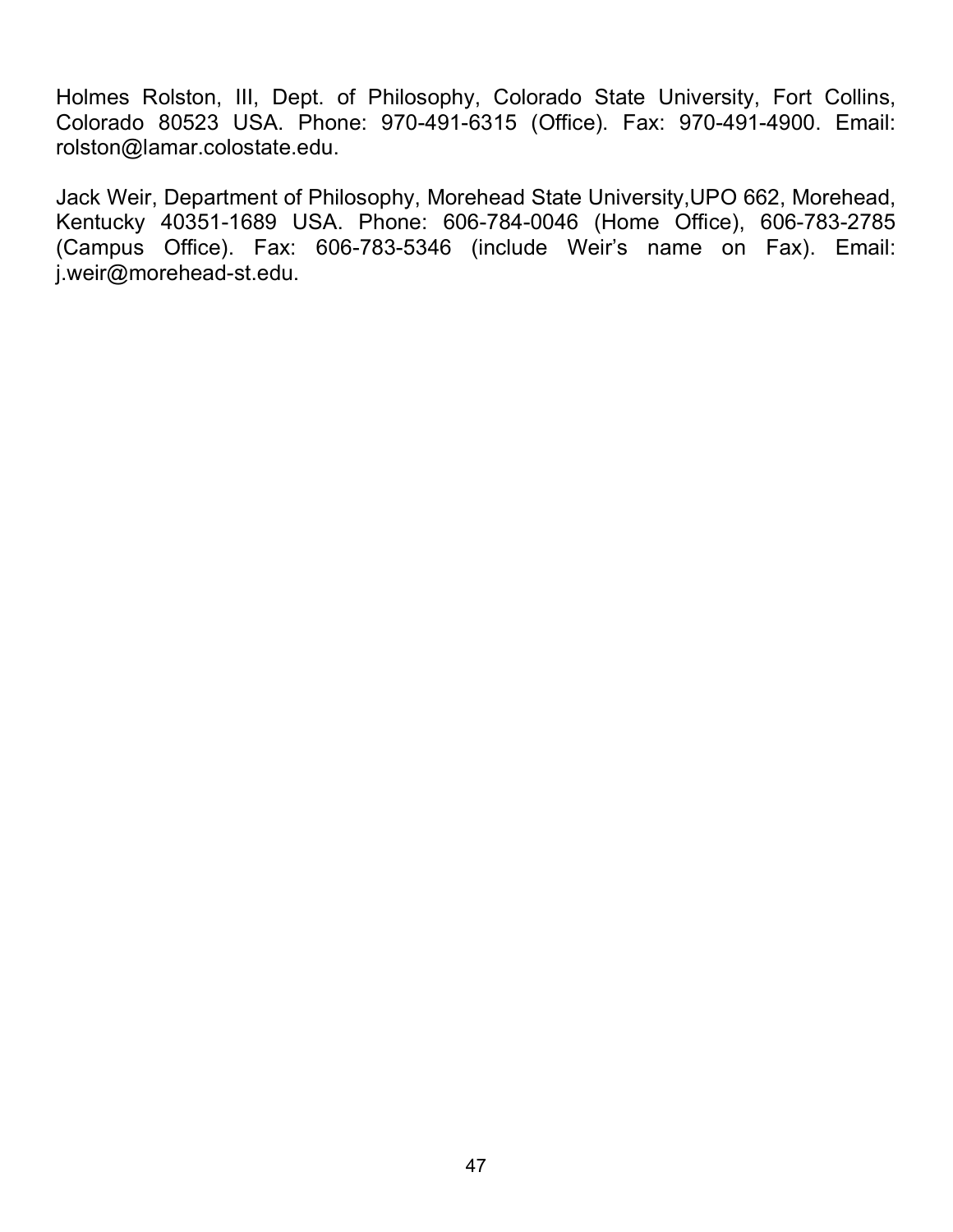Holmes Rolston, III, Dept. of Philosophy, Colorado State University, Fort Collins, Colorado 80523 USA. Phone: 970-491-6315 (Office). Fax: 970-491-4900. Email: rolston@lamar.colostate.edu.

Jack Weir, Department of Philosophy, Morehead State University,UPO 662, Morehead, Kentucky 40351-1689 USA. Phone: 606-784-0046 (Home Office), 606-783-2785 (Campus Office). Fax: 606-783-5346 (include Weir's name on Fax). Email: j.weir@morehead-st.edu.